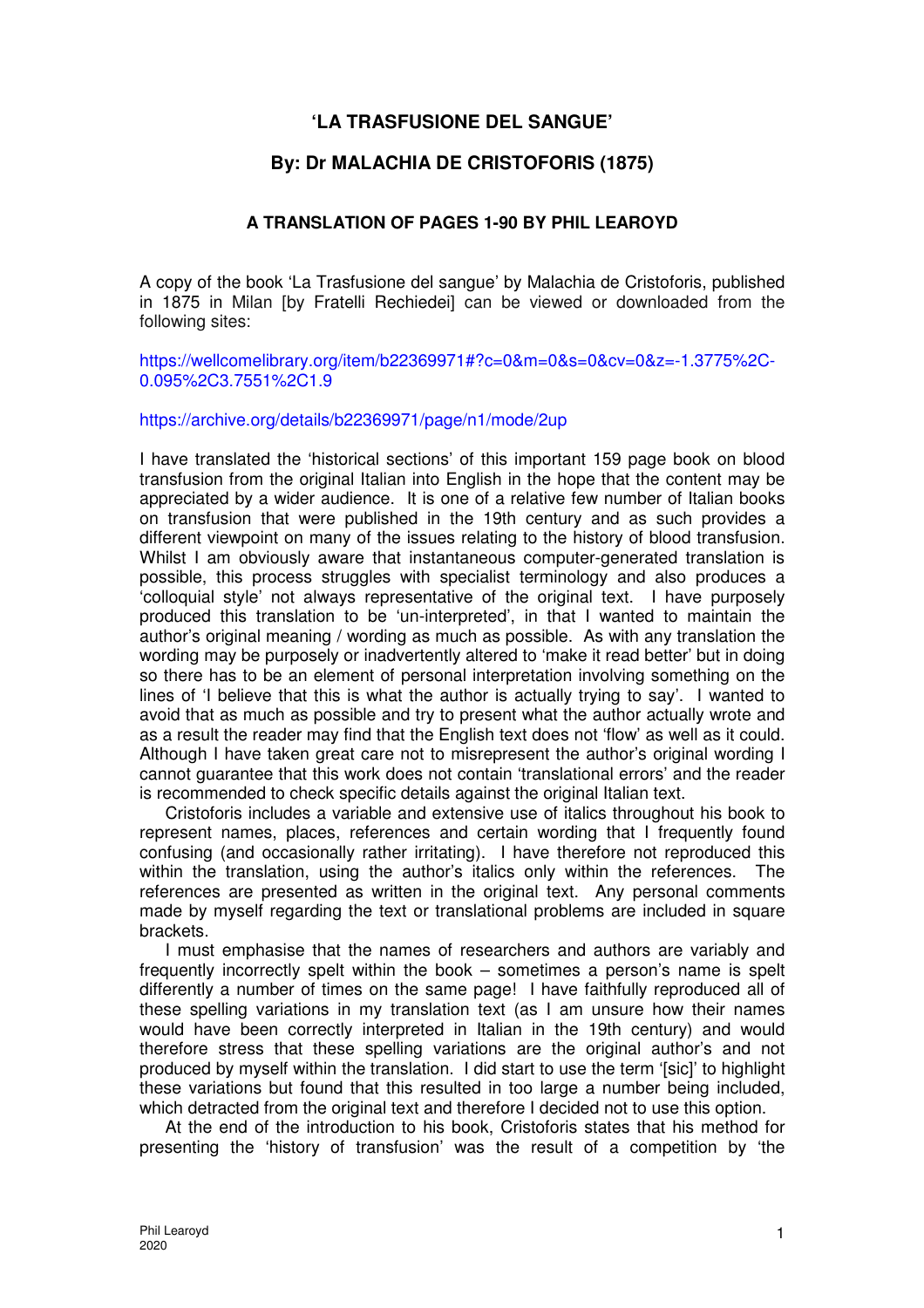# **'LA TRASFUSIONE DEL SANGUE'**

# **By: Dr MALACHIA DE CRISTOFORIS (1875)**

### **A TRANSLATION OF PAGES 1-90 BY PHIL LEAROYD**

A copy of the book 'La Trasfusione del sangue' by Malachia de Cristoforis, published in 1875 in Milan [by Fratelli Rechiedei] can be viewed or downloaded from the following sites:

https://wellcomelibrary.org/item/b22369971#?c=0&m=0&s=0&cv=0&z=-1.3775%2C-0.095%2C3.7551%2C1.9

https://archive.org/details/b22369971/page/n1/mode/2up

I have translated the 'historical sections' of this important 159 page book on blood transfusion from the original Italian into English in the hope that the content may be appreciated by a wider audience. It is one of a relative few number of Italian books on transfusion that were published in the 19th century and as such provides a different viewpoint on many of the issues relating to the history of blood transfusion. Whilst I am obviously aware that instantaneous computer-generated translation is possible, this process struggles with specialist terminology and also produces a 'colloquial style' not always representative of the original text. I have purposely produced this translation to be 'un-interpreted', in that I wanted to maintain the author's original meaning / wording as much as possible. As with any translation the wording may be purposely or inadvertently altered to 'make it read better' but in doing so there has to be an element of personal interpretation involving something on the lines of 'I believe that this is what the author is actually trying to say'. I wanted to avoid that as much as possible and try to present what the author actually wrote and as a result the reader may find that the English text does not 'flow' as well as it could. Although I have taken great care not to misrepresent the author's original wording I cannot guarantee that this work does not contain 'translational errors' and the reader is recommended to check specific details against the original Italian text.

Cristoforis includes a variable and extensive use of italics throughout his book to represent names, places, references and certain wording that I frequently found confusing (and occasionally rather irritating). I have therefore not reproduced this within the translation, using the author's italics only within the references. The references are presented as written in the original text. Any personal comments made by myself regarding the text or translational problems are included in square brackets.

I must emphasise that the names of researchers and authors are variably and frequently incorrectly spelt within the book – sometimes a person's name is spelt differently a number of times on the same page! I have faithfully reproduced all of these spelling variations in my translation text (as I am unsure how their names would have been correctly interpreted in Italian in the 19th century) and would therefore stress that these spelling variations are the original author's and not produced by myself within the translation. I did start to use the term '[sic]' to highlight these variations but found that this resulted in too large a number being included, which detracted from the original text and therefore I decided not to use this option.

At the end of the introduction to his book, Cristoforis states that his method for presenting the 'history of transfusion' was the result of a competition by 'the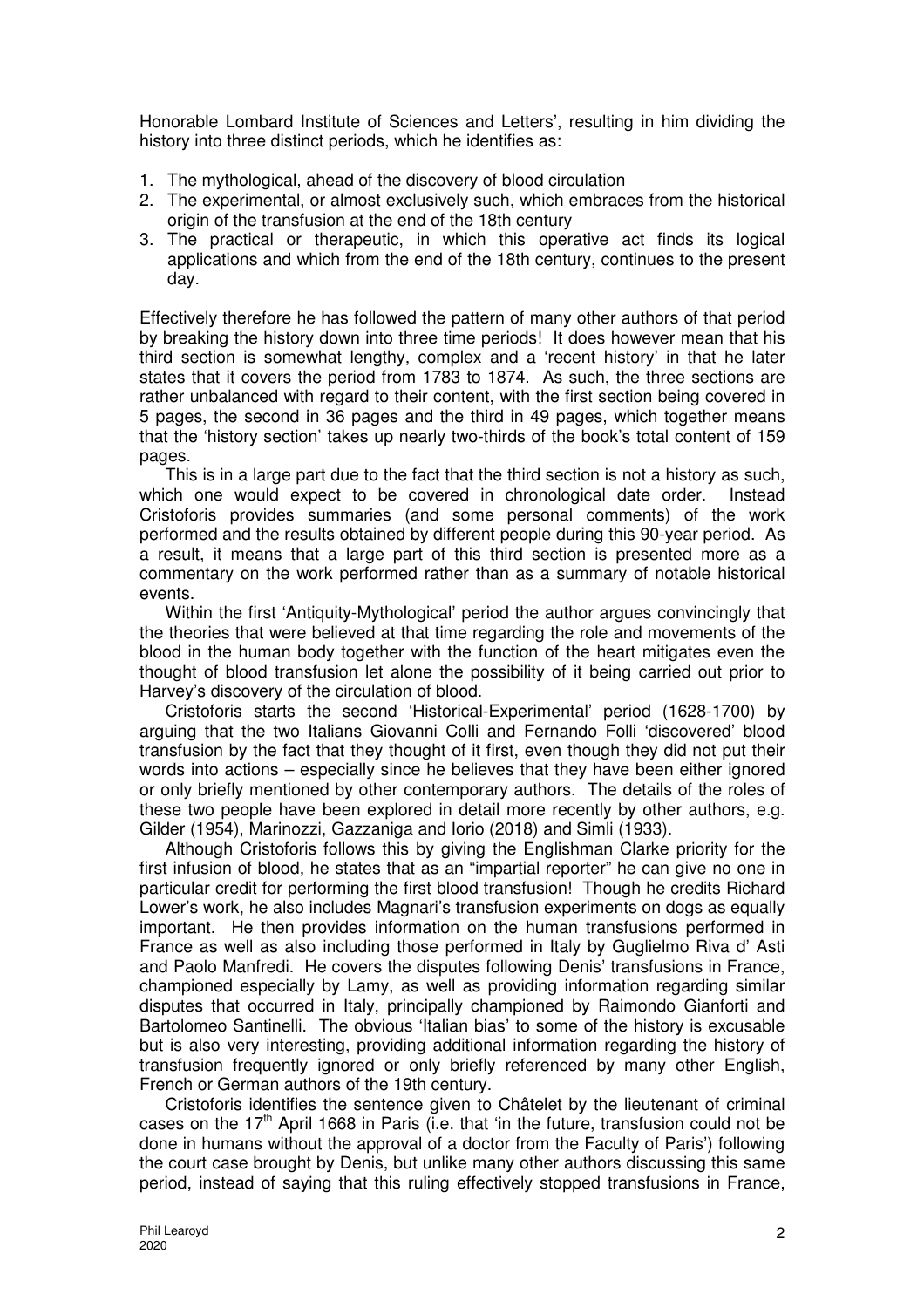Honorable Lombard Institute of Sciences and Letters', resulting in him dividing the history into three distinct periods, which he identifies as:

- 1. The mythological, ahead of the discovery of blood circulation
- 2. The experimental, or almost exclusively such, which embraces from the historical origin of the transfusion at the end of the 18th century
- 3. The practical or therapeutic, in which this operative act finds its logical applications and which from the end of the 18th century, continues to the present day.

Effectively therefore he has followed the pattern of many other authors of that period by breaking the history down into three time periods! It does however mean that his third section is somewhat lengthy, complex and a 'recent history' in that he later states that it covers the period from 1783 to 1874. As such, the three sections are rather unbalanced with regard to their content, with the first section being covered in 5 pages, the second in 36 pages and the third in 49 pages, which together means that the 'history section' takes up nearly two-thirds of the book's total content of 159 pages.

This is in a large part due to the fact that the third section is not a history as such, which one would expect to be covered in chronological date order. Instead Cristoforis provides summaries (and some personal comments) of the work performed and the results obtained by different people during this 90-year period. As a result, it means that a large part of this third section is presented more as a commentary on the work performed rather than as a summary of notable historical events.

Within the first 'Antiquity-Mythological' period the author argues convincingly that the theories that were believed at that time regarding the role and movements of the blood in the human body together with the function of the heart mitigates even the thought of blood transfusion let alone the possibility of it being carried out prior to Harvey's discovery of the circulation of blood.

Cristoforis starts the second 'Historical-Experimental' period (1628-1700) by arguing that the two Italians Giovanni Colli and Fernando Folli 'discovered' blood transfusion by the fact that they thought of it first, even though they did not put their words into actions – especially since he believes that they have been either ignored or only briefly mentioned by other contemporary authors. The details of the roles of these two people have been explored in detail more recently by other authors, e.g. Gilder (1954), Marinozzi, Gazzaniga and Iorio (2018) and Simli (1933).

Although Cristoforis follows this by giving the Englishman Clarke priority for the first infusion of blood, he states that as an "impartial reporter" he can give no one in particular credit for performing the first blood transfusion! Though he credits Richard Lower's work, he also includes Magnari's transfusion experiments on dogs as equally important. He then provides information on the human transfusions performed in France as well as also including those performed in Italy by Guglielmo Riva d' Asti and Paolo Manfredi. He covers the disputes following Denis' transfusions in France, championed especially by Lamy, as well as providing information regarding similar disputes that occurred in Italy, principally championed by Raimondo Gianforti and Bartolomeo Santinelli. The obvious 'Italian bias' to some of the history is excusable but is also very interesting, providing additional information regarding the history of transfusion frequently ignored or only briefly referenced by many other English, French or German authors of the 19th century.

Cristoforis identifies the sentence given to Châtelet by the lieutenant of criminal cases on the  $17<sup>th</sup>$  April 1668 in Paris (i.e. that 'in the future, transfusion could not be done in humans without the approval of a doctor from the Faculty of Paris') following the court case brought by Denis, but unlike many other authors discussing this same period, instead of saying that this ruling effectively stopped transfusions in France,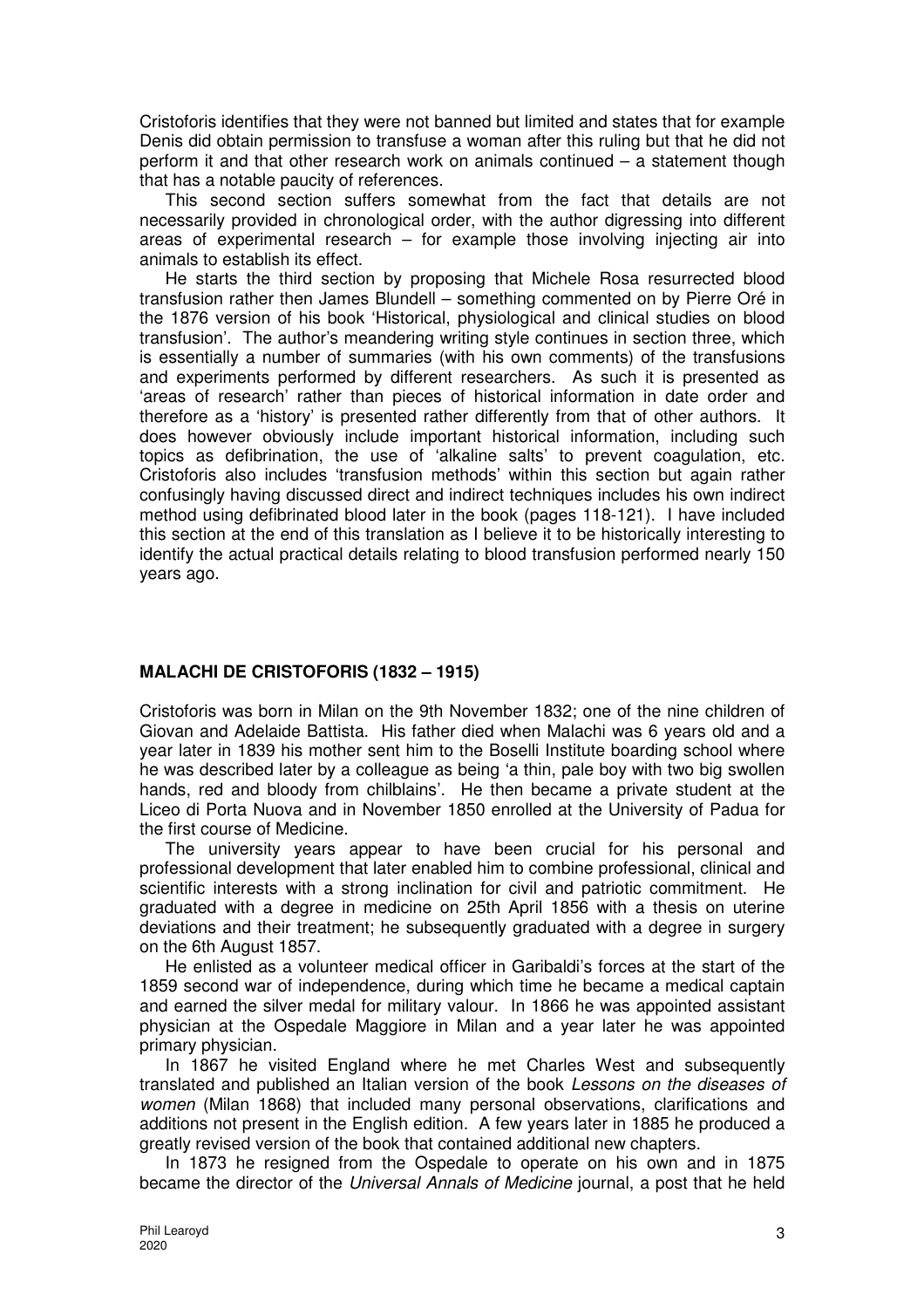Cristoforis identifies that they were not banned but limited and states that for example Denis did obtain permission to transfuse a woman after this ruling but that he did not perform it and that other research work on animals continued – a statement though that has a notable paucity of references.

This second section suffers somewhat from the fact that details are not necessarily provided in chronological order, with the author digressing into different areas of experimental research  $-$  for example those involving injecting air into animals to establish its effect.

He starts the third section by proposing that Michele Rosa resurrected blood transfusion rather then James Blundell – something commented on by Pierre Oré in the 1876 version of his book 'Historical, physiological and clinical studies on blood transfusion'. The author's meandering writing style continues in section three, which is essentially a number of summaries (with his own comments) of the transfusions and experiments performed by different researchers. As such it is presented as 'areas of research' rather than pieces of historical information in date order and therefore as a 'history' is presented rather differently from that of other authors. It does however obviously include important historical information, including such topics as defibrination, the use of 'alkaline salts' to prevent coagulation, etc. Cristoforis also includes 'transfusion methods' within this section but again rather confusingly having discussed direct and indirect techniques includes his own indirect method using defibrinated blood later in the book (pages 118-121). I have included this section at the end of this translation as I believe it to be historically interesting to identify the actual practical details relating to blood transfusion performed nearly 150 years ago.

## **MALACHI DE CRISTOFORIS (1832 – 1915)**

Cristoforis was born in Milan on the 9th November 1832; one of the nine children of Giovan and Adelaide Battista. His father died when Malachi was 6 years old and a year later in 1839 his mother sent him to the Boselli Institute boarding school where he was described later by a colleague as being 'a thin, pale boy with two big swollen hands, red and bloody from chilblains'. He then became a private student at the Liceo di Porta Nuova and in November 1850 enrolled at the University of Padua for the first course of Medicine.

The university years appear to have been crucial for his personal and professional development that later enabled him to combine professional, clinical and scientific interests with a strong inclination for civil and patriotic commitment. He graduated with a degree in medicine on 25th April 1856 with a thesis on uterine deviations and their treatment; he subsequently graduated with a degree in surgery on the 6th August 1857.

He enlisted as a volunteer medical officer in Garibaldi's forces at the start of the 1859 second war of independence, during which time he became a medical captain and earned the silver medal for military valour. In 1866 he was appointed assistant physician at the Ospedale Maggiore in Milan and a year later he was appointed primary physician.

In 1867 he visited England where he met Charles West and subsequently translated and published an Italian version of the book Lessons on the diseases of women (Milan 1868) that included many personal observations, clarifications and additions not present in the English edition. A few years later in 1885 he produced a greatly revised version of the book that contained additional new chapters.

In 1873 he resigned from the Ospedale to operate on his own and in 1875 became the director of the Universal Annals of Medicine journal, a post that he held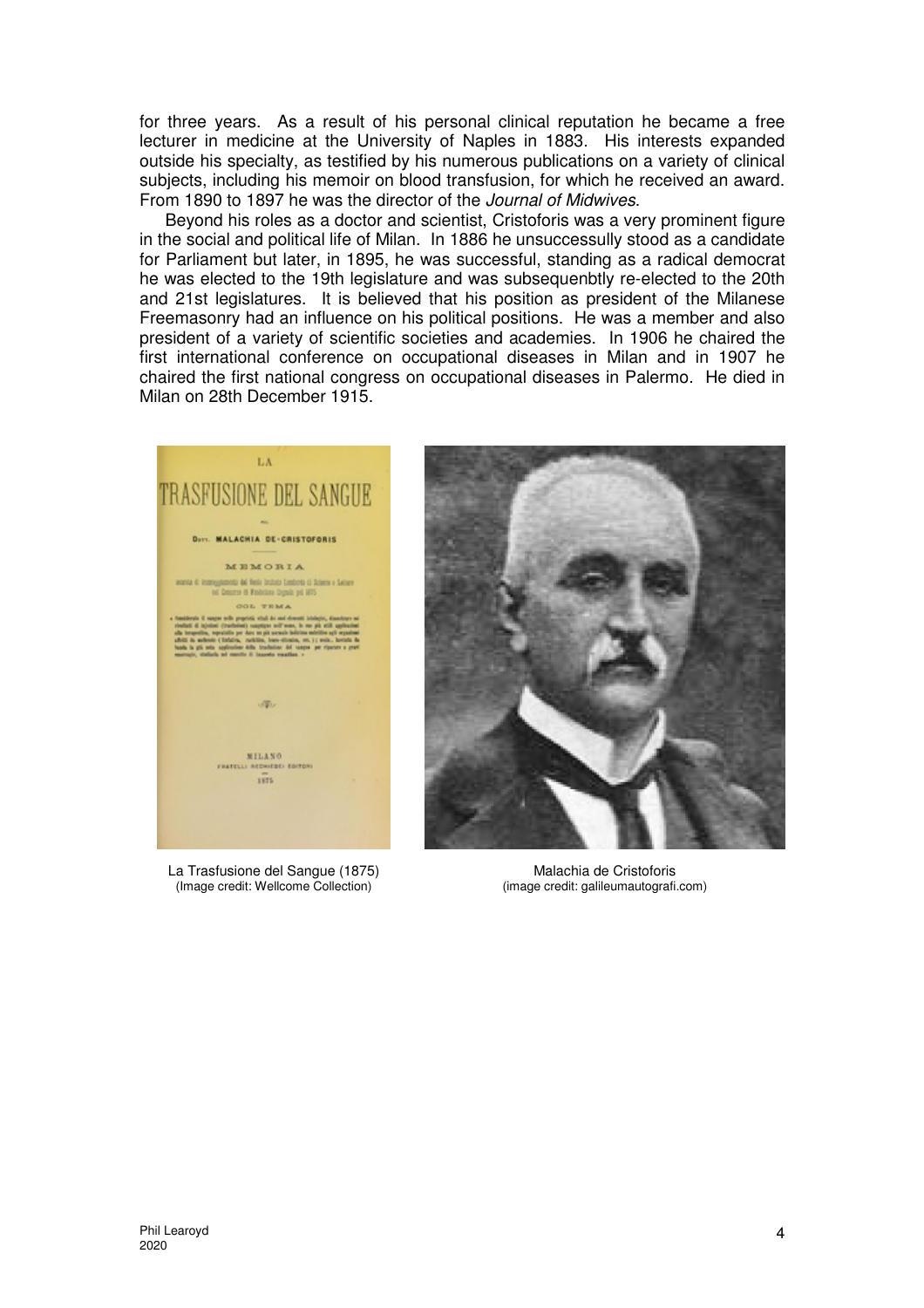for three years. As a result of his personal clinical reputation he became a free lecturer in medicine at the University of Naples in 1883. His interests expanded outside his specialty, as testified by his numerous publications on a variety of clinical subjects, including his memoir on blood transfusion, for which he received an award. From 1890 to 1897 he was the director of the Journal of Midwives.

Beyond his roles as a doctor and scientist, Cristoforis was a very prominent figure in the social and political life of Milan. In 1886 he unsuccessully stood as a candidate for Parliament but later, in 1895, he was successful, standing as a radical democrat he was elected to the 19th legislature and was subsequenbtly re-elected to the 20th and 21st legislatures. It is believed that his position as president of the Milanese Freemasonry had an influence on his political positions. He was a member and also president of a variety of scientific societies and academies. In 1906 he chaired the first international conference on occupational diseases in Milan and in 1907 he chaired the first national congress on occupational diseases in Palermo. He died in Milan on 28th December 1915.



La Trasfusione del Sangue (1875) (Image credit: Wellcome Collection)

Malachia de Cristoforis (image credit: galileumautografi.com)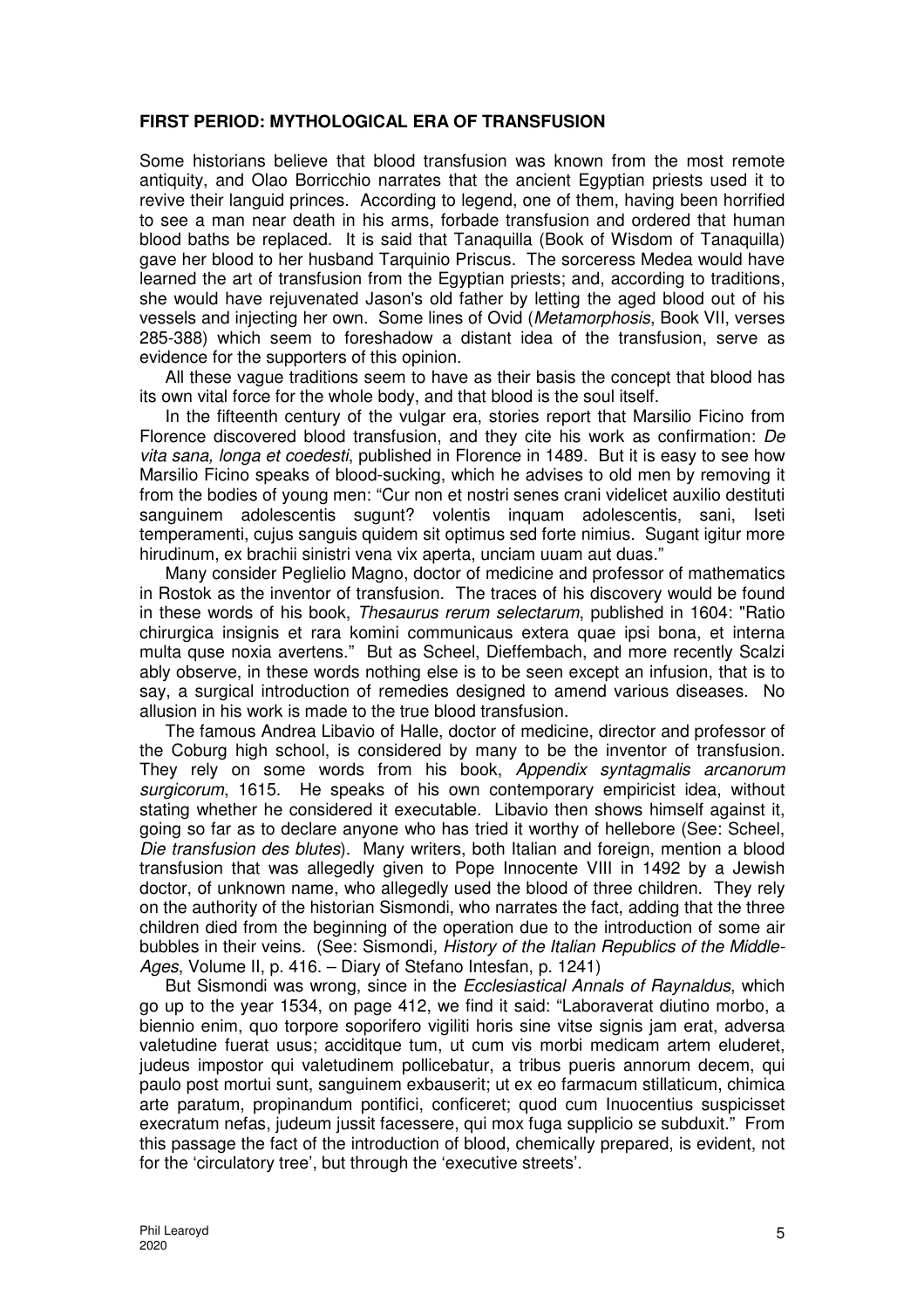### **FIRST PERIOD: MYTHOLOGICAL ERA OF TRANSFUSION**

Some historians believe that blood transfusion was known from the most remote antiquity, and Olao Borricchio narrates that the ancient Egyptian priests used it to revive their languid princes. According to legend, one of them, having been horrified to see a man near death in his arms, forbade transfusion and ordered that human blood baths be replaced. It is said that Tanaquilla (Book of Wisdom of Tanaquilla) gave her blood to her husband Tarquinio Priscus. The sorceress Medea would have learned the art of transfusion from the Egyptian priests; and, according to traditions, she would have rejuvenated Jason's old father by letting the aged blood out of his vessels and injecting her own. Some lines of Ovid (Metamorphosis, Book VII, verses 285-388) which seem to foreshadow a distant idea of the transfusion, serve as evidence for the supporters of this opinion.

All these vague traditions seem to have as their basis the concept that blood has its own vital force for the whole body, and that blood is the soul itself.

In the fifteenth century of the vulgar era, stories report that Marsilio Ficino from Florence discovered blood transfusion, and they cite his work as confirmation: De vita sana, longa et coedesti, published in Florence in 1489. But it is easy to see how Marsilio Ficino speaks of blood-sucking, which he advises to old men by removing it from the bodies of young men: "Cur non et nostri senes crani videlicet auxilio destituti sanguinem adolescentis sugunt? volentis inquam adolescentis, sani, Iseti temperamenti, cujus sanguis quidem sit optimus sed forte nimius. Sugant igitur more hirudinum, ex brachii sinistri vena vix aperta, unciam uuam aut duas."

Many consider Peglielio Magno, doctor of medicine and professor of mathematics in Rostok as the inventor of transfusion. The traces of his discovery would be found in these words of his book, Thesaurus rerum selectarum, published in 1604: "Ratio chirurgica insignis et rara komini communicaus extera quae ipsi bona, et interna multa quse noxia avertens." But as Scheel, Dieffembach, and more recently Scalzi ably observe, in these words nothing else is to be seen except an infusion, that is to say, a surgical introduction of remedies designed to amend various diseases. No allusion in his work is made to the true blood transfusion.

The famous Andrea Libavio of Halle, doctor of medicine, director and professor of the Coburg high school, is considered by many to be the inventor of transfusion. They rely on some words from his book, Appendix syntagmalis arcanorum surgicorum, 1615. He speaks of his own contemporary empiricist idea, without stating whether he considered it executable. Libavio then shows himself against it, going so far as to declare anyone who has tried it worthy of hellebore (See: Scheel, Die transfusion des blutes). Many writers, both Italian and foreign, mention a blood transfusion that was allegedly given to Pope Innocente VIII in 1492 by a Jewish doctor, of unknown name, who allegedly used the blood of three children. They rely on the authority of the historian Sismondi, who narrates the fact, adding that the three children died from the beginning of the operation due to the introduction of some air bubbles in their veins. (See: Sismondi, History of the Italian Republics of the Middle-Ages, Volume II, p. 416. – Diary of Stefano Intesfan, p. 1241)

But Sismondi was wrong, since in the *Ecclesiastical Annals of Raynaldus*, which go up to the year 1534, on page 412, we find it said: "Laboraverat diutino morbo, a biennio enim, quo torpore soporifero vigiliti horis sine vitse signis jam erat, adversa valetudine fuerat usus; acciditque tum, ut cum vis morbi medicam artem eluderet, judeus impostor qui valetudinem pollicebatur, a tribus pueris annorum decem, qui paulo post mortui sunt, sanguinem exbauserit; ut ex eo farmacum stillaticum, chimica arte paratum, propinandum pontifici, conficeret; quod cum Inuocentius suspicisset execratum nefas, judeum jussit facessere, qui mox fuga supplicio se subduxit." From this passage the fact of the introduction of blood, chemically prepared, is evident, not for the 'circulatory tree', but through the 'executive streets'.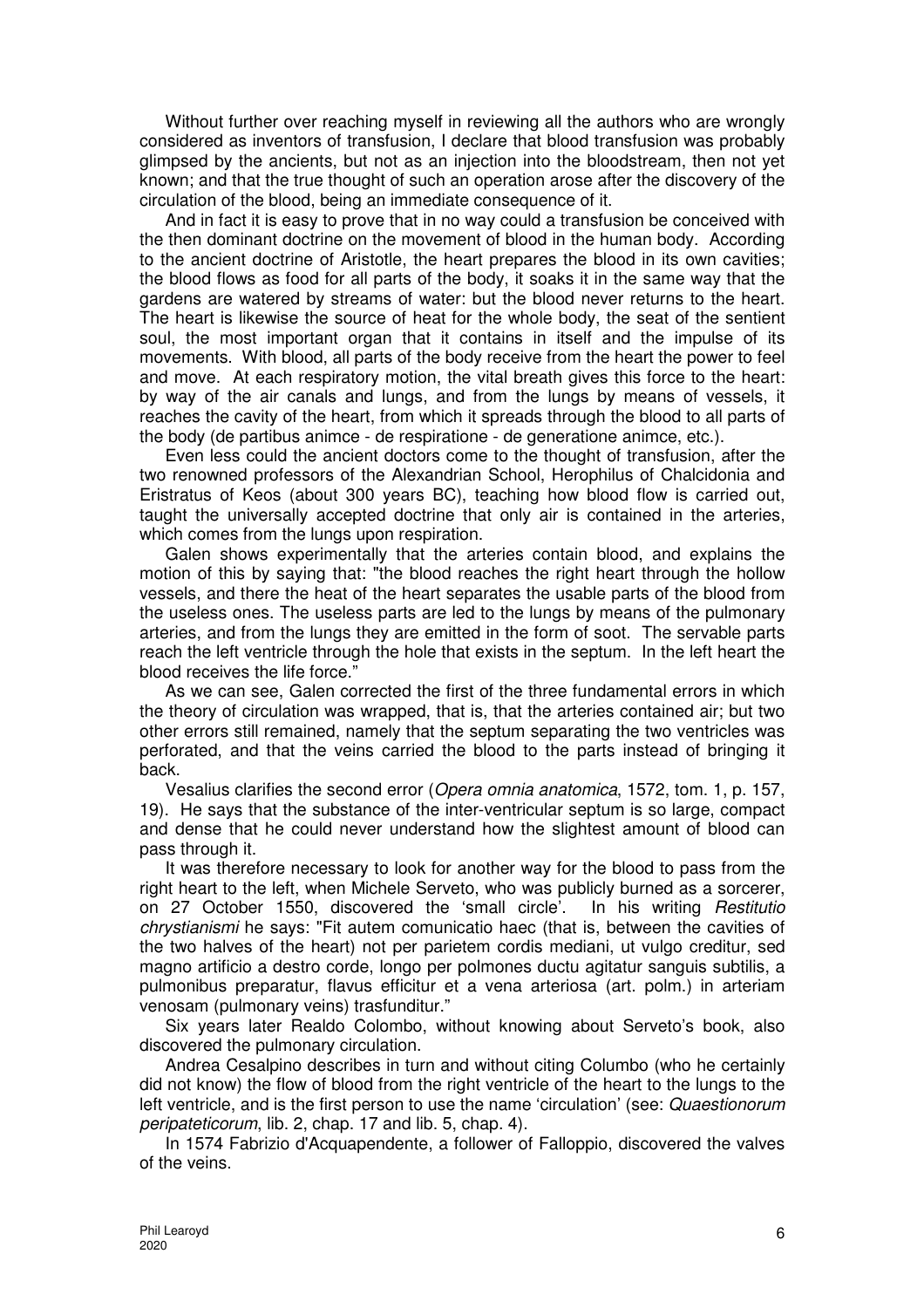Without further over reaching myself in reviewing all the authors who are wrongly considered as inventors of transfusion, I declare that blood transfusion was probably glimpsed by the ancients, but not as an injection into the bloodstream, then not yet known; and that the true thought of such an operation arose after the discovery of the circulation of the blood, being an immediate consequence of it.

And in fact it is easy to prove that in no way could a transfusion be conceived with the then dominant doctrine on the movement of blood in the human body. According to the ancient doctrine of Aristotle, the heart prepares the blood in its own cavities; the blood flows as food for all parts of the body, it soaks it in the same way that the gardens are watered by streams of water: but the blood never returns to the heart. The heart is likewise the source of heat for the whole body, the seat of the sentient soul, the most important organ that it contains in itself and the impulse of its movements. With blood, all parts of the body receive from the heart the power to feel and move. At each respiratory motion, the vital breath gives this force to the heart: by way of the air canals and lungs, and from the lungs by means of vessels, it reaches the cavity of the heart, from which it spreads through the blood to all parts of the body (de partibus animce - de respiratione - de generatione animce, etc.).

Even less could the ancient doctors come to the thought of transfusion, after the two renowned professors of the Alexandrian School, Herophilus of Chalcidonia and Eristratus of Keos (about 300 years BC), teaching how blood flow is carried out, taught the universally accepted doctrine that only air is contained in the arteries, which comes from the lungs upon respiration.

Galen shows experimentally that the arteries contain blood, and explains the motion of this by saying that: "the blood reaches the right heart through the hollow vessels, and there the heat of the heart separates the usable parts of the blood from the useless ones. The useless parts are led to the lungs by means of the pulmonary arteries, and from the lungs they are emitted in the form of soot. The servable parts reach the left ventricle through the hole that exists in the septum. In the left heart the blood receives the life force."

As we can see, Galen corrected the first of the three fundamental errors in which the theory of circulation was wrapped, that is, that the arteries contained air; but two other errors still remained, namely that the septum separating the two ventricles was perforated, and that the veins carried the blood to the parts instead of bringing it back.

Vesalius clarifies the second error (Opera omnia anatomica, 1572, tom. 1, p. 157, 19). He says that the substance of the inter-ventricular septum is so large, compact and dense that he could never understand how the slightest amount of blood can pass through it.

It was therefore necessary to look for another way for the blood to pass from the right heart to the left, when Michele Serveto, who was publicly burned as a sorcerer, on 27 October 1550, discovered the 'small circle'. In his writing Restitutio chrystianismi he says: "Fit autem comunicatio haec (that is, between the cavities of the two halves of the heart) not per parietem cordis mediani, ut vulgo creditur, sed magno artificio a destro corde, longo per polmones ductu agitatur sanguis subtilis, a pulmonibus preparatur, flavus efficitur et a vena arteriosa (art. polm.) in arteriam venosam (pulmonary veins) trasfunditur."

Six years later Realdo Colombo, without knowing about Serveto's book, also discovered the pulmonary circulation.

Andrea Cesalpino describes in turn and without citing Columbo (who he certainly did not know) the flow of blood from the right ventricle of the heart to the lungs to the left ventricle, and is the first person to use the name 'circulation' (see: Quaestionorum peripateticorum, lib. 2, chap. 17 and lib. 5, chap. 4).

In 1574 Fabrizio d'Acquapendente, a follower of Falloppio, discovered the valves of the veins.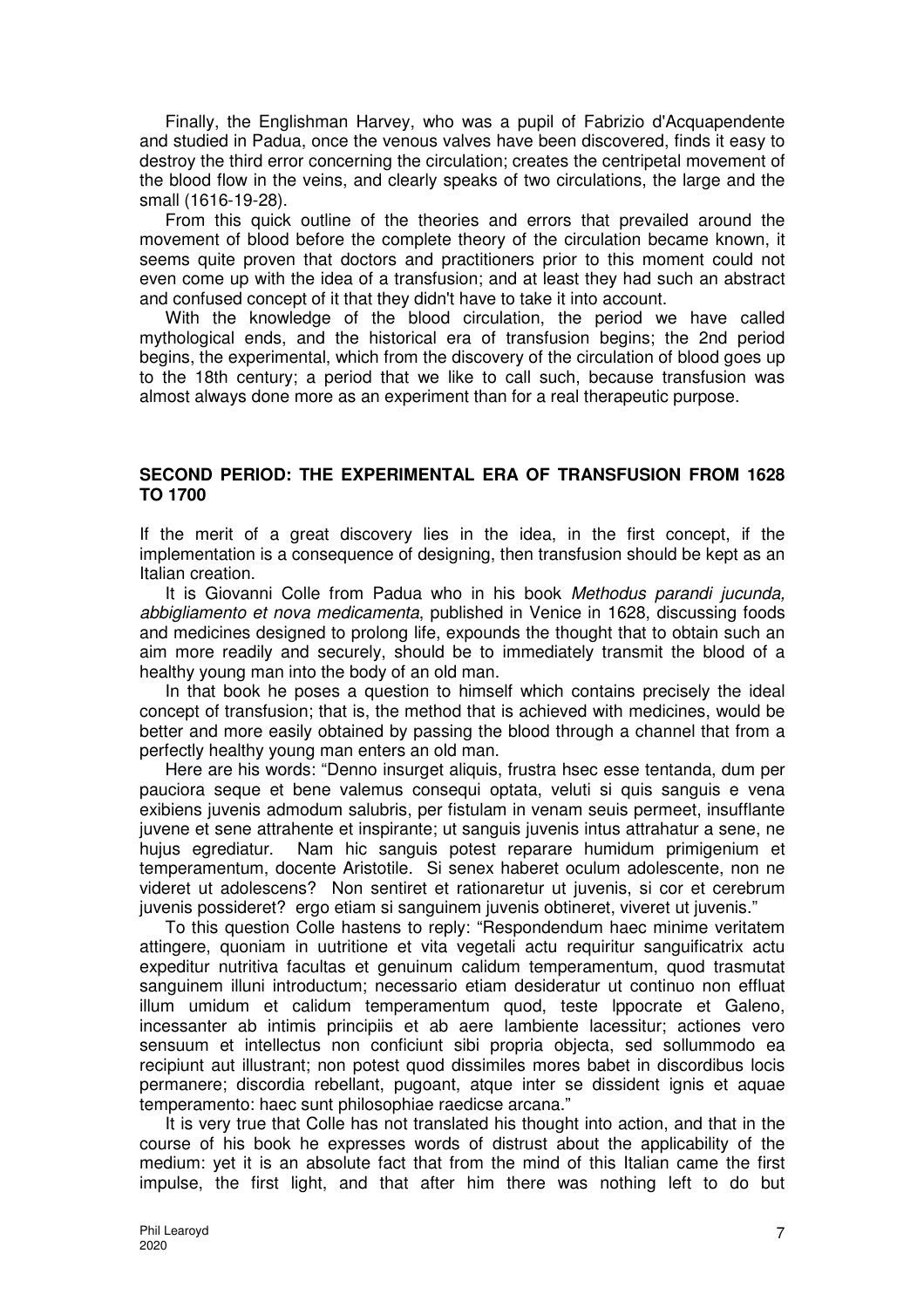Finally, the Englishman Harvey, who was a pupil of Fabrizio d'Acquapendente and studied in Padua, once the venous valves have been discovered, finds it easy to destroy the third error concerning the circulation; creates the centripetal movement of the blood flow in the veins, and clearly speaks of two circulations, the large and the small (1616-19-28).

From this quick outline of the theories and errors that prevailed around the movement of blood before the complete theory of the circulation became known, it seems quite proven that doctors and practitioners prior to this moment could not even come up with the idea of a transfusion; and at least they had such an abstract and confused concept of it that they didn't have to take it into account.

With the knowledge of the blood circulation, the period we have called mythological ends, and the historical era of transfusion begins; the 2nd period begins, the experimental, which from the discovery of the circulation of blood goes up to the 18th century; a period that we like to call such, because transfusion was almost always done more as an experiment than for a real therapeutic purpose.

### **SECOND PERIOD: THE EXPERIMENTAL ERA OF TRANSFUSION FROM 1628 TO 1700**

If the merit of a great discovery lies in the idea, in the first concept, if the implementation is a consequence of designing, then transfusion should be kept as an Italian creation.

It is Giovanni Colle from Padua who in his book Methodus parandi jucunda, abbigliamento et nova medicamenta, published in Venice in 1628, discussing foods and medicines designed to prolong life, expounds the thought that to obtain such an aim more readily and securely, should be to immediately transmit the blood of a healthy young man into the body of an old man.

In that book he poses a question to himself which contains precisely the ideal concept of transfusion; that is, the method that is achieved with medicines, would be better and more easily obtained by passing the blood through a channel that from a perfectly healthy young man enters an old man.

Here are his words: "Denno insurget aliquis, frustra hsec esse tentanda, dum per pauciora seque et bene valemus consequi optata, veluti si quis sanguis e vena exibiens juvenis admodum salubris, per fistulam in venam seuis permeet, insufflante juvene et sene attrahente et inspirante; ut sanguis juvenis intus attrahatur a sene, ne hujus egrediatur. Nam hic sanguis potest reparare humidum primigenium et temperamentum, docente Aristotile. Si senex haberet oculum adolescente, non ne videret ut adolescens? Non sentiret et rationaretur ut juvenis, si cor et cerebrum juvenis possideret? ergo etiam si sanguinem juvenis obtineret, viveret ut juvenis."

To this question Colle hastens to reply: "Respondendum haec minime veritatem attingere, quoniam in uutritione et vita vegetali actu requiritur sanguificatrix actu expeditur nutritiva facultas et genuinum calidum temperamentum, quod trasmutat sanguinem illuni introductum; necessario etiam desideratur ut continuo non effluat illum umidum et calidum temperamentum quod, teste lppocrate et Galeno, incessanter ab intimis principiis et ab aere lambiente lacessitur; actiones vero sensuum et intellectus non conficiunt sibi propria objecta, sed sollummodo ea recipiunt aut illustrant; non potest quod dissimiles mores babet in discordibus locis permanere; discordia rebellant, pugoant, atque inter se dissident ignis et aquae temperamento: haec sunt philosophiae raedicse arcana."

It is very true that Colle has not translated his thought into action, and that in the course of his book he expresses words of distrust about the applicability of the medium: yet it is an absolute fact that from the mind of this Italian came the first impulse, the first light, and that after him there was nothing left to do but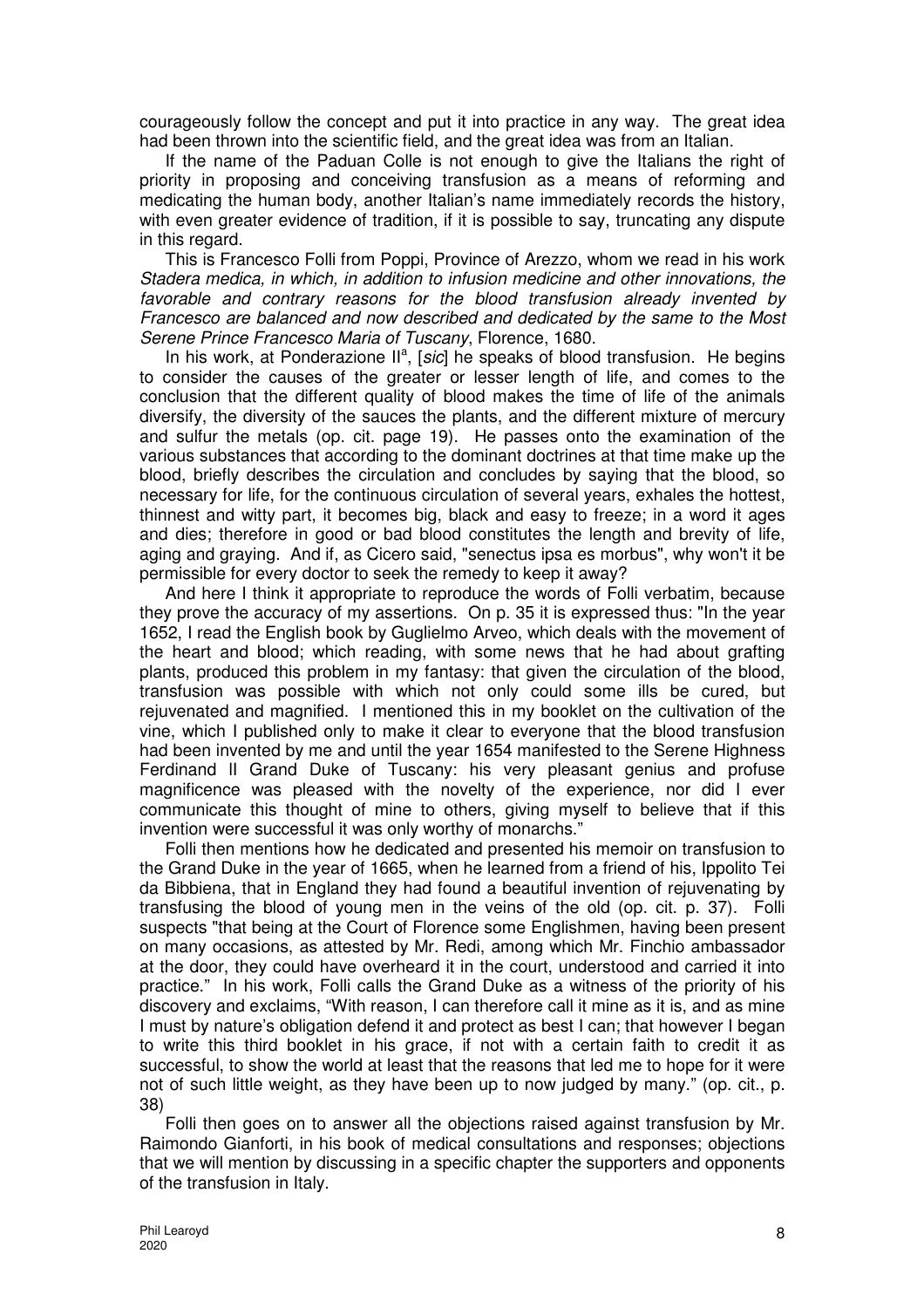courageously follow the concept and put it into practice in any way. The great idea had been thrown into the scientific field, and the great idea was from an Italian.

If the name of the Paduan Colle is not enough to give the Italians the right of priority in proposing and conceiving transfusion as a means of reforming and medicating the human body, another Italian's name immediately records the history, with even greater evidence of tradition, if it is possible to say, truncating any dispute in this regard.

This is Francesco Folli from Poppi, Province of Arezzo, whom we read in his work Stadera medica, in which, in addition to infusion medicine and other innovations, the favorable and contrary reasons for the blood transfusion already invented by Francesco are balanced and now described and dedicated by the same to the Most Serene Prince Francesco Maria of Tuscany, Florence, 1680.

In his work, at Ponderazione  $II^a$ , [sic] he speaks of blood transfusion. He begins to consider the causes of the greater or lesser length of life, and comes to the conclusion that the different quality of blood makes the time of life of the animals diversify, the diversity of the sauces the plants, and the different mixture of mercury and sulfur the metals (op. cit. page 19). He passes onto the examination of the various substances that according to the dominant doctrines at that time make up the blood, briefly describes the circulation and concludes by saying that the blood, so necessary for life, for the continuous circulation of several years, exhales the hottest, thinnest and witty part, it becomes big, black and easy to freeze; in a word it ages and dies; therefore in good or bad blood constitutes the length and brevity of life, aging and graying. And if, as Cicero said, "senectus ipsa es morbus", why won't it be permissible for every doctor to seek the remedy to keep it away?

And here I think it appropriate to reproduce the words of Folli verbatim, because they prove the accuracy of my assertions. On p. 35 it is expressed thus: "In the year 1652, I read the English book by Guglielmo Arveo, which deals with the movement of the heart and blood; which reading, with some news that he had about grafting plants, produced this problem in my fantasy: that given the circulation of the blood, transfusion was possible with which not only could some ills be cured, but rejuvenated and magnified. I mentioned this in my booklet on the cultivation of the vine, which I published only to make it clear to everyone that the blood transfusion had been invented by me and until the year 1654 manifested to the Serene Highness Ferdinand lI Grand Duke of Tuscany: his very pleasant genius and profuse magnificence was pleased with the novelty of the experience, nor did I ever communicate this thought of mine to others, giving myself to believe that if this invention were successful it was only worthy of monarchs."

Folli then mentions how he dedicated and presented his memoir on transfusion to the Grand Duke in the year of 1665, when he learned from a friend of his, Ippolito Tei da Bibbiena, that in England they had found a beautiful invention of rejuvenating by transfusing the blood of young men in the veins of the old (op. cit. p. 37). Folli suspects "that being at the Court of Florence some Englishmen, having been present on many occasions, as attested by Mr. Redi, among which Mr. Finchio ambassador at the door, they could have overheard it in the court, understood and carried it into practice." In his work, Folli calls the Grand Duke as a witness of the priority of his discovery and exclaims, "With reason, I can therefore call it mine as it is, and as mine I must by nature's obligation defend it and protect as best I can; that however I began to write this third booklet in his grace, if not with a certain faith to credit it as successful, to show the world at least that the reasons that led me to hope for it were not of such little weight, as they have been up to now judged by many." (op. cit., p. 38)

Folli then goes on to answer all the objections raised against transfusion by Mr. Raimondo Gianforti, in his book of medical consultations and responses; objections that we will mention by discussing in a specific chapter the supporters and opponents of the transfusion in Italy.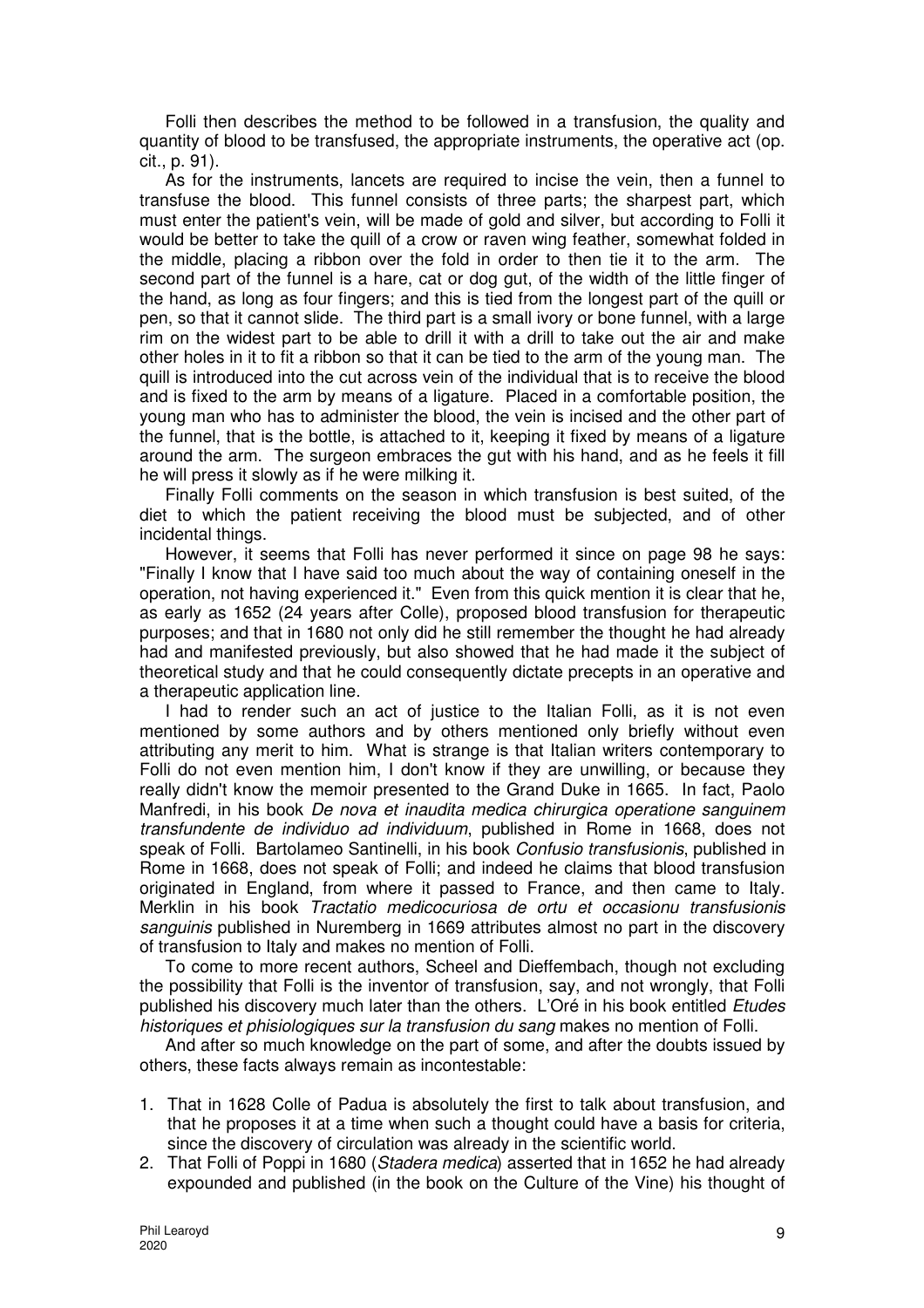Folli then describes the method to be followed in a transfusion, the quality and quantity of blood to be transfused, the appropriate instruments, the operative act (op. cit., p. 91).

As for the instruments, lancets are required to incise the vein, then a funnel to transfuse the blood. This funnel consists of three parts; the sharpest part, which must enter the patient's vein, will be made of gold and silver, but according to Folli it would be better to take the quill of a crow or raven wing feather, somewhat folded in the middle, placing a ribbon over the fold in order to then tie it to the arm. The second part of the funnel is a hare, cat or dog gut, of the width of the little finger of the hand, as long as four fingers; and this is tied from the longest part of the quill or pen, so that it cannot slide. The third part is a small ivory or bone funnel, with a large rim on the widest part to be able to drill it with a drill to take out the air and make other holes in it to fit a ribbon so that it can be tied to the arm of the young man. The quill is introduced into the cut across vein of the individual that is to receive the blood and is fixed to the arm by means of a ligature. Placed in a comfortable position, the young man who has to administer the blood, the vein is incised and the other part of the funnel, that is the bottle, is attached to it, keeping it fixed by means of a ligature around the arm. The surgeon embraces the gut with his hand, and as he feels it fill he will press it slowly as if he were milking it.

Finally Folli comments on the season in which transfusion is best suited, of the diet to which the patient receiving the blood must be subjected, and of other incidental things.

However, it seems that Folli has never performed it since on page 98 he says: "Finally I know that I have said too much about the way of containing oneself in the operation, not having experienced it." Even from this quick mention it is clear that he, as early as 1652 (24 years after Colle), proposed blood transfusion for therapeutic purposes; and that in 1680 not only did he still remember the thought he had already had and manifested previously, but also showed that he had made it the subject of theoretical study and that he could consequently dictate precepts in an operative and a therapeutic application line.

I had to render such an act of justice to the Italian Folli, as it is not even mentioned by some authors and by others mentioned only briefly without even attributing any merit to him. What is strange is that Italian writers contemporary to Folli do not even mention him, I don't know if they are unwilling, or because they really didn't know the memoir presented to the Grand Duke in 1665. In fact, Paolo Manfredi, in his book De nova et inaudita medica chirurgica operatione sanguinem transfundente de individuo ad individuum, published in Rome in 1668, does not speak of Folli. Bartolameo Santinelli, in his book Confusio transfusionis, published in Rome in 1668, does not speak of Folli; and indeed he claims that blood transfusion originated in England, from where it passed to France, and then came to Italy. Merklin in his book Tractatio medicocuriosa de ortu et occasionu transfusionis sanguinis published in Nuremberg in 1669 attributes almost no part in the discovery of transfusion to Italy and makes no mention of Folli.

To come to more recent authors, Scheel and Dieffembach, though not excluding the possibility that Folli is the inventor of transfusion, say, and not wrongly, that Folli published his discovery much later than the others. L'Oré in his book entitled Etudes historiques et phisiologiques sur la transfusion du sang makes no mention of Folli.

And after so much knowledge on the part of some, and after the doubts issued by others, these facts always remain as incontestable:

- 1. That in 1628 Colle of Padua is absolutely the first to talk about transfusion, and that he proposes it at a time when such a thought could have a basis for criteria, since the discovery of circulation was already in the scientific world.
- 2. That Folli of Poppi in 1680 (Stadera medica) asserted that in 1652 he had already expounded and published (in the book on the Culture of the Vine) his thought of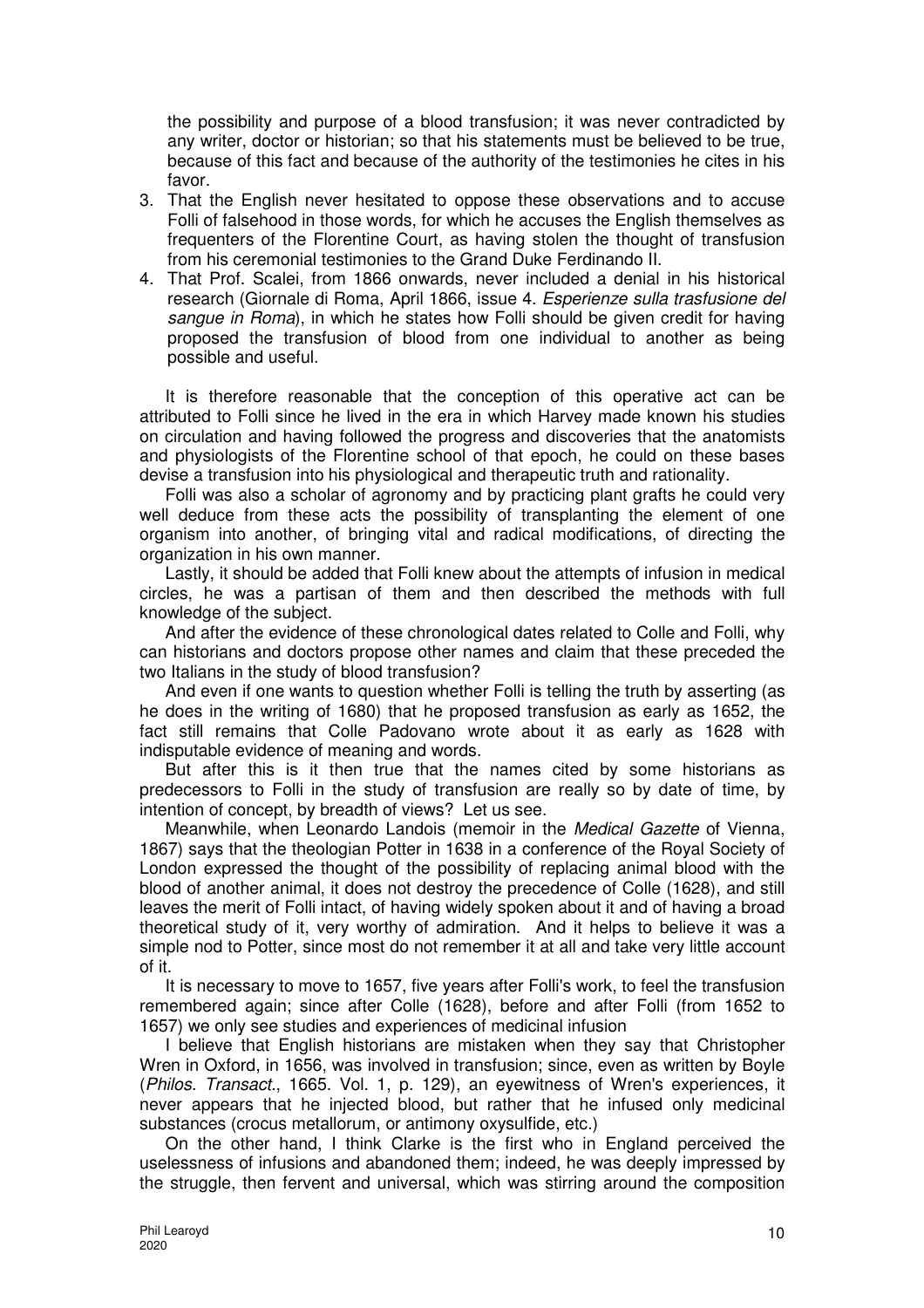the possibility and purpose of a blood transfusion; it was never contradicted by any writer, doctor or historian; so that his statements must be believed to be true, because of this fact and because of the authority of the testimonies he cites in his favor.

- 3. That the English never hesitated to oppose these observations and to accuse Folli of falsehood in those words, for which he accuses the English themselves as frequenters of the Florentine Court, as having stolen the thought of transfusion from his ceremonial testimonies to the Grand Duke Ferdinando II.
- 4. That Prof. Scalei, from 1866 onwards, never included a denial in his historical research (Giornale di Roma, April 1866, issue 4. Esperienze sulla trasfusione del sangue in Roma), in which he states how Folli should be given credit for having proposed the transfusion of blood from one individual to another as being possible and useful.

It is therefore reasonable that the conception of this operative act can be attributed to Folli since he lived in the era in which Harvey made known his studies on circulation and having followed the progress and discoveries that the anatomists and physiologists of the Florentine school of that epoch, he could on these bases devise a transfusion into his physiological and therapeutic truth and rationality.

Folli was also a scholar of agronomy and by practicing plant grafts he could very well deduce from these acts the possibility of transplanting the element of one organism into another, of bringing vital and radical modifications, of directing the organization in his own manner.

Lastly, it should be added that Folli knew about the attempts of infusion in medical circles, he was a partisan of them and then described the methods with full knowledge of the subject.

And after the evidence of these chronological dates related to Colle and Folli, why can historians and doctors propose other names and claim that these preceded the two Italians in the study of blood transfusion?

And even if one wants to question whether Folli is telling the truth by asserting (as he does in the writing of 1680) that he proposed transfusion as early as 1652, the fact still remains that Colle Padovano wrote about it as early as 1628 with indisputable evidence of meaning and words.

But after this is it then true that the names cited by some historians as predecessors to Folli in the study of transfusion are really so by date of time, by intention of concept, by breadth of views? Let us see.

Meanwhile, when Leonardo Landois (memoir in the Medical Gazette of Vienna, 1867) says that the theologian Potter in 1638 in a conference of the Royal Society of London expressed the thought of the possibility of replacing animal blood with the blood of another animal, it does not destroy the precedence of Colle (1628), and still leaves the merit of Folli intact, of having widely spoken about it and of having a broad theoretical study of it, very worthy of admiration. And it helps to believe it was a simple nod to Potter, since most do not remember it at all and take very little account of it.

It is necessary to move to 1657, five years after Folli's work, to feel the transfusion remembered again; since after Colle (1628), before and after Folli (from 1652 to 1657) we only see studies and experiences of medicinal infusion

I believe that English historians are mistaken when they say that Christopher Wren in Oxford, in 1656, was involved in transfusion; since, even as written by Boyle (Philos. Transact., 1665. Vol. 1, p. 129), an eyewitness of Wren's experiences, it never appears that he injected blood, but rather that he infused only medicinal substances (crocus metallorum, or antimony oxysulfide, etc.)

On the other hand, I think Clarke is the first who in England perceived the uselessness of infusions and abandoned them; indeed, he was deeply impressed by the struggle, then fervent and universal, which was stirring around the composition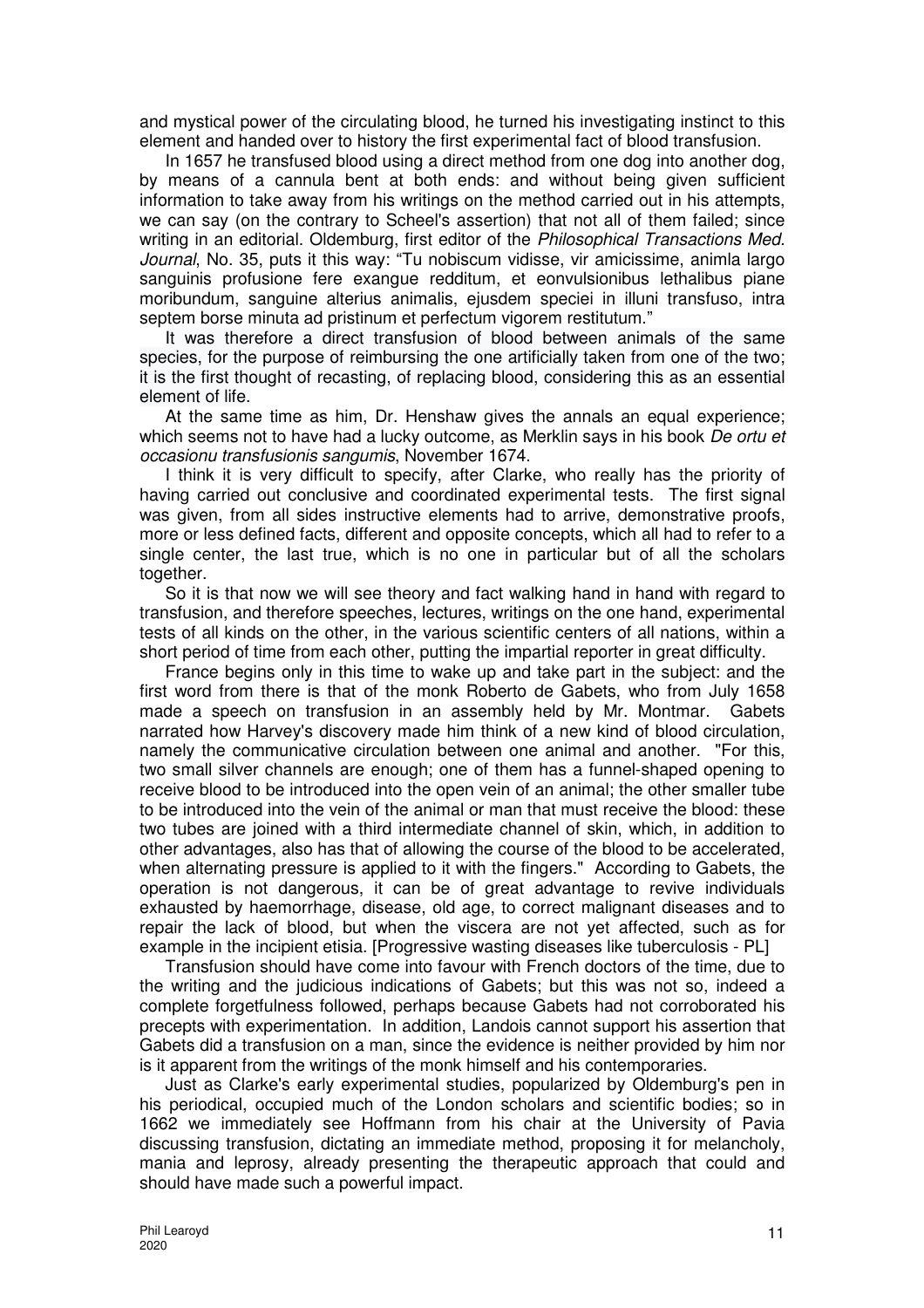and mystical power of the circulating blood, he turned his investigating instinct to this element and handed over to history the first experimental fact of blood transfusion.

In 1657 he transfused blood using a direct method from one dog into another dog, by means of a cannula bent at both ends: and without being given sufficient information to take away from his writings on the method carried out in his attempts, we can say (on the contrary to Scheel's assertion) that not all of them failed; since writing in an editorial. Oldemburg, first editor of the *Philosophical Transactions Med.* Journal, No. 35, puts it this way: "Tu nobiscum vidisse, vir amicissime, animla largo sanguinis profusione fere exangue redditum, et eonvulsionibus lethalibus piane moribundum, sanguine alterius animalis, ejusdem speciei in illuni transfuso, intra septem borse minuta ad pristinum et perfectum vigorem restitutum."

It was therefore a direct transfusion of blood between animals of the same species, for the purpose of reimbursing the one artificially taken from one of the two; it is the first thought of recasting, of replacing blood, considering this as an essential element of life.

At the same time as him, Dr. Henshaw gives the annals an equal experience; which seems not to have had a lucky outcome, as Merklin says in his book *De ortu et* occasionu transfusionis sangumis, November 1674.

I think it is very difficult to specify, after Clarke, who really has the priority of having carried out conclusive and coordinated experimental tests. The first signal was given, from all sides instructive elements had to arrive, demonstrative proofs, more or less defined facts, different and opposite concepts, which all had to refer to a single center, the last true, which is no one in particular but of all the scholars together.

So it is that now we will see theory and fact walking hand in hand with regard to transfusion, and therefore speeches, lectures, writings on the one hand, experimental tests of all kinds on the other, in the various scientific centers of all nations, within a short period of time from each other, putting the impartial reporter in great difficulty.

France begins only in this time to wake up and take part in the subject: and the first word from there is that of the monk Roberto de Gabets, who from July 1658 made a speech on transfusion in an assembly held by Mr. Montmar. Gabets narrated how Harvey's discovery made him think of a new kind of blood circulation, namely the communicative circulation between one animal and another. "For this, two small silver channels are enough; one of them has a funnel-shaped opening to receive blood to be introduced into the open vein of an animal; the other smaller tube to be introduced into the vein of the animal or man that must receive the blood: these two tubes are joined with a third intermediate channel of skin, which, in addition to other advantages, also has that of allowing the course of the blood to be accelerated, when alternating pressure is applied to it with the fingers." According to Gabets, the operation is not dangerous, it can be of great advantage to revive individuals exhausted by haemorrhage, disease, old age, to correct malignant diseases and to repair the lack of blood, but when the viscera are not yet affected, such as for example in the incipient etisia. [Progressive wasting diseases like tuberculosis - PL]

Transfusion should have come into favour with French doctors of the time, due to the writing and the judicious indications of Gabets; but this was not so, indeed a complete forgetfulness followed, perhaps because Gabets had not corroborated his precepts with experimentation. In addition, Landois cannot support his assertion that Gabets did a transfusion on a man, since the evidence is neither provided by him nor is it apparent from the writings of the monk himself and his contemporaries.

Just as Clarke's early experimental studies, popularized by Oldemburg's pen in his periodical, occupied much of the London scholars and scientific bodies; so in 1662 we immediately see Hoffmann from his chair at the University of Pavia discussing transfusion, dictating an immediate method, proposing it for melancholy, mania and leprosy, already presenting the therapeutic approach that could and should have made such a powerful impact.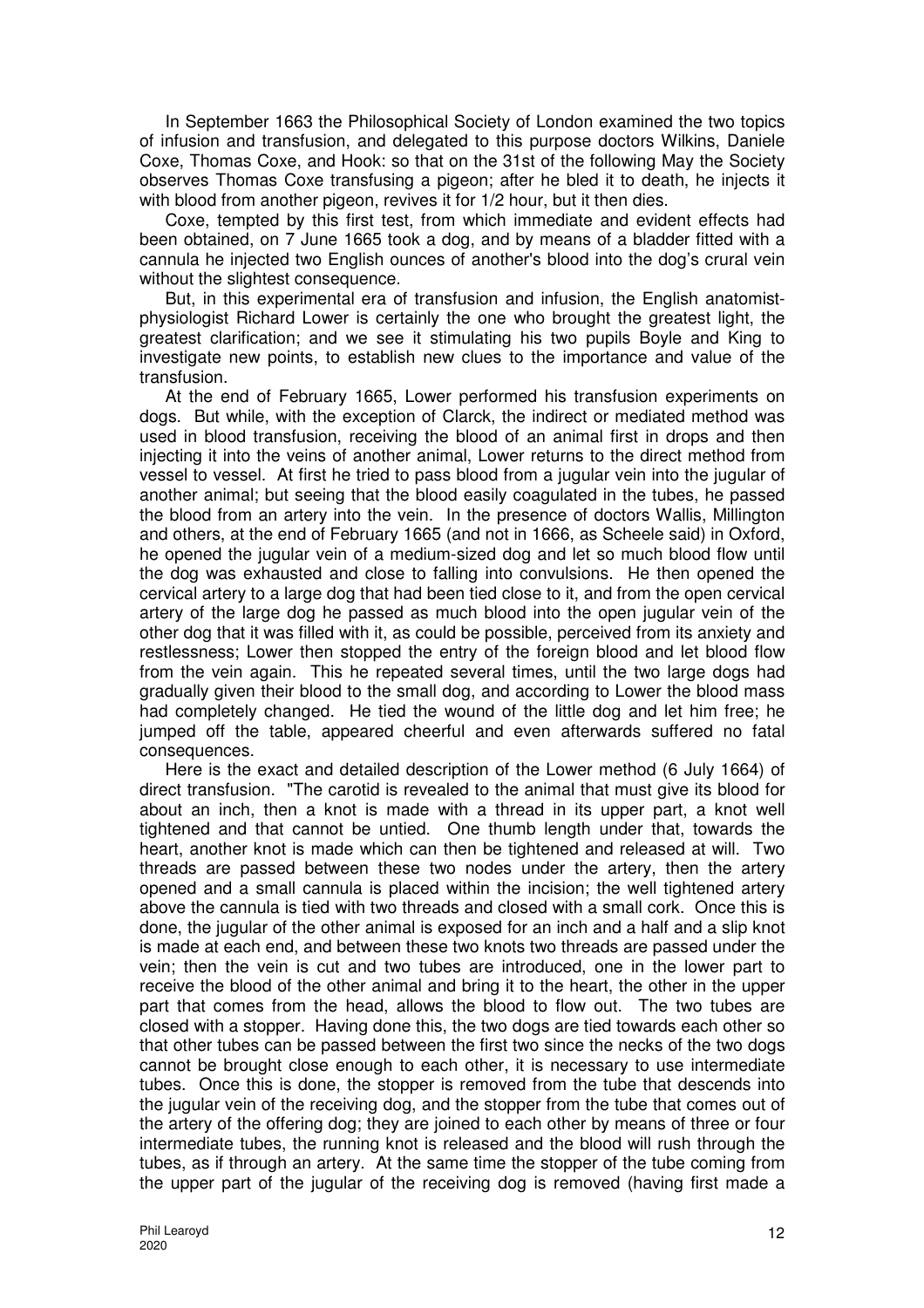In September 1663 the Philosophical Society of London examined the two topics of infusion and transfusion, and delegated to this purpose doctors Wilkins, Daniele Coxe, Thomas Coxe, and Hook: so that on the 31st of the following May the Society observes Thomas Coxe transfusing a pigeon; after he bled it to death, he injects it with blood from another pigeon, revives it for 1/2 hour, but it then dies.

Coxe, tempted by this first test, from which immediate and evident effects had been obtained, on 7 June 1665 took a dog, and by means of a bladder fitted with a cannula he injected two English ounces of another's blood into the dog's crural vein without the slightest consequence.

But, in this experimental era of transfusion and infusion, the English anatomistphysiologist Richard Lower is certainly the one who brought the greatest light, the greatest clarification; and we see it stimulating his two pupils Boyle and King to investigate new points, to establish new clues to the importance and value of the transfusion.

At the end of February 1665, Lower performed his transfusion experiments on dogs. But while, with the exception of Clarck, the indirect or mediated method was used in blood transfusion, receiving the blood of an animal first in drops and then injecting it into the veins of another animal, Lower returns to the direct method from vessel to vessel. At first he tried to pass blood from a jugular vein into the jugular of another animal; but seeing that the blood easily coagulated in the tubes, he passed the blood from an artery into the vein. In the presence of doctors Wallis, Millington and others, at the end of February 1665 (and not in 1666, as Scheele said) in Oxford, he opened the jugular vein of a medium-sized dog and let so much blood flow until the dog was exhausted and close to falling into convulsions. He then opened the cervical artery to a large dog that had been tied close to it, and from the open cervical artery of the large dog he passed as much blood into the open jugular vein of the other dog that it was filled with it, as could be possible, perceived from its anxiety and restlessness; Lower then stopped the entry of the foreign blood and let blood flow from the vein again. This he repeated several times, until the two large dogs had gradually given their blood to the small dog, and according to Lower the blood mass had completely changed. He tied the wound of the little dog and let him free; he jumped off the table, appeared cheerful and even afterwards suffered no fatal consequences.

Here is the exact and detailed description of the Lower method (6 July 1664) of direct transfusion. "The carotid is revealed to the animal that must give its blood for about an inch, then a knot is made with a thread in its upper part, a knot well tightened and that cannot be untied. One thumb length under that, towards the heart, another knot is made which can then be tightened and released at will. Two threads are passed between these two nodes under the artery, then the artery opened and a small cannula is placed within the incision; the well tightened artery above the cannula is tied with two threads and closed with a small cork. Once this is done, the jugular of the other animal is exposed for an inch and a half and a slip knot is made at each end, and between these two knots two threads are passed under the vein; then the vein is cut and two tubes are introduced, one in the lower part to receive the blood of the other animal and bring it to the heart, the other in the upper part that comes from the head, allows the blood to flow out. The two tubes are closed with a stopper. Having done this, the two dogs are tied towards each other so that other tubes can be passed between the first two since the necks of the two dogs cannot be brought close enough to each other, it is necessary to use intermediate tubes. Once this is done, the stopper is removed from the tube that descends into the jugular vein of the receiving dog, and the stopper from the tube that comes out of the artery of the offering dog; they are joined to each other by means of three or four intermediate tubes, the running knot is released and the blood will rush through the tubes, as if through an artery. At the same time the stopper of the tube coming from the upper part of the jugular of the receiving dog is removed (having first made a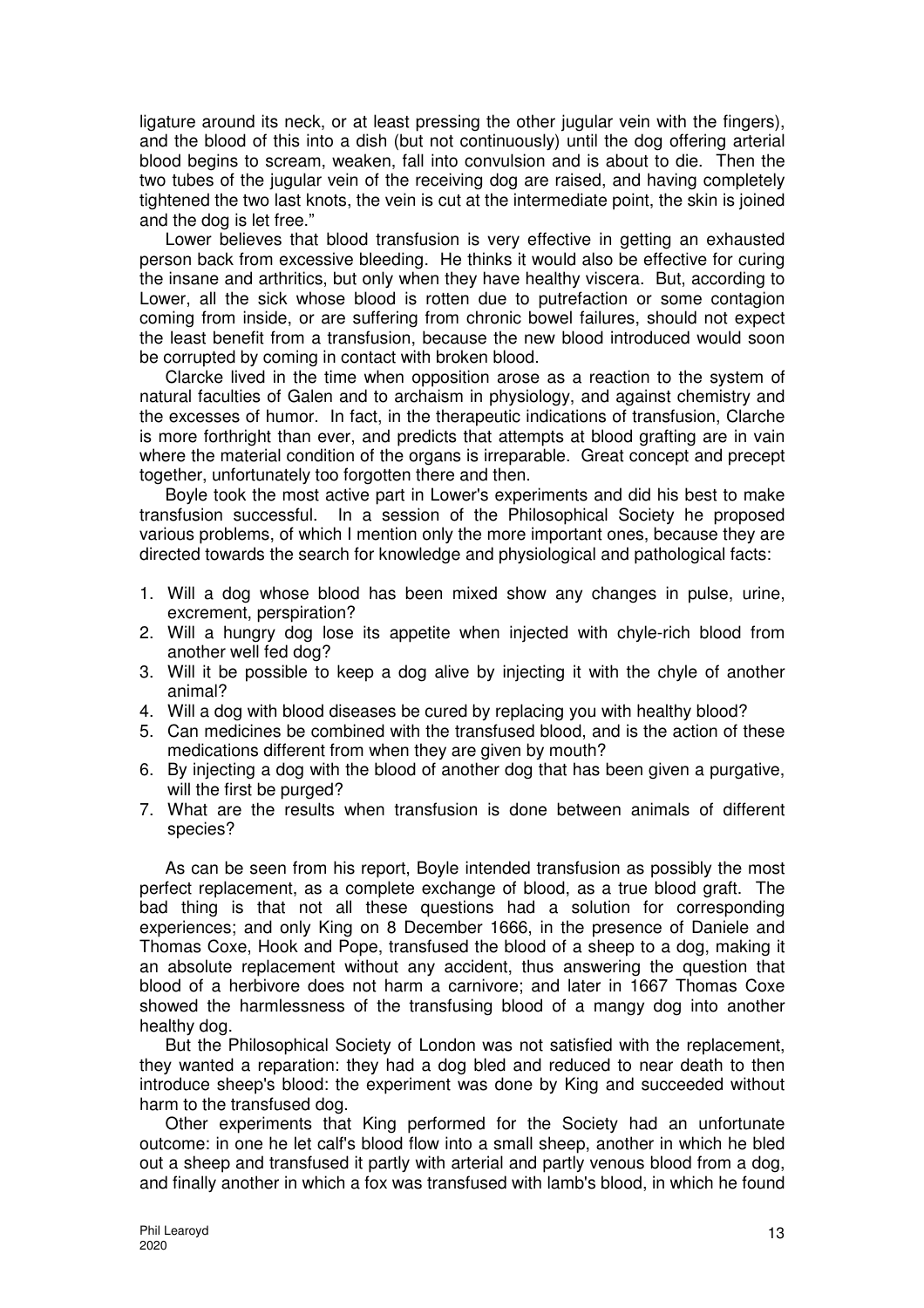ligature around its neck, or at least pressing the other jugular vein with the fingers), and the blood of this into a dish (but not continuously) until the dog offering arterial blood begins to scream, weaken, fall into convulsion and is about to die. Then the two tubes of the jugular vein of the receiving dog are raised, and having completely tightened the two last knots, the vein is cut at the intermediate point, the skin is joined and the dog is let free."

Lower believes that blood transfusion is very effective in getting an exhausted person back from excessive bleeding. He thinks it would also be effective for curing the insane and arthritics, but only when they have healthy viscera. But, according to Lower, all the sick whose blood is rotten due to putrefaction or some contagion coming from inside, or are suffering from chronic bowel failures, should not expect the least benefit from a transfusion, because the new blood introduced would soon be corrupted by coming in contact with broken blood.

Clarcke lived in the time when opposition arose as a reaction to the system of natural faculties of Galen and to archaism in physiology, and against chemistry and the excesses of humor. In fact, in the therapeutic indications of transfusion, Clarche is more forthright than ever, and predicts that attempts at blood grafting are in vain where the material condition of the organs is irreparable. Great concept and precept together, unfortunately too forgotten there and then.

Boyle took the most active part in Lower's experiments and did his best to make transfusion successful. In a session of the Philosophical Society he proposed various problems, of which I mention only the more important ones, because they are directed towards the search for knowledge and physiological and pathological facts:

- 1. Will a dog whose blood has been mixed show any changes in pulse, urine, excrement, perspiration?
- 2. Will a hungry dog lose its appetite when injected with chyle-rich blood from another well fed dog?
- 3. Will it be possible to keep a dog alive by injecting it with the chyle of another animal?
- 4. Will a dog with blood diseases be cured by replacing you with healthy blood?
- 5. Can medicines be combined with the transfused blood, and is the action of these medications different from when they are given by mouth?
- 6. By injecting a dog with the blood of another dog that has been given a purgative, will the first be purged?
- 7. What are the results when transfusion is done between animals of different species?

As can be seen from his report, Boyle intended transfusion as possibly the most perfect replacement, as a complete exchange of blood, as a true blood graft. The bad thing is that not all these questions had a solution for corresponding experiences; and only King on 8 December 1666, in the presence of Daniele and Thomas Coxe, Hook and Pope, transfused the blood of a sheep to a dog, making it an absolute replacement without any accident, thus answering the question that blood of a herbivore does not harm a carnivore; and later in 1667 Thomas Coxe showed the harmlessness of the transfusing blood of a mangy dog into another healthy dog.

But the Philosophical Society of London was not satisfied with the replacement, they wanted a reparation: they had a dog bled and reduced to near death to then introduce sheep's blood: the experiment was done by King and succeeded without harm to the transfused dog.

Other experiments that King performed for the Society had an unfortunate outcome: in one he let calf's blood flow into a small sheep, another in which he bled out a sheep and transfused it partly with arterial and partly venous blood from a dog, and finally another in which a fox was transfused with lamb's blood, in which he found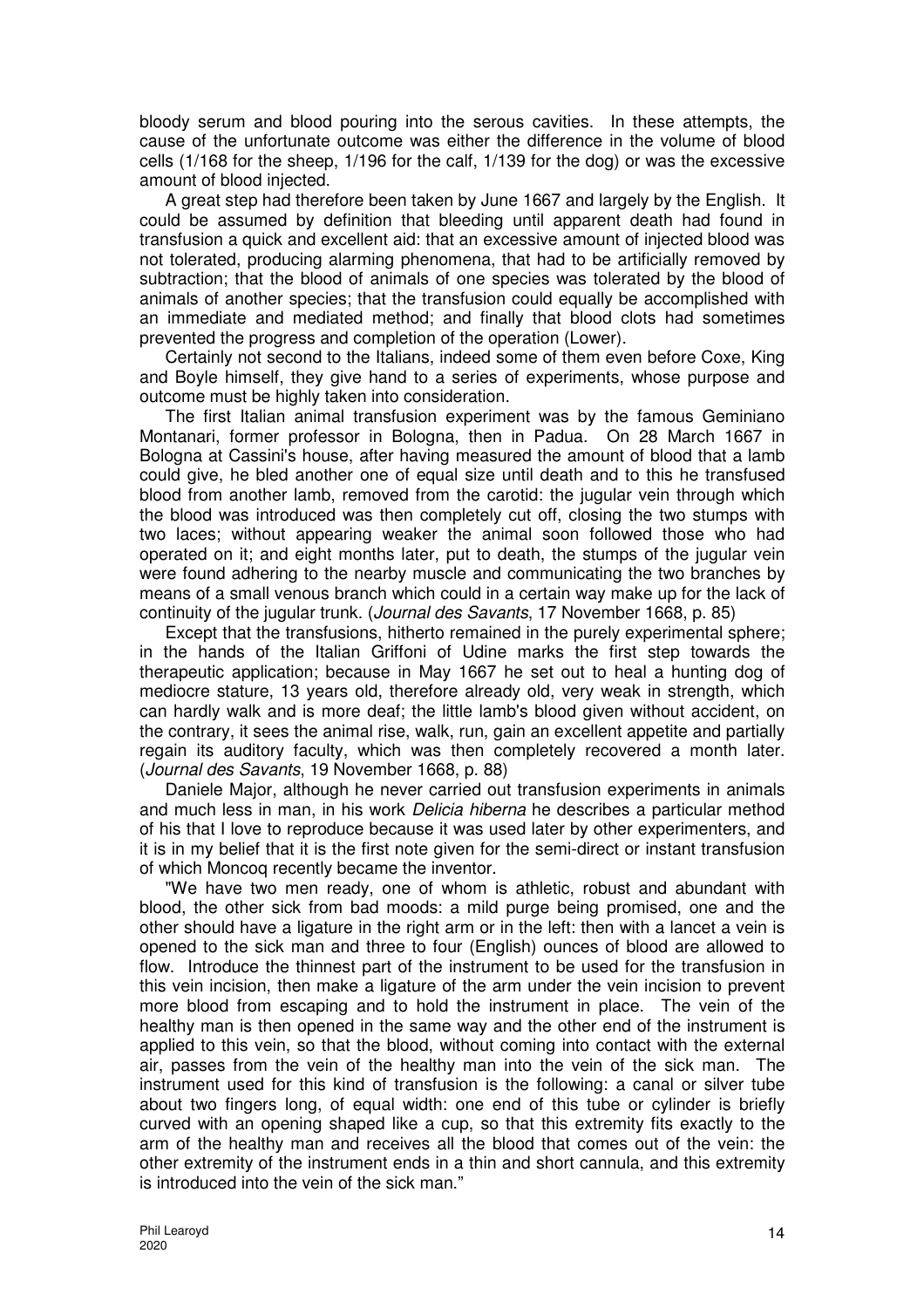bloody serum and blood pouring into the serous cavities. In these attempts, the cause of the unfortunate outcome was either the difference in the volume of blood cells (1/168 for the sheep, 1/196 for the calf, 1/139 for the dog) or was the excessive amount of blood injected.

A great step had therefore been taken by June 1667 and largely by the English. It could be assumed by definition that bleeding until apparent death had found in transfusion a quick and excellent aid: that an excessive amount of injected blood was not tolerated, producing alarming phenomena, that had to be artificially removed by subtraction; that the blood of animals of one species was tolerated by the blood of animals of another species; that the transfusion could equally be accomplished with an immediate and mediated method; and finally that blood clots had sometimes prevented the progress and completion of the operation (Lower).

Certainly not second to the Italians, indeed some of them even before Coxe, King and Boyle himself, they give hand to a series of experiments, whose purpose and outcome must be highly taken into consideration.

The first Italian animal transfusion experiment was by the famous Geminiano Montanari, former professor in Bologna, then in Padua. On 28 March 1667 in Bologna at Cassini's house, after having measured the amount of blood that a lamb could give, he bled another one of equal size until death and to this he transfused blood from another lamb, removed from the carotid: the jugular vein through which the blood was introduced was then completely cut off, closing the two stumps with two laces; without appearing weaker the animal soon followed those who had operated on it; and eight months later, put to death, the stumps of the jugular vein were found adhering to the nearby muscle and communicating the two branches by means of a small venous branch which could in a certain way make up for the lack of continuity of the jugular trunk. (Journal des Savants, 17 November 1668, p. 85)

Except that the transfusions, hitherto remained in the purely experimental sphere; in the hands of the Italian Griffoni of Udine marks the first step towards the therapeutic application; because in May 1667 he set out to heal a hunting dog of mediocre stature, 13 years old, therefore already old, very weak in strength, which can hardly walk and is more deaf; the little lamb's blood given without accident, on the contrary, it sees the animal rise, walk, run, gain an excellent appetite and partially regain its auditory faculty, which was then completely recovered a month later. (Journal des Savants, 19 November 1668, p. 88)

Daniele Major, although he never carried out transfusion experiments in animals and much less in man, in his work Delicia hiberna he describes a particular method of his that I love to reproduce because it was used later by other experimenters, and it is in my belief that it is the first note given for the semi-direct or instant transfusion of which Moncoq recently became the inventor.

"We have two men ready, one of whom is athletic, robust and abundant with blood, the other sick from bad moods: a mild purge being promised, one and the other should have a ligature in the right arm or in the left: then with a lancet a vein is opened to the sick man and three to four (English) ounces of blood are allowed to flow. Introduce the thinnest part of the instrument to be used for the transfusion in this vein incision, then make a ligature of the arm under the vein incision to prevent more blood from escaping and to hold the instrument in place. The vein of the healthy man is then opened in the same way and the other end of the instrument is applied to this vein, so that the blood, without coming into contact with the external air, passes from the vein of the healthy man into the vein of the sick man. The instrument used for this kind of transfusion is the following: a canal or silver tube about two fingers long, of equal width: one end of this tube or cylinder is briefly curved with an opening shaped like a cup, so that this extremity fits exactly to the arm of the healthy man and receives all the blood that comes out of the vein: the other extremity of the instrument ends in a thin and short cannula, and this extremity is introduced into the vein of the sick man."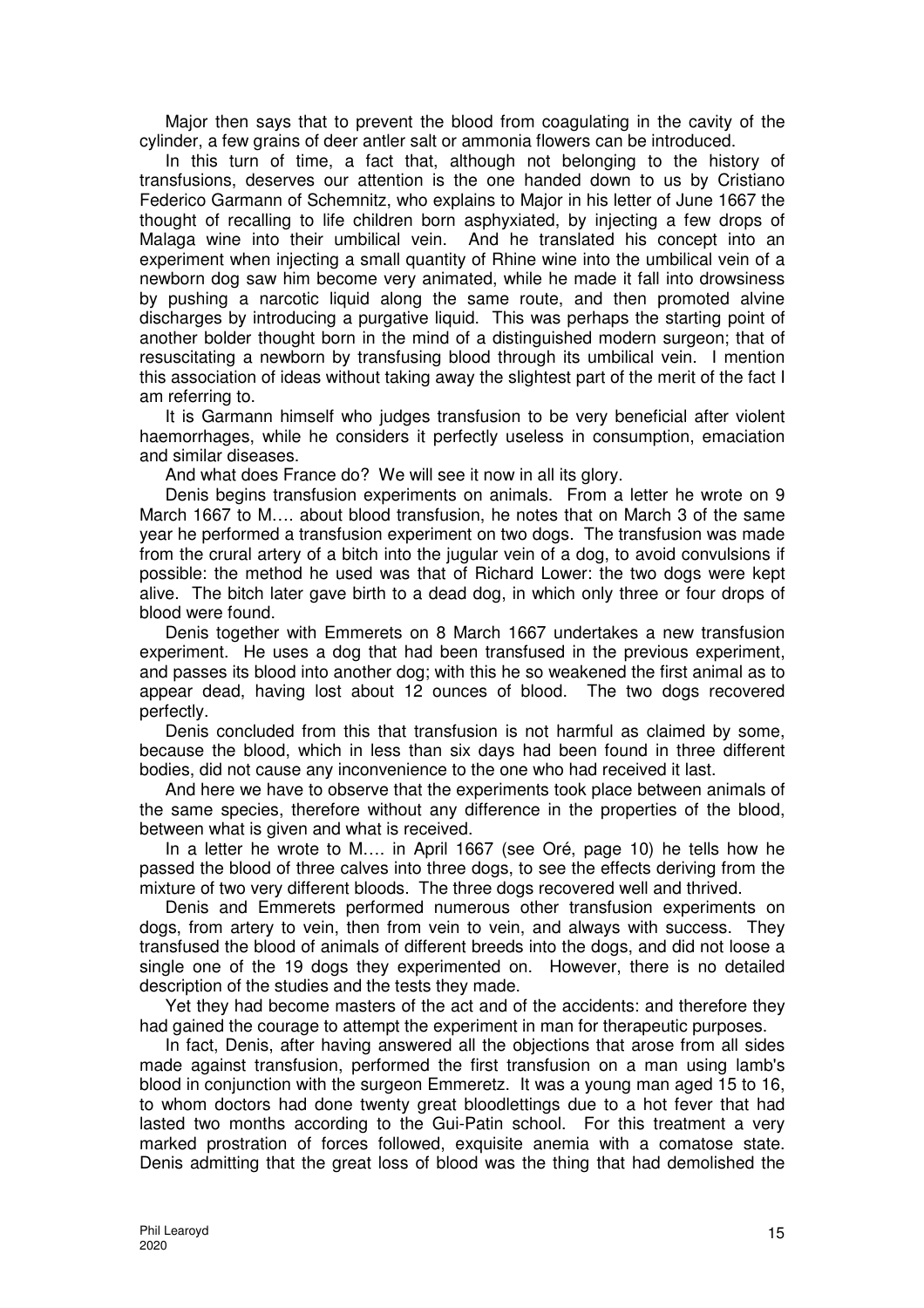Major then says that to prevent the blood from coagulating in the cavity of the cylinder, a few grains of deer antler salt or ammonia flowers can be introduced.

In this turn of time, a fact that, although not belonging to the history of transfusions, deserves our attention is the one handed down to us by Cristiano Federico Garmann of Schemnitz, who explains to Major in his letter of June 1667 the thought of recalling to life children born asphyxiated, by injecting a few drops of Malaga wine into their umbilical vein. And he translated his concept into an experiment when injecting a small quantity of Rhine wine into the umbilical vein of a newborn dog saw him become very animated, while he made it fall into drowsiness by pushing a narcotic liquid along the same route, and then promoted alvine discharges by introducing a purgative liquid. This was perhaps the starting point of another bolder thought born in the mind of a distinguished modern surgeon; that of resuscitating a newborn by transfusing blood through its umbilical vein. I mention this association of ideas without taking away the slightest part of the merit of the fact I am referring to.

It is Garmann himself who judges transfusion to be very beneficial after violent haemorrhages, while he considers it perfectly useless in consumption, emaciation and similar diseases.

And what does France do? We will see it now in all its glory.

Denis begins transfusion experiments on animals. From a letter he wrote on 9 March 1667 to M…. about blood transfusion, he notes that on March 3 of the same year he performed a transfusion experiment on two dogs. The transfusion was made from the crural artery of a bitch into the jugular vein of a dog, to avoid convulsions if possible: the method he used was that of Richard Lower: the two dogs were kept alive. The bitch later gave birth to a dead dog, in which only three or four drops of blood were found.

Denis together with Emmerets on 8 March 1667 undertakes a new transfusion experiment. He uses a dog that had been transfused in the previous experiment, and passes its blood into another dog; with this he so weakened the first animal as to appear dead, having lost about 12 ounces of blood. The two dogs recovered perfectly.

Denis concluded from this that transfusion is not harmful as claimed by some, because the blood, which in less than six days had been found in three different bodies, did not cause any inconvenience to the one who had received it last.

And here we have to observe that the experiments took place between animals of the same species, therefore without any difference in the properties of the blood, between what is given and what is received.

In a letter he wrote to M…. in April 1667 (see Oré, page 10) he tells how he passed the blood of three calves into three dogs, to see the effects deriving from the mixture of two very different bloods. The three dogs recovered well and thrived.

Denis and Emmerets performed numerous other transfusion experiments on dogs, from artery to vein, then from vein to vein, and always with success. They transfused the blood of animals of different breeds into the dogs, and did not loose a single one of the 19 dogs they experimented on. However, there is no detailed description of the studies and the tests they made.

Yet they had become masters of the act and of the accidents: and therefore they had gained the courage to attempt the experiment in man for therapeutic purposes.

In fact, Denis, after having answered all the objections that arose from all sides made against transfusion, performed the first transfusion on a man using lamb's blood in conjunction with the surgeon Emmeretz. It was a young man aged 15 to 16, to whom doctors had done twenty great bloodlettings due to a hot fever that had lasted two months according to the Gui-Patin school. For this treatment a very marked prostration of forces followed, exquisite anemia with a comatose state. Denis admitting that the great loss of blood was the thing that had demolished the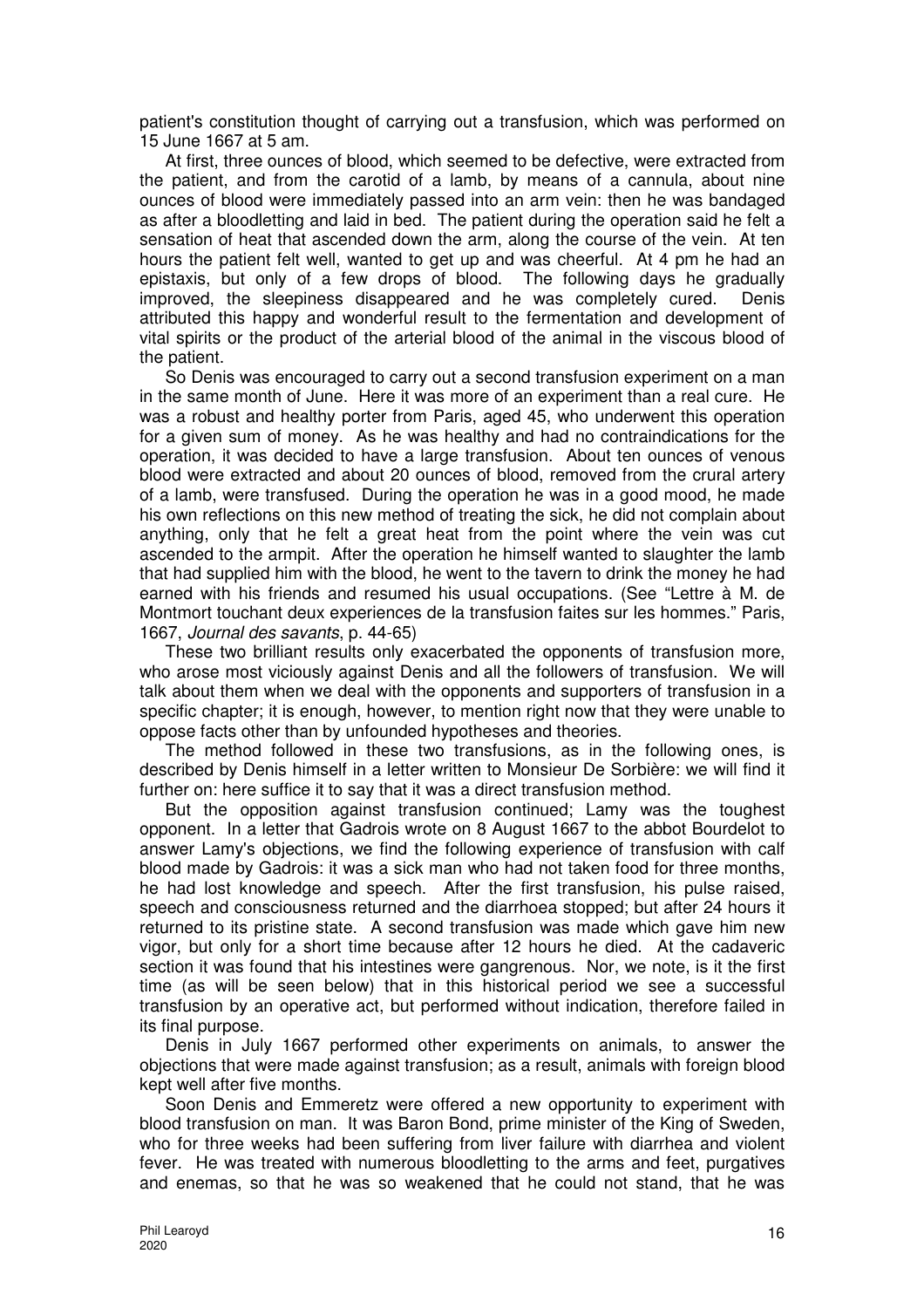patient's constitution thought of carrying out a transfusion, which was performed on 15 June 1667 at 5 am.

At first, three ounces of blood, which seemed to be defective, were extracted from the patient, and from the carotid of a lamb, by means of a cannula, about nine ounces of blood were immediately passed into an arm vein: then he was bandaged as after a bloodletting and laid in bed. The patient during the operation said he felt a sensation of heat that ascended down the arm, along the course of the vein. At ten hours the patient felt well, wanted to get up and was cheerful. At 4 pm he had an epistaxis, but only of a few drops of blood. The following days he gradually improved, the sleepiness disappeared and he was completely cured. Denis attributed this happy and wonderful result to the fermentation and development of vital spirits or the product of the arterial blood of the animal in the viscous blood of the patient.

So Denis was encouraged to carry out a second transfusion experiment on a man in the same month of June. Here it was more of an experiment than a real cure. He was a robust and healthy porter from Paris, aged 45, who underwent this operation for a given sum of money. As he was healthy and had no contraindications for the operation, it was decided to have a large transfusion. About ten ounces of venous blood were extracted and about 20 ounces of blood, removed from the crural artery of a lamb, were transfused. During the operation he was in a good mood, he made his own reflections on this new method of treating the sick, he did not complain about anything, only that he felt a great heat from the point where the vein was cut ascended to the armpit. After the operation he himself wanted to slaughter the lamb that had supplied him with the blood, he went to the tavern to drink the money he had earned with his friends and resumed his usual occupations. (See "Lettre à M. de Montmort touchant deux experiences de la transfusion faites sur les hommes." Paris, 1667, Journal des savants, p. 44-65)

These two brilliant results only exacerbated the opponents of transfusion more, who arose most viciously against Denis and all the followers of transfusion. We will talk about them when we deal with the opponents and supporters of transfusion in a specific chapter; it is enough, however, to mention right now that they were unable to oppose facts other than by unfounded hypotheses and theories.

The method followed in these two transfusions, as in the following ones, is described by Denis himself in a letter written to Monsieur De Sorbière: we will find it further on: here suffice it to say that it was a direct transfusion method.

But the opposition against transfusion continued; Lamy was the toughest opponent. In a letter that Gadrois wrote on 8 August 1667 to the abbot Bourdelot to answer Lamy's objections, we find the following experience of transfusion with calf blood made by Gadrois: it was a sick man who had not taken food for three months, he had lost knowledge and speech. After the first transfusion, his pulse raised, speech and consciousness returned and the diarrhoea stopped; but after 24 hours it returned to its pristine state. A second transfusion was made which gave him new vigor, but only for a short time because after 12 hours he died. At the cadaveric section it was found that his intestines were gangrenous. Nor, we note, is it the first time (as will be seen below) that in this historical period we see a successful transfusion by an operative act, but performed without indication, therefore failed in its final purpose.

Denis in July 1667 performed other experiments on animals, to answer the objections that were made against transfusion; as a result, animals with foreign blood kept well after five months.

Soon Denis and Emmeretz were offered a new opportunity to experiment with blood transfusion on man. It was Baron Bond, prime minister of the King of Sweden, who for three weeks had been suffering from liver failure with diarrhea and violent fever. He was treated with numerous bloodletting to the arms and feet, purgatives and enemas, so that he was so weakened that he could not stand, that he was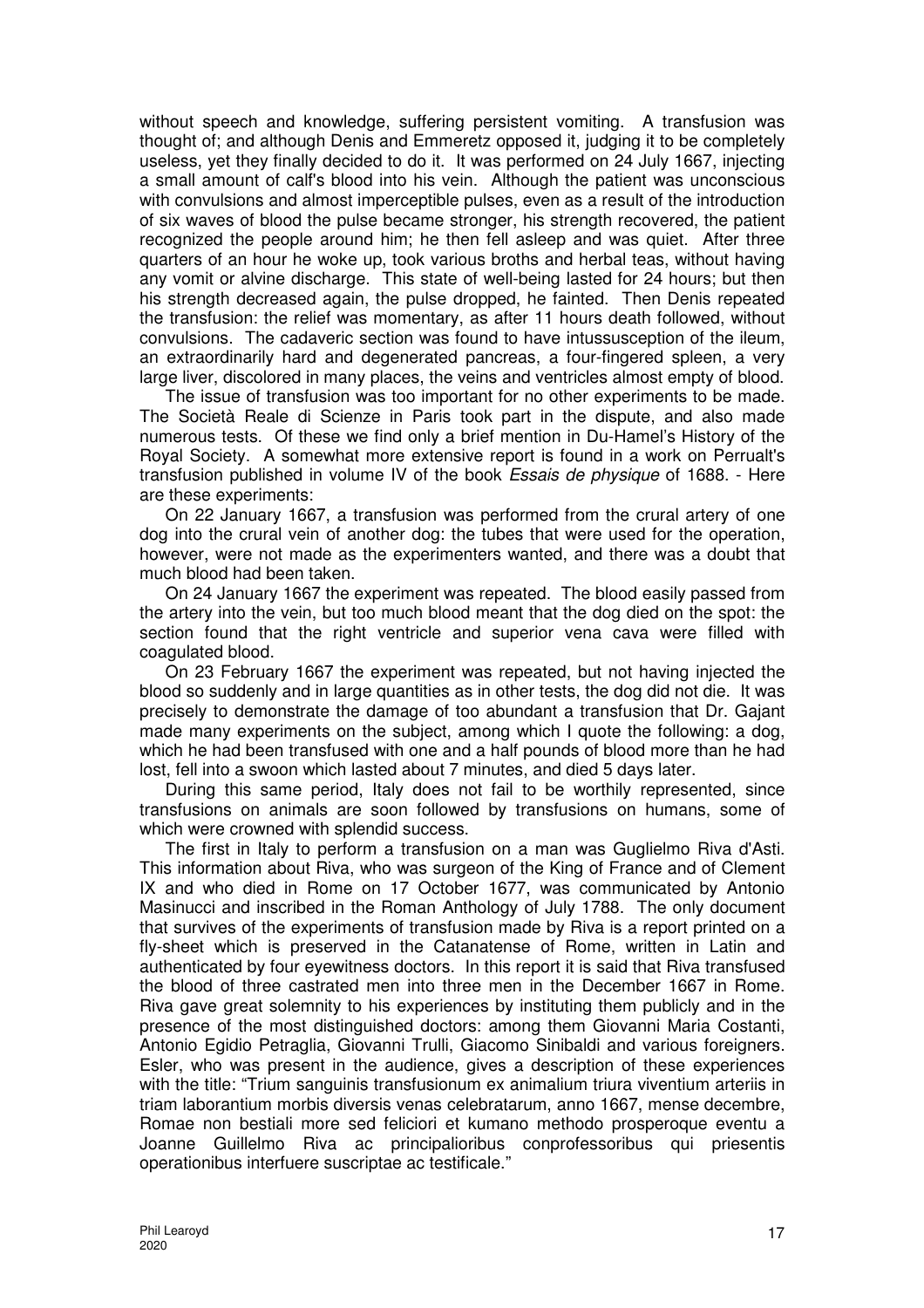without speech and knowledge, suffering persistent vomiting. A transfusion was thought of; and although Denis and Emmeretz opposed it, judging it to be completely useless, yet they finally decided to do it. It was performed on 24 July 1667, injecting a small amount of calf's blood into his vein. Although the patient was unconscious with convulsions and almost imperceptible pulses, even as a result of the introduction of six waves of blood the pulse became stronger, his strength recovered, the patient recognized the people around him; he then fell asleep and was quiet. After three quarters of an hour he woke up, took various broths and herbal teas, without having any vomit or alvine discharge. This state of well-being lasted for 24 hours; but then his strength decreased again, the pulse dropped, he fainted. Then Denis repeated the transfusion: the relief was momentary, as after 11 hours death followed, without convulsions. The cadaveric section was found to have intussusception of the ileum, an extraordinarily hard and degenerated pancreas, a four-fingered spleen, a very large liver, discolored in many places, the veins and ventricles almost empty of blood.

The issue of transfusion was too important for no other experiments to be made. The Società Reale di Scienze in Paris took part in the dispute, and also made numerous tests. Of these we find only a brief mention in Du-Hamel's History of the Royal Society. A somewhat more extensive report is found in a work on Perrualt's transfusion published in volume IV of the book Essais de physique of 1688. - Here are these experiments:

On 22 January 1667, a transfusion was performed from the crural artery of one dog into the crural vein of another dog: the tubes that were used for the operation, however, were not made as the experimenters wanted, and there was a doubt that much blood had been taken.

On 24 January 1667 the experiment was repeated. The blood easily passed from the artery into the vein, but too much blood meant that the dog died on the spot: the section found that the right ventricle and superior vena cava were filled with coagulated blood.

On 23 February 1667 the experiment was repeated, but not having injected the blood so suddenly and in large quantities as in other tests, the dog did not die. It was precisely to demonstrate the damage of too abundant a transfusion that Dr. Gajant made many experiments on the subject, among which I quote the following: a dog, which he had been transfused with one and a half pounds of blood more than he had lost, fell into a swoon which lasted about 7 minutes, and died 5 days later.

During this same period, Italy does not fail to be worthily represented, since transfusions on animals are soon followed by transfusions on humans, some of which were crowned with splendid success.

The first in Italy to perform a transfusion on a man was Guglielmo Riva d'Asti. This information about Riva, who was surgeon of the King of France and of Clement IX and who died in Rome on 17 October 1677, was communicated by Antonio Masinucci and inscribed in the Roman Anthology of July 1788. The only document that survives of the experiments of transfusion made by Riva is a report printed on a fly-sheet which is preserved in the Catanatense of Rome, written in Latin and authenticated by four eyewitness doctors. In this report it is said that Riva transfused the blood of three castrated men into three men in the December 1667 in Rome. Riva gave great solemnity to his experiences by instituting them publicly and in the presence of the most distinguished doctors: among them Giovanni Maria Costanti, Antonio Egidio Petraglia, Giovanni Trulli, Giacomo Sinibaldi and various foreigners. Esler, who was present in the audience, gives a description of these experiences with the title: "Trium sanguinis transfusionum ex animalium triura viventium arteriis in triam laborantium morbis diversis venas celebratarum, anno 1667, mense decembre, Romae non bestiali more sed feliciori et kumano methodo prosperoque eventu a Joanne Guillelmo Riva ac principalioribus conprofessoribus qui priesentis operationibus interfuere suscriptae ac testificale."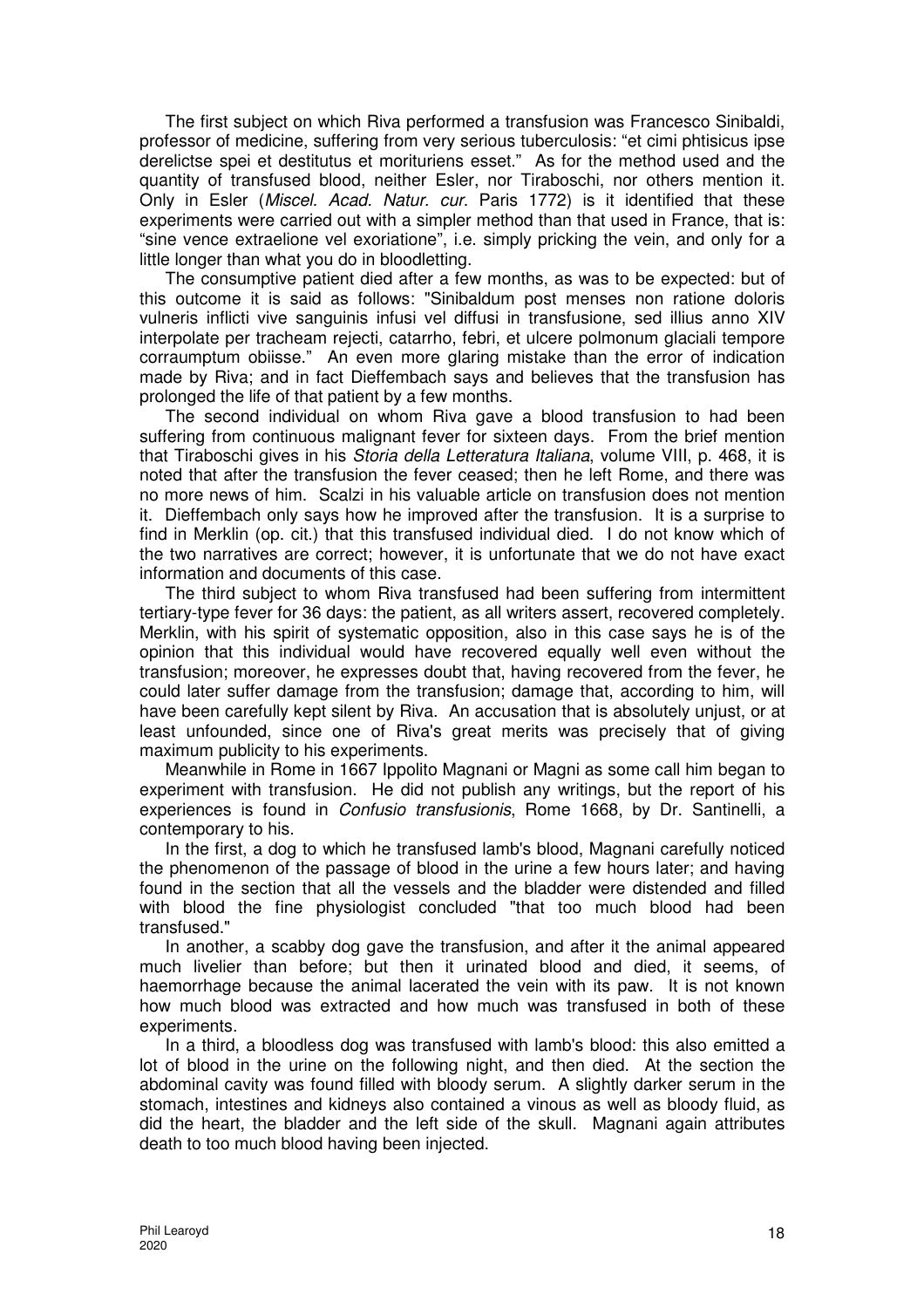The first subject on which Riva performed a transfusion was Francesco Sinibaldi, professor of medicine, suffering from very serious tuberculosis: "et cimi phtisicus ipse derelictse spei et destitutus et morituriens esset." As for the method used and the quantity of transfused blood, neither Esler, nor Tiraboschi, nor others mention it. Only in Esler (Miscel. Acad. Natur. cur. Paris 1772) is it identified that these experiments were carried out with a simpler method than that used in France, that is: "sine vence extraelione vel exoriatione", i.e. simply pricking the vein, and only for a little longer than what you do in bloodletting.

The consumptive patient died after a few months, as was to be expected: but of this outcome it is said as follows: "Sinibaldum post menses non ratione doloris vulneris inflicti vive sanguinis infusi vel diffusi in transfusione, sed illius anno XIV interpolate per tracheam rejecti, catarrho, febri, et ulcere polmonum glaciali tempore corraumptum obiisse." An even more glaring mistake than the error of indication made by Riva; and in fact Dieffembach says and believes that the transfusion has prolonged the life of that patient by a few months.

The second individual on whom Riva gave a blood transfusion to had been suffering from continuous malignant fever for sixteen days. From the brief mention that Tiraboschi gives in his Storia della Letteratura Italiana, volume VIII, p. 468, it is noted that after the transfusion the fever ceased; then he left Rome, and there was no more news of him. Scalzi in his valuable article on transfusion does not mention it. Dieffembach only says how he improved after the transfusion. It is a surprise to find in Merklin (op. cit.) that this transfused individual died. I do not know which of the two narratives are correct; however, it is unfortunate that we do not have exact information and documents of this case.

The third subject to whom Riva transfused had been suffering from intermittent tertiary-type fever for 36 days: the patient, as all writers assert, recovered completely. Merklin, with his spirit of systematic opposition, also in this case says he is of the opinion that this individual would have recovered equally well even without the transfusion; moreover, he expresses doubt that, having recovered from the fever, he could later suffer damage from the transfusion; damage that, according to him, will have been carefully kept silent by Riva. An accusation that is absolutely unjust, or at least unfounded, since one of Riva's great merits was precisely that of giving maximum publicity to his experiments.

Meanwhile in Rome in 1667 Ippolito Magnani or Magni as some call him began to experiment with transfusion. He did not publish any writings, but the report of his experiences is found in Confusio transfusionis, Rome 1668, by Dr. Santinelli, a contemporary to his.

In the first, a dog to which he transfused lamb's blood, Magnani carefully noticed the phenomenon of the passage of blood in the urine a few hours later; and having found in the section that all the vessels and the bladder were distended and filled with blood the fine physiologist concluded "that too much blood had been transfused."

In another, a scabby dog gave the transfusion, and after it the animal appeared much livelier than before; but then it urinated blood and died, it seems, of haemorrhage because the animal lacerated the vein with its paw. It is not known how much blood was extracted and how much was transfused in both of these experiments.

In a third, a bloodless dog was transfused with lamb's blood: this also emitted a lot of blood in the urine on the following night, and then died. At the section the abdominal cavity was found filled with bloody serum. A slightly darker serum in the stomach, intestines and kidneys also contained a vinous as well as bloody fluid, as did the heart, the bladder and the left side of the skull. Magnani again attributes death to too much blood having been injected.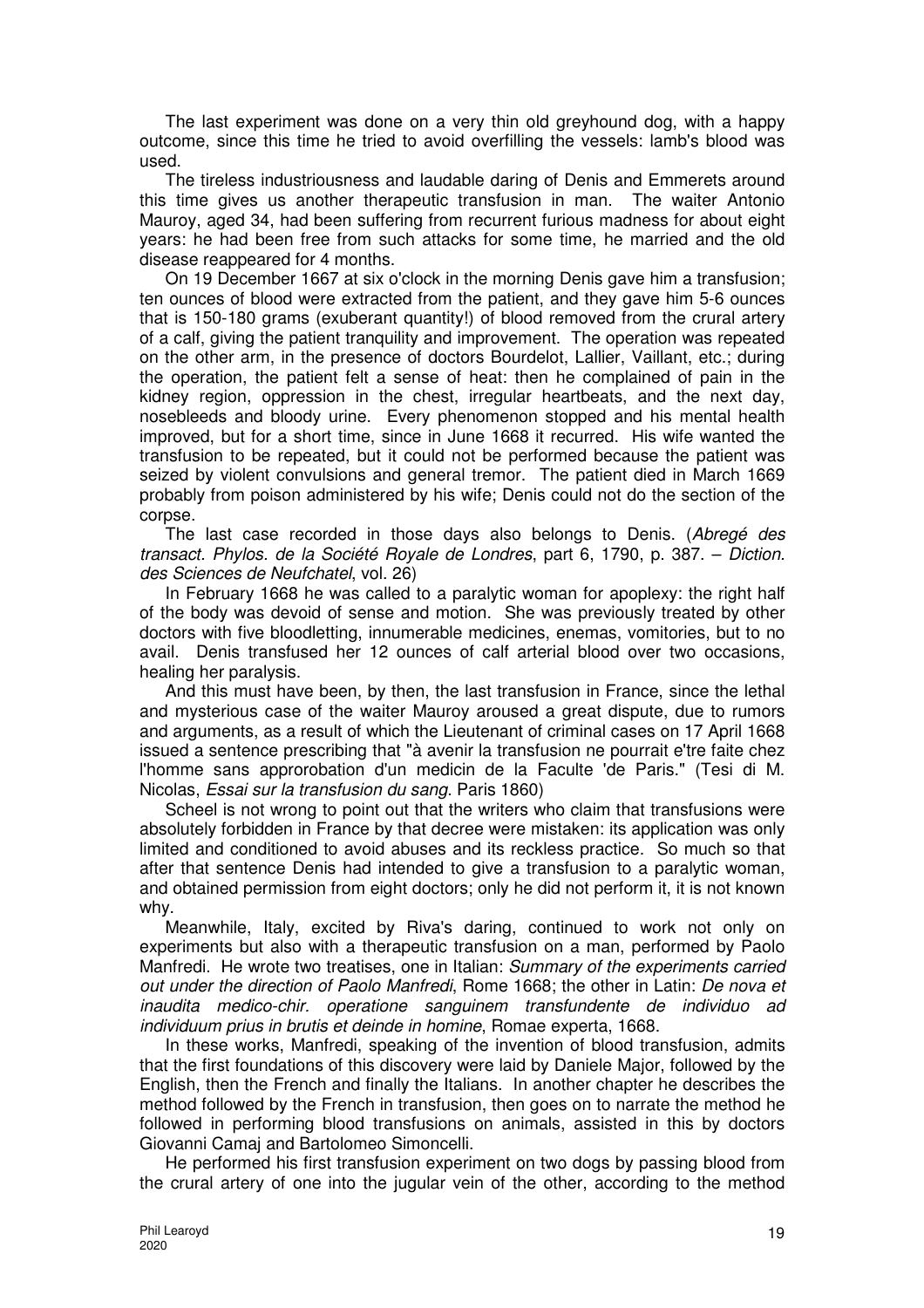The last experiment was done on a very thin old greyhound dog, with a happy outcome, since this time he tried to avoid overfilling the vessels: lamb's blood was used.

The tireless industriousness and laudable daring of Denis and Emmerets around this time gives us another therapeutic transfusion in man. The waiter Antonio Mauroy, aged 34, had been suffering from recurrent furious madness for about eight years: he had been free from such attacks for some time, he married and the old disease reappeared for 4 months.

On 19 December 1667 at six o'clock in the morning Denis gave him a transfusion; ten ounces of blood were extracted from the patient, and they gave him 5-6 ounces that is 150-180 grams (exuberant quantity!) of blood removed from the crural artery of a calf, giving the patient tranquility and improvement. The operation was repeated on the other arm, in the presence of doctors Bourdelot, Lallier, Vaillant, etc.; during the operation, the patient felt a sense of heat: then he complained of pain in the kidney region, oppression in the chest, irregular heartbeats, and the next day, nosebleeds and bloody urine. Every phenomenon stopped and his mental health improved, but for a short time, since in June 1668 it recurred. His wife wanted the transfusion to be repeated, but it could not be performed because the patient was seized by violent convulsions and general tremor. The patient died in March 1669 probably from poison administered by his wife; Denis could not do the section of the corpse.

The last case recorded in those days also belongs to Denis. (Abregé des transact. Phylos. de la Société Royale de Londres, part 6, 1790, p. 387. – Diction. des Sciences de Neufchatel, vol. 26)

In February 1668 he was called to a paralytic woman for apoplexy: the right half of the body was devoid of sense and motion. She was previously treated by other doctors with five bloodletting, innumerable medicines, enemas, vomitories, but to no avail. Denis transfused her 12 ounces of calf arterial blood over two occasions, healing her paralysis.

And this must have been, by then, the last transfusion in France, since the lethal and mysterious case of the waiter Mauroy aroused a great dispute, due to rumors and arguments, as a result of which the Lieutenant of criminal cases on 17 April 1668 issued a sentence prescribing that "à avenir la transfusion ne pourrait e'tre faite chez l'homme sans approrobation d'un medicin de la Faculte 'de Paris." (Tesi di M. Nicolas, Essai sur la transfusion du sang. Paris 1860)

Scheel is not wrong to point out that the writers who claim that transfusions were absolutely forbidden in France by that decree were mistaken: its application was only limited and conditioned to avoid abuses and its reckless practice. So much so that after that sentence Denis had intended to give a transfusion to a paralytic woman, and obtained permission from eight doctors; only he did not perform it, it is not known why.

Meanwhile, Italy, excited by Riva's daring, continued to work not only on experiments but also with a therapeutic transfusion on a man, performed by Paolo Manfredi. He wrote two treatises, one in Italian: Summary of the experiments carried out under the direction of Paolo Manfredi, Rome 1668; the other in Latin: De nova et inaudita medico-chir. operatione sanguinem transfundente de individuo ad individuum prius in brutis et deinde in homine, Romae experta, 1668.

In these works, Manfredi, speaking of the invention of blood transfusion, admits that the first foundations of this discovery were laid by Daniele Major, followed by the English, then the French and finally the Italians. In another chapter he describes the method followed by the French in transfusion, then goes on to narrate the method he followed in performing blood transfusions on animals, assisted in this by doctors Giovanni Camaj and Bartolomeo Simoncelli.

He performed his first transfusion experiment on two dogs by passing blood from the crural artery of one into the jugular vein of the other, according to the method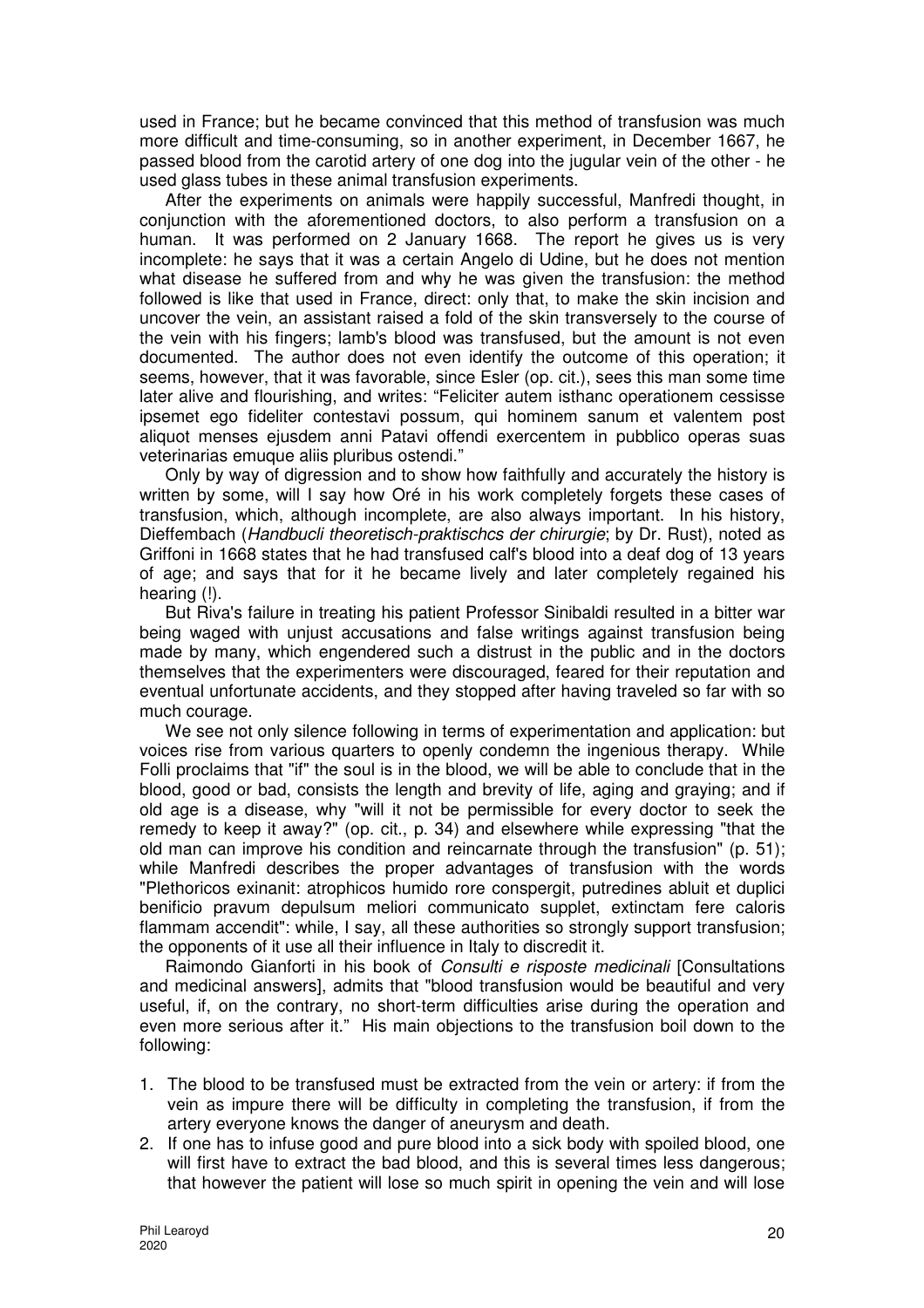used in France; but he became convinced that this method of transfusion was much more difficult and time-consuming, so in another experiment, in December 1667, he passed blood from the carotid artery of one dog into the jugular vein of the other - he used glass tubes in these animal transfusion experiments.

After the experiments on animals were happily successful, Manfredi thought, in conjunction with the aforementioned doctors, to also perform a transfusion on a human. It was performed on 2 January 1668. The report he gives us is very incomplete: he says that it was a certain Angelo di Udine, but he does not mention what disease he suffered from and why he was given the transfusion: the method followed is like that used in France, direct: only that, to make the skin incision and uncover the vein, an assistant raised a fold of the skin transversely to the course of the vein with his fingers; lamb's blood was transfused, but the amount is not even documented. The author does not even identify the outcome of this operation; it seems, however, that it was favorable, since Esler (op. cit.), sees this man some time later alive and flourishing, and writes: "Feliciter autem isthanc operationem cessisse ipsemet ego fideliter contestavi possum, qui hominem sanum et valentem post aliquot menses ejusdem anni Patavi offendi exercentem in pubblico operas suas veterinarias emuque aliis pluribus ostendi."

Only by way of digression and to show how faithfully and accurately the history is written by some, will I say how Oré in his work completely forgets these cases of transfusion, which, although incomplete, are also always important. In his history, Dieffembach (Handbucli theoretisch-praktischcs der chirurgie; by Dr. Rust), noted as Griffoni in 1668 states that he had transfused calf's blood into a deaf dog of 13 years of age; and says that for it he became lively and later completely regained his hearing (!).

But Riva's failure in treating his patient Professor Sinibaldi resulted in a bitter war being waged with unjust accusations and false writings against transfusion being made by many, which engendered such a distrust in the public and in the doctors themselves that the experimenters were discouraged, feared for their reputation and eventual unfortunate accidents, and they stopped after having traveled so far with so much courage.

We see not only silence following in terms of experimentation and application: but voices rise from various quarters to openly condemn the ingenious therapy. While Folli proclaims that "if" the soul is in the blood, we will be able to conclude that in the blood, good or bad, consists the length and brevity of life, aging and graying; and if old age is a disease, why "will it not be permissible for every doctor to seek the remedy to keep it away?" (op. cit., p. 34) and elsewhere while expressing "that the old man can improve his condition and reincarnate through the transfusion" (p. 51); while Manfredi describes the proper advantages of transfusion with the words "Plethoricos exinanit: atrophicos humido rore conspergit, putredines abluit et duplici benificio pravum depulsum meliori communicato supplet, extinctam fere caloris flammam accendit": while, I say, all these authorities so strongly support transfusion; the opponents of it use all their influence in Italy to discredit it.

Raimondo Gianforti in his book of Consulti e risposte medicinali [Consultations and medicinal answers], admits that "blood transfusion would be beautiful and very useful, if, on the contrary, no short-term difficulties arise during the operation and even more serious after it." His main objections to the transfusion boil down to the following:

- 1. The blood to be transfused must be extracted from the vein or artery: if from the vein as impure there will be difficulty in completing the transfusion, if from the artery everyone knows the danger of aneurysm and death.
- 2. If one has to infuse good and pure blood into a sick body with spoiled blood, one will first have to extract the bad blood, and this is several times less dangerous; that however the patient will lose so much spirit in opening the vein and will lose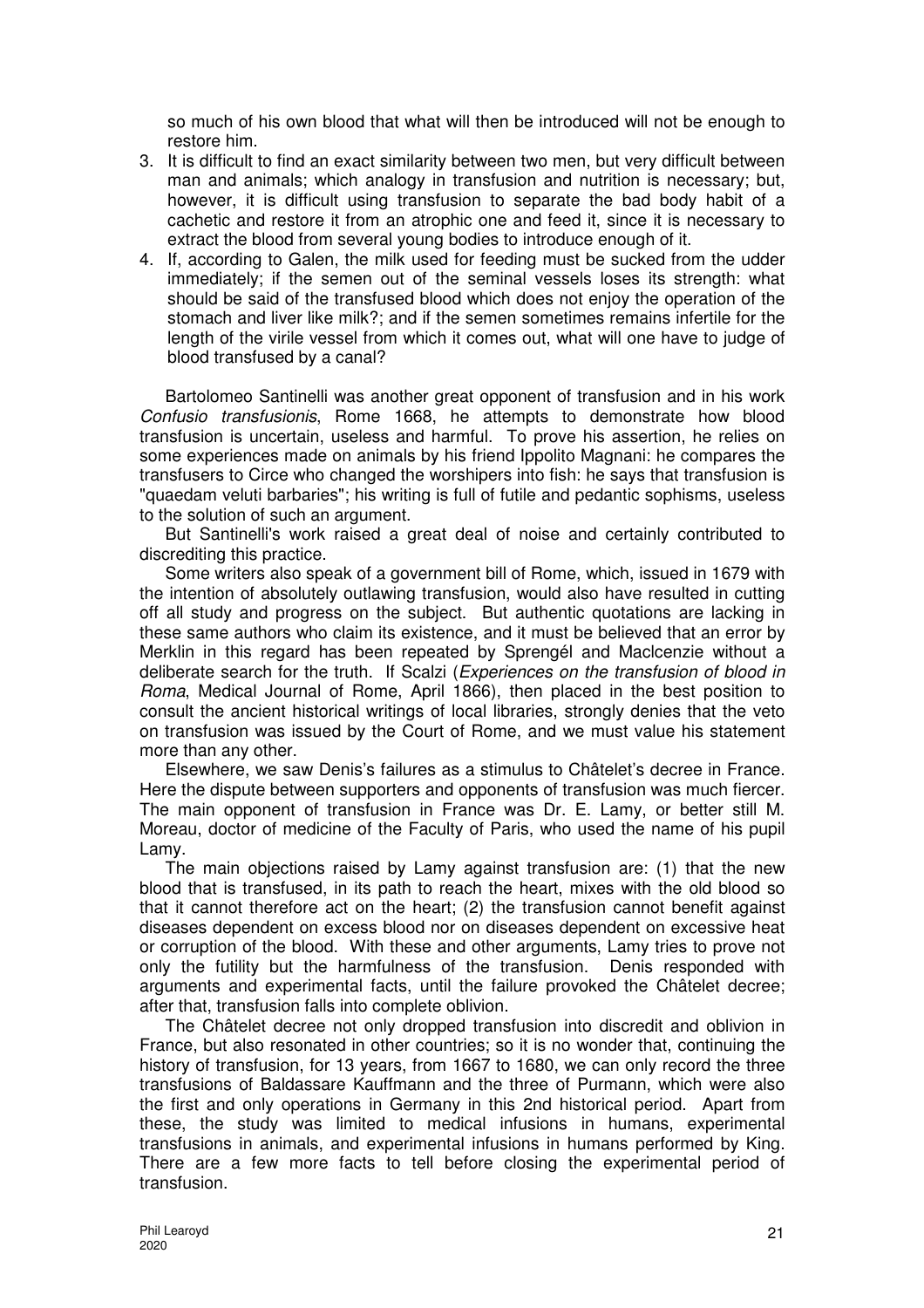so much of his own blood that what will then be introduced will not be enough to restore him.

- 3. It is difficult to find an exact similarity between two men, but very difficult between man and animals; which analogy in transfusion and nutrition is necessary; but, however, it is difficult using transfusion to separate the bad body habit of a cachetic and restore it from an atrophic one and feed it, since it is necessary to extract the blood from several young bodies to introduce enough of it.
- 4. If, according to Galen, the milk used for feeding must be sucked from the udder immediately; if the semen out of the seminal vessels loses its strength: what should be said of the transfused blood which does not enjoy the operation of the stomach and liver like milk?; and if the semen sometimes remains infertile for the length of the virile vessel from which it comes out, what will one have to judge of blood transfused by a canal?

Bartolomeo Santinelli was another great opponent of transfusion and in his work Confusio transfusionis, Rome 1668, he attempts to demonstrate how blood transfusion is uncertain, useless and harmful. To prove his assertion, he relies on some experiences made on animals by his friend Ippolito Magnani: he compares the transfusers to Circe who changed the worshipers into fish: he says that transfusion is "quaedam veluti barbaries"; his writing is full of futile and pedantic sophisms, useless to the solution of such an argument.

But Santinelli's work raised a great deal of noise and certainly contributed to discrediting this practice.

Some writers also speak of a government bill of Rome, which, issued in 1679 with the intention of absolutely outlawing transfusion, would also have resulted in cutting off all study and progress on the subject. But authentic quotations are lacking in these same authors who claim its existence, and it must be believed that an error by Merklin in this regard has been repeated by Sprengél and Maclcenzie without a deliberate search for the truth. If Scalzi (*Experiences on the transfusion of blood in* Roma, Medical Journal of Rome, April 1866), then placed in the best position to consult the ancient historical writings of local libraries, strongly denies that the veto on transfusion was issued by the Court of Rome, and we must value his statement more than any other.

Elsewhere, we saw Denis's failures as a stimulus to Châtelet's decree in France. Here the dispute between supporters and opponents of transfusion was much fiercer. The main opponent of transfusion in France was Dr. E. Lamy, or better still M. Moreau, doctor of medicine of the Faculty of Paris, who used the name of his pupil Lamy.

The main objections raised by Lamy against transfusion are: (1) that the new blood that is transfused, in its path to reach the heart, mixes with the old blood so that it cannot therefore act on the heart; (2) the transfusion cannot benefit against diseases dependent on excess blood nor on diseases dependent on excessive heat or corruption of the blood. With these and other arguments, Lamy tries to prove not only the futility but the harmfulness of the transfusion. Denis responded with arguments and experimental facts, until the failure provoked the Châtelet decree; after that, transfusion falls into complete oblivion.

The Châtelet decree not only dropped transfusion into discredit and oblivion in France, but also resonated in other countries; so it is no wonder that, continuing the history of transfusion, for 13 years, from 1667 to 1680, we can only record the three transfusions of Baldassare Kauffmann and the three of Purmann, which were also the first and only operations in Germany in this 2nd historical period. Apart from these, the study was limited to medical infusions in humans, experimental transfusions in animals, and experimental infusions in humans performed by King. There are a few more facts to tell before closing the experimental period of transfusion.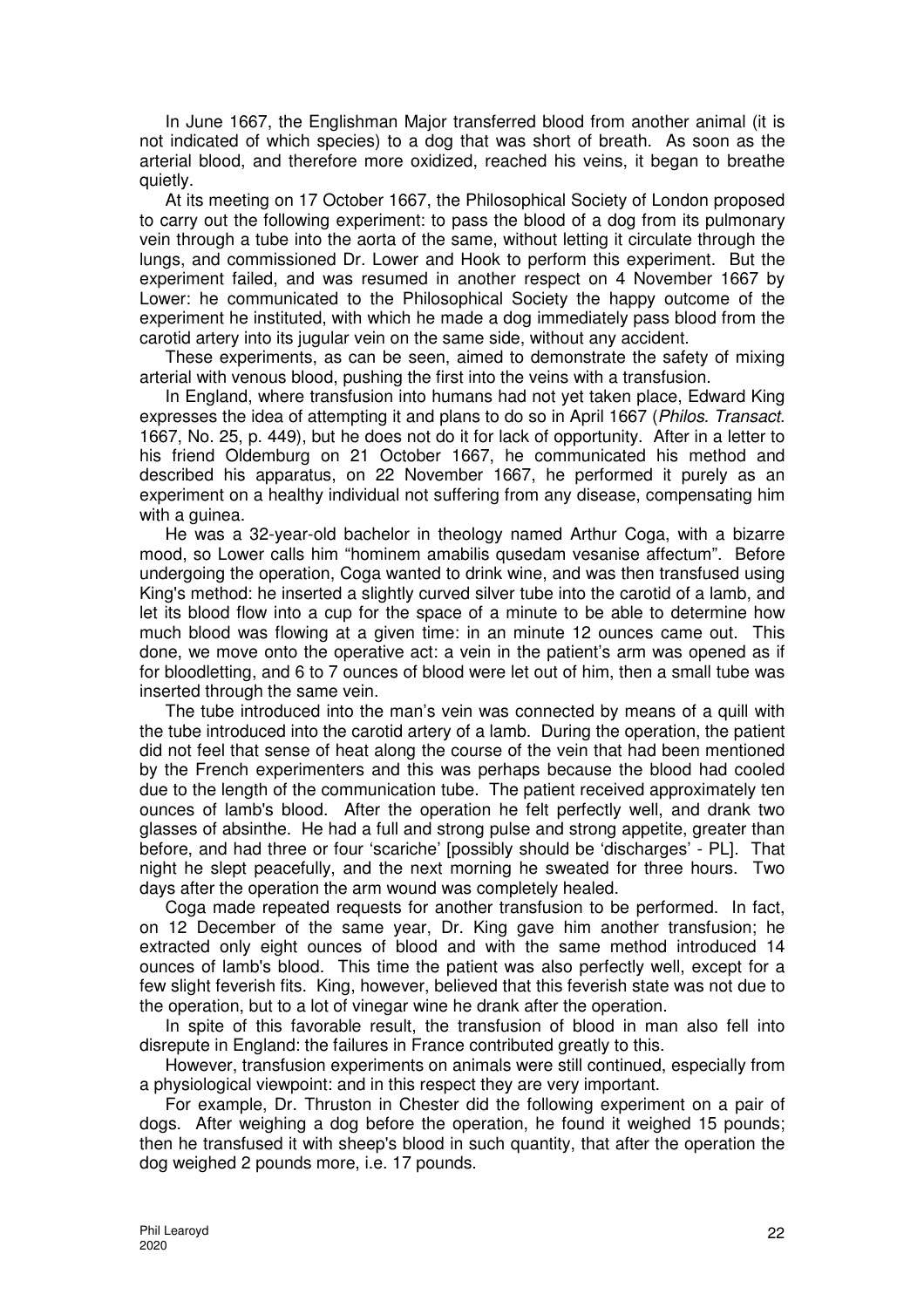In June 1667, the Englishman Major transferred blood from another animal (it is not indicated of which species) to a dog that was short of breath. As soon as the arterial blood, and therefore more oxidized, reached his veins, it began to breathe quietly.

At its meeting on 17 October 1667, the Philosophical Society of London proposed to carry out the following experiment: to pass the blood of a dog from its pulmonary vein through a tube into the aorta of the same, without letting it circulate through the lungs, and commissioned Dr. Lower and Hook to perform this experiment. But the experiment failed, and was resumed in another respect on 4 November 1667 by Lower: he communicated to the Philosophical Society the happy outcome of the experiment he instituted, with which he made a dog immediately pass blood from the carotid artery into its jugular vein on the same side, without any accident.

These experiments, as can be seen, aimed to demonstrate the safety of mixing arterial with venous blood, pushing the first into the veins with a transfusion.

In England, where transfusion into humans had not yet taken place, Edward King expresses the idea of attempting it and plans to do so in April 1667 (Philos. Transact. 1667, No. 25, p. 449), but he does not do it for lack of opportunity. After in a letter to his friend Oldemburg on 21 October 1667, he communicated his method and described his apparatus, on 22 November 1667, he performed it purely as an experiment on a healthy individual not suffering from any disease, compensating him with a guinea.

He was a 32-year-old bachelor in theology named Arthur Coga, with a bizarre mood, so Lower calls him "hominem amabilis qusedam vesanise affectum". Before undergoing the operation, Coga wanted to drink wine, and was then transfused using King's method: he inserted a slightly curved silver tube into the carotid of a lamb, and let its blood flow into a cup for the space of a minute to be able to determine how much blood was flowing at a given time: in an minute 12 ounces came out. This done, we move onto the operative act: a vein in the patient's arm was opened as if for bloodletting, and 6 to 7 ounces of blood were let out of him, then a small tube was inserted through the same vein.

The tube introduced into the man's vein was connected by means of a quill with the tube introduced into the carotid artery of a lamb. During the operation, the patient did not feel that sense of heat along the course of the vein that had been mentioned by the French experimenters and this was perhaps because the blood had cooled due to the length of the communication tube. The patient received approximately ten ounces of lamb's blood. After the operation he felt perfectly well, and drank two glasses of absinthe. He had a full and strong pulse and strong appetite, greater than before, and had three or four 'scariche' [possibly should be 'discharges' - PL]. That night he slept peacefully, and the next morning he sweated for three hours. Two days after the operation the arm wound was completely healed.

Coga made repeated requests for another transfusion to be performed. In fact, on 12 December of the same year, Dr. King gave him another transfusion; he extracted only eight ounces of blood and with the same method introduced 14 ounces of lamb's blood. This time the patient was also perfectly well, except for a few slight feverish fits. King, however, believed that this feverish state was not due to the operation, but to a lot of vinegar wine he drank after the operation.

In spite of this favorable result, the transfusion of blood in man also fell into disrepute in England: the failures in France contributed greatly to this.

However, transfusion experiments on animals were still continued, especially from a physiological viewpoint: and in this respect they are very important.

For example, Dr. Thruston in Chester did the following experiment on a pair of dogs. After weighing a dog before the operation, he found it weighed 15 pounds; then he transfused it with sheep's blood in such quantity, that after the operation the dog weighed 2 pounds more, i.e. 17 pounds.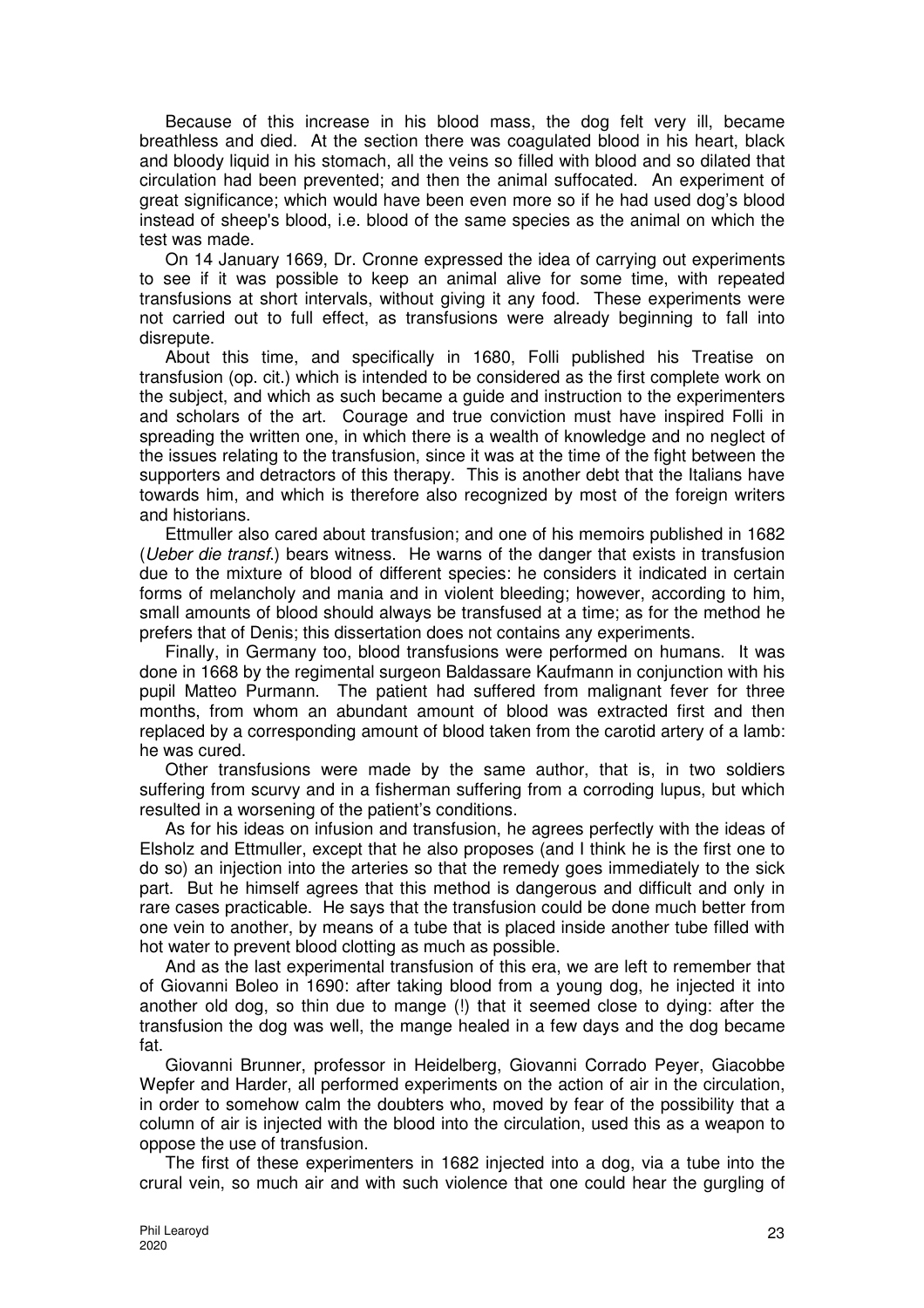Because of this increase in his blood mass, the dog felt very ill, became breathless and died. At the section there was coagulated blood in his heart, black and bloody liquid in his stomach, all the veins so filled with blood and so dilated that circulation had been prevented; and then the animal suffocated. An experiment of great significance; which would have been even more so if he had used dog's blood instead of sheep's blood, i.e. blood of the same species as the animal on which the test was made.

On 14 January 1669, Dr. Cronne expressed the idea of carrying out experiments to see if it was possible to keep an animal alive for some time, with repeated transfusions at short intervals, without giving it any food. These experiments were not carried out to full effect, as transfusions were already beginning to fall into disrepute.

About this time, and specifically in 1680, Folli published his Treatise on transfusion (op. cit.) which is intended to be considered as the first complete work on the subject, and which as such became a guide and instruction to the experimenters and scholars of the art. Courage and true conviction must have inspired Folli in spreading the written one, in which there is a wealth of knowledge and no neglect of the issues relating to the transfusion, since it was at the time of the fight between the supporters and detractors of this therapy. This is another debt that the Italians have towards him, and which is therefore also recognized by most of the foreign writers and historians.

Ettmuller also cared about transfusion; and one of his memoirs published in 1682 (Ueber die transf.) bears witness. He warns of the danger that exists in transfusion due to the mixture of blood of different species: he considers it indicated in certain forms of melancholy and mania and in violent bleeding; however, according to him, small amounts of blood should always be transfused at a time; as for the method he prefers that of Denis; this dissertation does not contains any experiments.

Finally, in Germany too, blood transfusions were performed on humans. It was done in 1668 by the regimental surgeon Baldassare Kaufmann in conjunction with his pupil Matteo Purmann. The patient had suffered from malignant fever for three months, from whom an abundant amount of blood was extracted first and then replaced by a corresponding amount of blood taken from the carotid artery of a lamb: he was cured.

Other transfusions were made by the same author, that is, in two soldiers suffering from scurvy and in a fisherman suffering from a corroding lupus, but which resulted in a worsening of the patient's conditions.

As for his ideas on infusion and transfusion, he agrees perfectly with the ideas of Elsholz and Ettmuller, except that he also proposes (and I think he is the first one to do so) an injection into the arteries so that the remedy goes immediately to the sick part. But he himself agrees that this method is dangerous and difficult and only in rare cases practicable. He says that the transfusion could be done much better from one vein to another, by means of a tube that is placed inside another tube filled with hot water to prevent blood clotting as much as possible.

And as the last experimental transfusion of this era, we are left to remember that of Giovanni Boleo in 1690: after taking blood from a young dog, he injected it into another old dog, so thin due to mange (!) that it seemed close to dying: after the transfusion the dog was well, the mange healed in a few days and the dog became fat.

Giovanni Brunner, professor in Heidelberg, Giovanni Corrado Peyer, Giacobbe Wepfer and Harder, all performed experiments on the action of air in the circulation, in order to somehow calm the doubters who, moved by fear of the possibility that a column of air is injected with the blood into the circulation, used this as a weapon to oppose the use of transfusion.

The first of these experimenters in 1682 injected into a dog, via a tube into the crural vein, so much air and with such violence that one could hear the gurgling of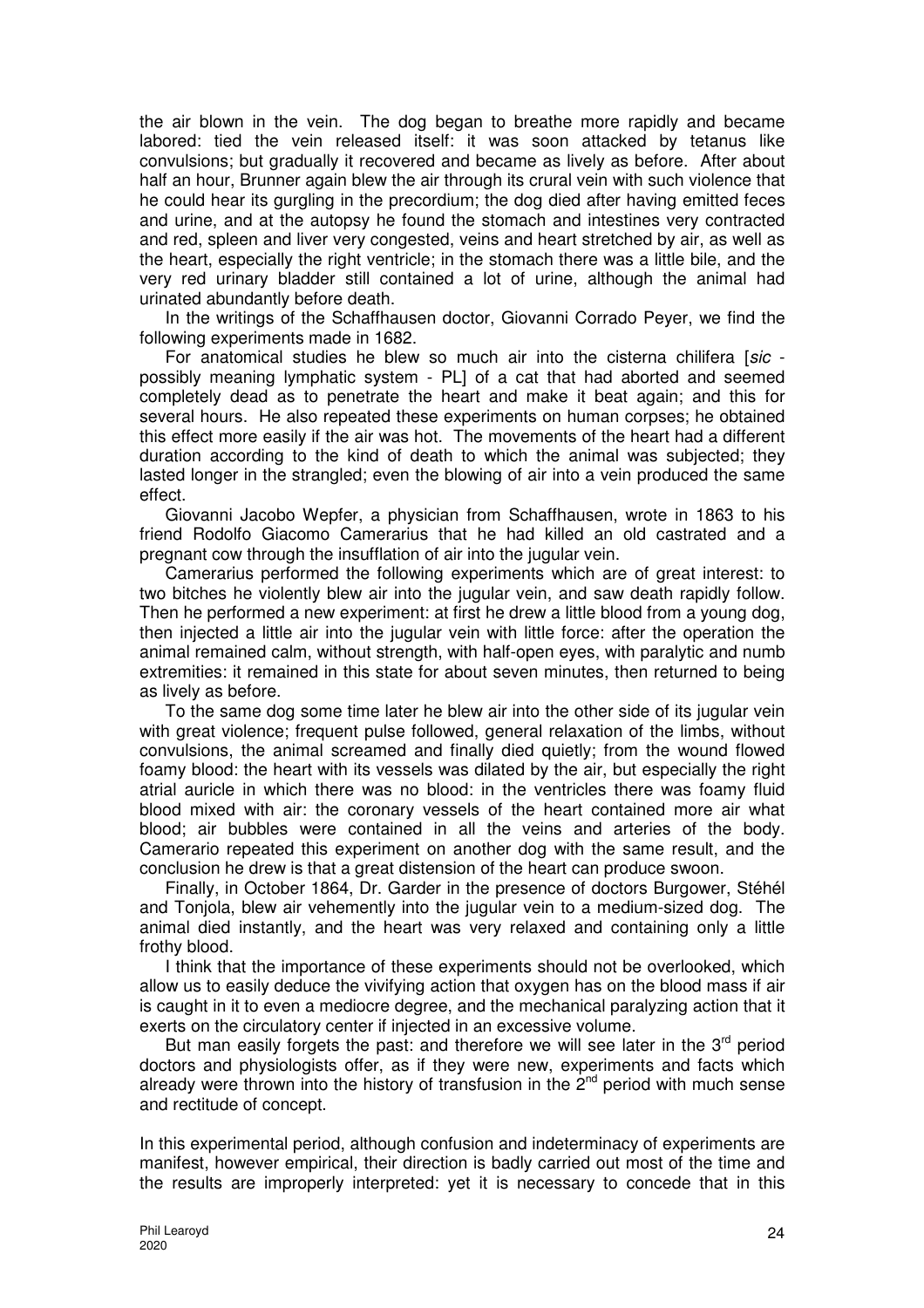the air blown in the vein. The dog began to breathe more rapidly and became labored: tied the vein released itself: it was soon attacked by tetanus like convulsions; but gradually it recovered and became as lively as before. After about half an hour, Brunner again blew the air through its crural vein with such violence that he could hear its gurgling in the precordium; the dog died after having emitted feces and urine, and at the autopsy he found the stomach and intestines very contracted and red, spleen and liver very congested, veins and heart stretched by air, as well as the heart, especially the right ventricle; in the stomach there was a little bile, and the very red urinary bladder still contained a lot of urine, although the animal had urinated abundantly before death.

In the writings of the Schaffhausen doctor, Giovanni Corrado Peyer, we find the following experiments made in 1682.

For anatomical studies he blew so much air into the cisterna chilifera [sic possibly meaning lymphatic system - PL] of a cat that had aborted and seemed completely dead as to penetrate the heart and make it beat again; and this for several hours. He also repeated these experiments on human corpses; he obtained this effect more easily if the air was hot. The movements of the heart had a different duration according to the kind of death to which the animal was subjected; they lasted longer in the strangled; even the blowing of air into a vein produced the same effect.

Giovanni Jacobo Wepfer, a physician from Schaffhausen, wrote in 1863 to his friend Rodolfo Giacomo Camerarius that he had killed an old castrated and a pregnant cow through the insufflation of air into the jugular vein.

Camerarius performed the following experiments which are of great interest: to two bitches he violently blew air into the jugular vein, and saw death rapidly follow. Then he performed a new experiment: at first he drew a little blood from a young dog, then injected a little air into the jugular vein with little force: after the operation the animal remained calm, without strength, with half-open eyes, with paralytic and numb extremities: it remained in this state for about seven minutes, then returned to being as lively as before.

To the same dog some time later he blew air into the other side of its jugular vein with great violence; frequent pulse followed, general relaxation of the limbs, without convulsions, the animal screamed and finally died quietly; from the wound flowed foamy blood: the heart with its vessels was dilated by the air, but especially the right atrial auricle in which there was no blood: in the ventricles there was foamy fluid blood mixed with air: the coronary vessels of the heart contained more air what blood; air bubbles were contained in all the veins and arteries of the body. Camerario repeated this experiment on another dog with the same result, and the conclusion he drew is that a great distension of the heart can produce swoon.

Finally, in October 1864, Dr. Garder in the presence of doctors Burgower, Stéhél and Tonjola, blew air vehemently into the jugular vein to a medium-sized dog. The animal died instantly, and the heart was very relaxed and containing only a little frothy blood.

I think that the importance of these experiments should not be overlooked, which allow us to easily deduce the vivifying action that oxygen has on the blood mass if air is caught in it to even a mediocre degree, and the mechanical paralyzing action that it exerts on the circulatory center if injected in an excessive volume.

But man easily forgets the past: and therefore we will see later in the  $3<sup>rd</sup>$  period doctors and physiologists offer, as if they were new, experiments and facts which already were thrown into the history of transfusion in the  $2<sup>nd</sup>$  period with much sense and rectitude of concept.

In this experimental period, although confusion and indeterminacy of experiments are manifest, however empirical, their direction is badly carried out most of the time and the results are improperly interpreted: yet it is necessary to concede that in this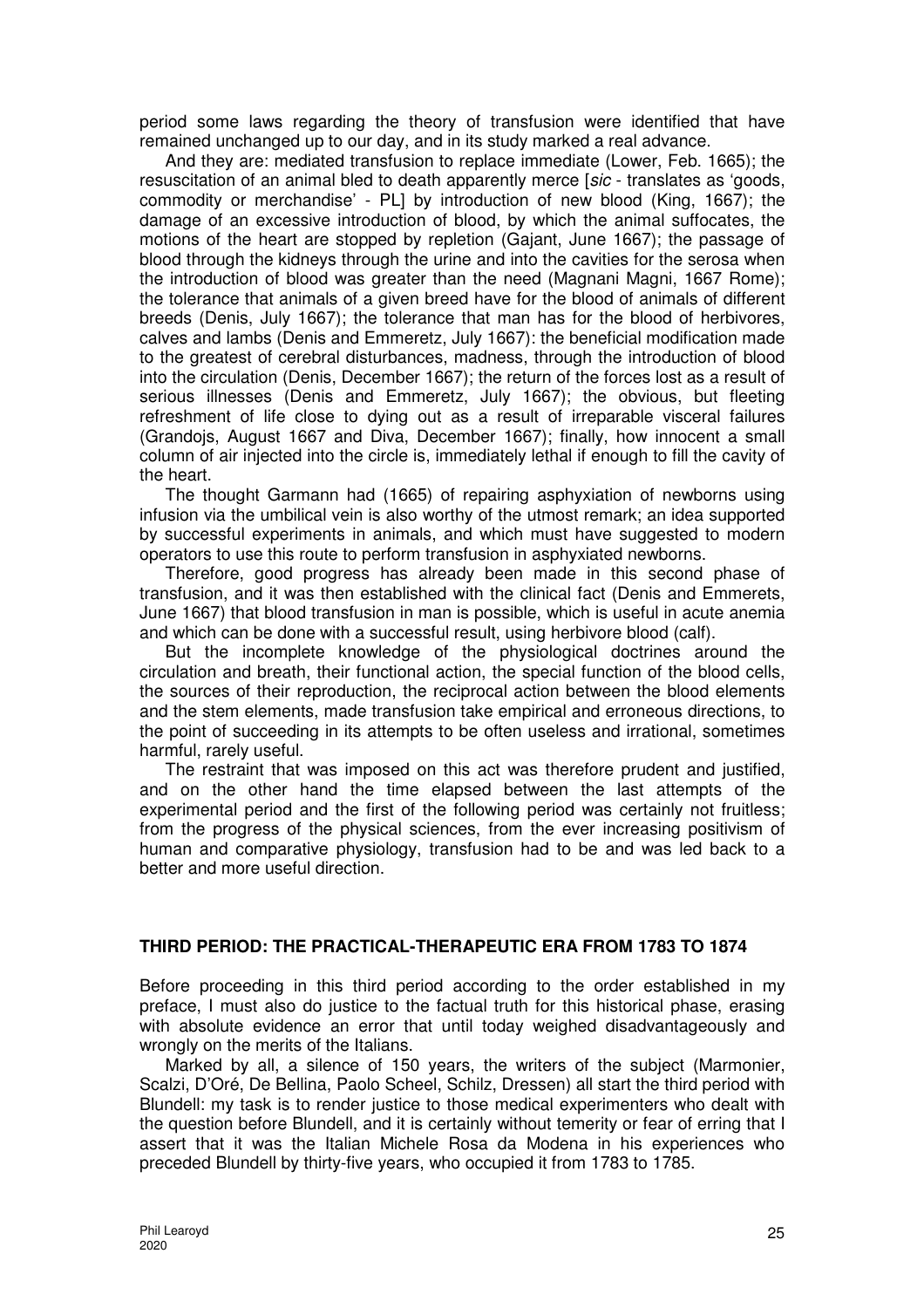period some laws regarding the theory of transfusion were identified that have remained unchanged up to our day, and in its study marked a real advance.

And they are: mediated transfusion to replace immediate (Lower, Feb. 1665); the resuscitation of an animal bled to death apparently merce [sic - translates as 'goods, commodity or merchandise' - PL] by introduction of new blood (King, 1667); the damage of an excessive introduction of blood, by which the animal suffocates, the motions of the heart are stopped by repletion (Gajant, June 1667); the passage of blood through the kidneys through the urine and into the cavities for the serosa when the introduction of blood was greater than the need (Magnani Magni, 1667 Rome); the tolerance that animals of a given breed have for the blood of animals of different breeds (Denis, July 1667); the tolerance that man has for the blood of herbivores, calves and lambs (Denis and Emmeretz, July 1667): the beneficial modification made to the greatest of cerebral disturbances, madness, through the introduction of blood into the circulation (Denis, December 1667); the return of the forces lost as a result of serious illnesses (Denis and Emmeretz, July 1667); the obvious, but fleeting refreshment of life close to dying out as a result of irreparable visceral failures (Grandojs, August 1667 and Diva, December 1667); finally, how innocent a small column of air injected into the circle is, immediately lethal if enough to fill the cavity of the heart.

The thought Garmann had (1665) of repairing asphyxiation of newborns using infusion via the umbilical vein is also worthy of the utmost remark; an idea supported by successful experiments in animals, and which must have suggested to modern operators to use this route to perform transfusion in asphyxiated newborns.

Therefore, good progress has already been made in this second phase of transfusion, and it was then established with the clinical fact (Denis and Emmerets, June 1667) that blood transfusion in man is possible, which is useful in acute anemia and which can be done with a successful result, using herbivore blood (calf).

But the incomplete knowledge of the physiological doctrines around the circulation and breath, their functional action, the special function of the blood cells, the sources of their reproduction, the reciprocal action between the blood elements and the stem elements, made transfusion take empirical and erroneous directions, to the point of succeeding in its attempts to be often useless and irrational, sometimes harmful, rarely useful.

The restraint that was imposed on this act was therefore prudent and justified, and on the other hand the time elapsed between the last attempts of the experimental period and the first of the following period was certainly not fruitless; from the progress of the physical sciences, from the ever increasing positivism of human and comparative physiology, transfusion had to be and was led back to a better and more useful direction.

### **THIRD PERIOD: THE PRACTICAL-THERAPEUTIC ERA FROM 1783 TO 1874**

Before proceeding in this third period according to the order established in my preface, I must also do justice to the factual truth for this historical phase, erasing with absolute evidence an error that until today weighed disadvantageously and wrongly on the merits of the Italians.

Marked by all, a silence of 150 years, the writers of the subject (Marmonier, Scalzi, D'Oré, De Bellina, Paolo Scheel, Schilz, Dressen) all start the third period with Blundell: my task is to render justice to those medical experimenters who dealt with the question before Blundell, and it is certainly without temerity or fear of erring that I assert that it was the Italian Michele Rosa da Modena in his experiences who preceded Blundell by thirty-five years, who occupied it from 1783 to 1785.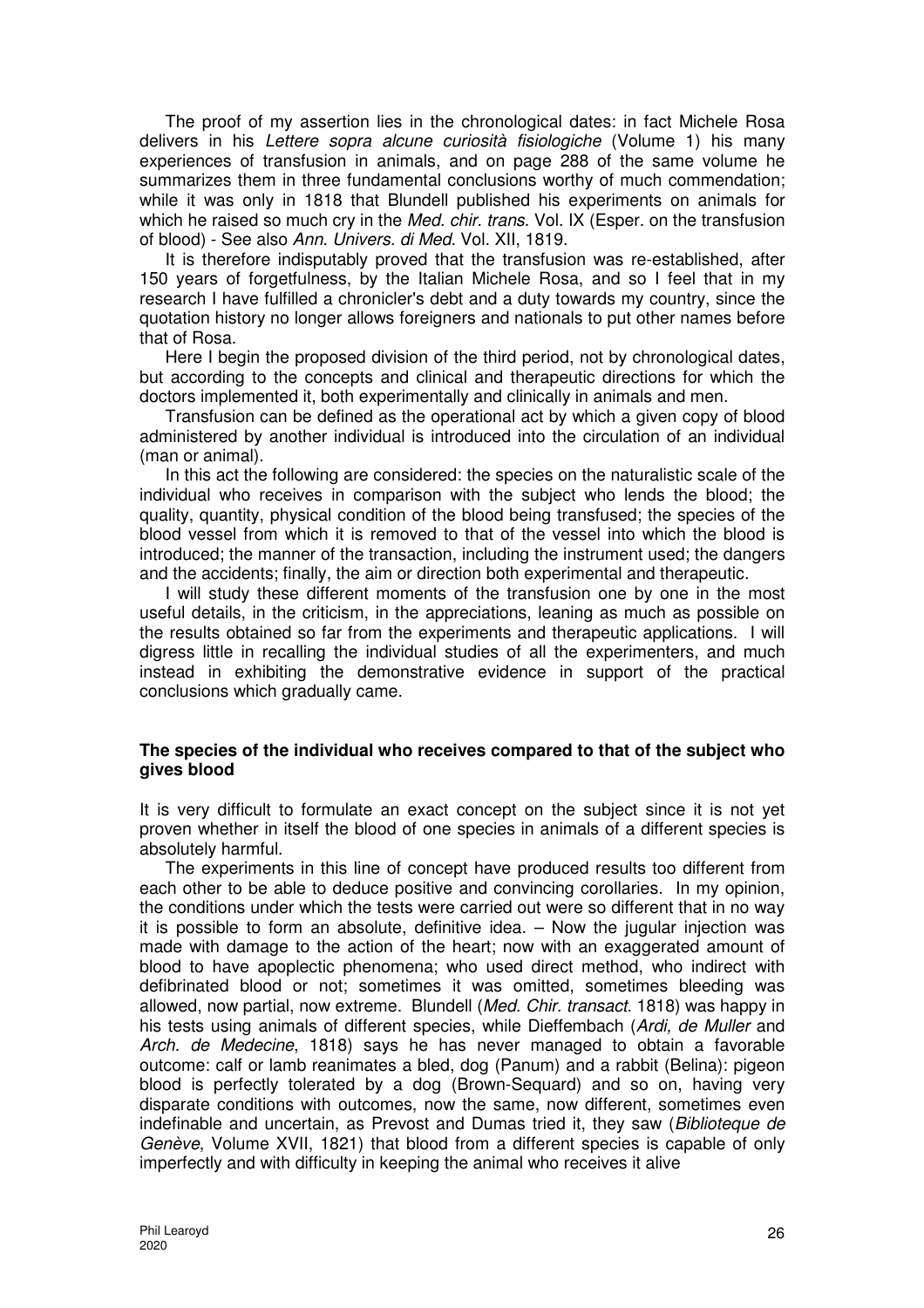The proof of my assertion lies in the chronological dates: in fact Michele Rosa delivers in his Lettere sopra alcune curiosità fisiologiche (Volume 1) his many experiences of transfusion in animals, and on page 288 of the same volume he summarizes them in three fundamental conclusions worthy of much commendation; while it was only in 1818 that Blundell published his experiments on animals for which he raised so much cry in the *Med. chir. trans.* Vol. IX (Esper. on the transfusion of blood) - See also Ann. Univers. di Med. Vol. XII, 1819.

It is therefore indisputably proved that the transfusion was re-established, after 150 years of forgetfulness, by the Italian Michele Rosa, and so I feel that in my research I have fulfilled a chronicler's debt and a duty towards my country, since the quotation history no longer allows foreigners and nationals to put other names before that of Rosa.

Here I begin the proposed division of the third period, not by chronological dates, but according to the concepts and clinical and therapeutic directions for which the doctors implemented it, both experimentally and clinically in animals and men.

Transfusion can be defined as the operational act by which a given copy of blood administered by another individual is introduced into the circulation of an individual (man or animal).

In this act the following are considered: the species on the naturalistic scale of the individual who receives in comparison with the subject who lends the blood; the quality, quantity, physical condition of the blood being transfused; the species of the blood vessel from which it is removed to that of the vessel into which the blood is introduced; the manner of the transaction, including the instrument used; the dangers and the accidents; finally, the aim or direction both experimental and therapeutic.

I will study these different moments of the transfusion one by one in the most useful details, in the criticism, in the appreciations, leaning as much as possible on the results obtained so far from the experiments and therapeutic applications. I will digress little in recalling the individual studies of all the experimenters, and much instead in exhibiting the demonstrative evidence in support of the practical conclusions which gradually came.

### **The species of the individual who receives compared to that of the subject who gives blood**

It is very difficult to formulate an exact concept on the subject since it is not yet proven whether in itself the blood of one species in animals of a different species is absolutely harmful.

The experiments in this line of concept have produced results too different from each other to be able to deduce positive and convincing corollaries. In my opinion, the conditions under which the tests were carried out were so different that in no way it is possible to form an absolute, definitive idea. – Now the jugular injection was made with damage to the action of the heart; now with an exaggerated amount of blood to have apoplectic phenomena; who used direct method, who indirect with defibrinated blood or not; sometimes it was omitted, sometimes bleeding was allowed, now partial, now extreme. Blundell (Med. Chir. transact. 1818) was happy in his tests using animals of different species, while Dieffembach (Ardi, de Muller and Arch. de Medecine, 1818) says he has never managed to obtain a favorable outcome: calf or lamb reanimates a bled, dog (Panum) and a rabbit (Belina): pigeon blood is perfectly tolerated by a dog (Brown-Sequard) and so on, having very disparate conditions with outcomes, now the same, now different, sometimes even indefinable and uncertain, as Prevost and Dumas tried it, they saw (Biblioteque de Genève, Volume XVII, 1821) that blood from a different species is capable of only imperfectly and with difficulty in keeping the animal who receives it alive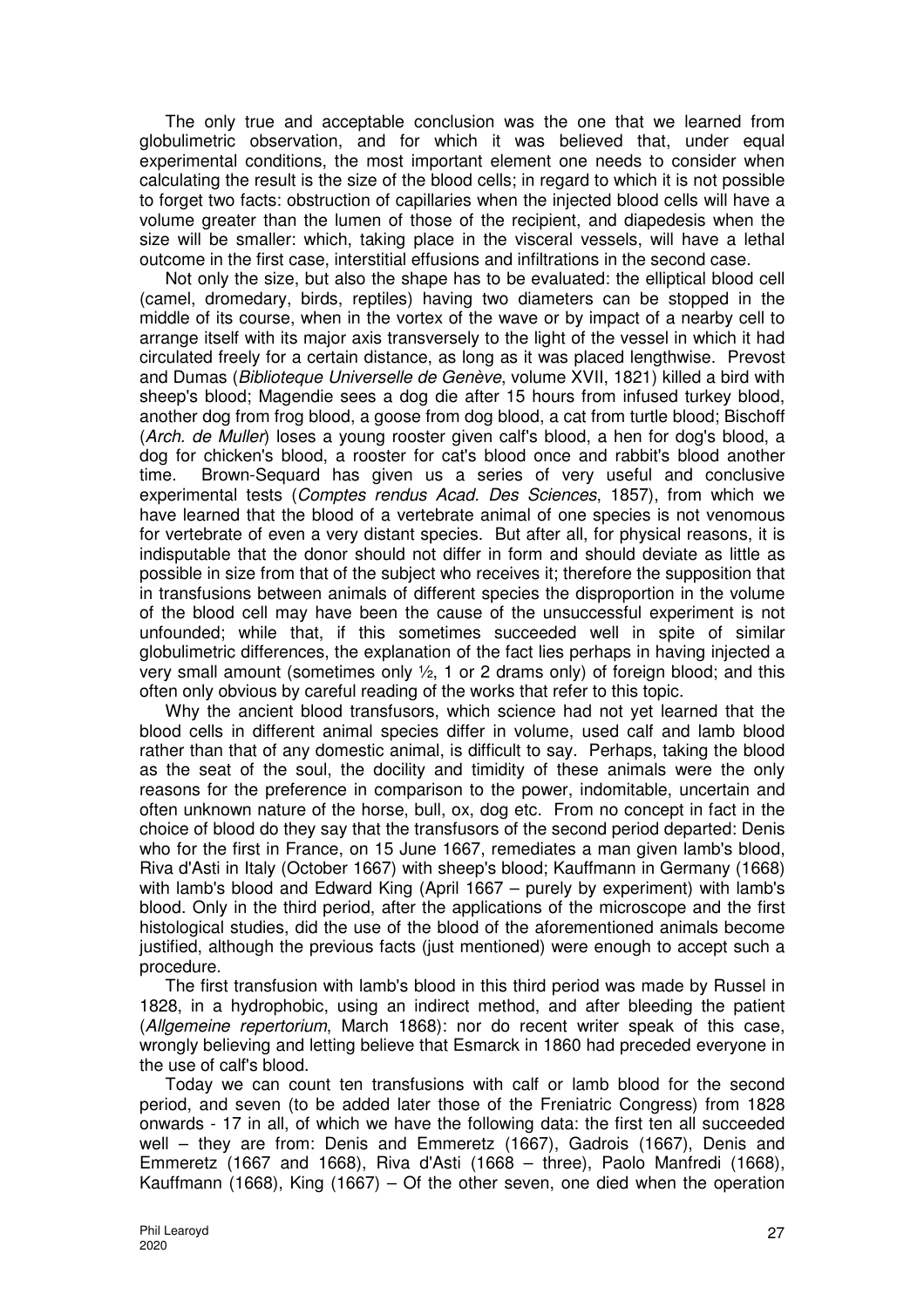The only true and acceptable conclusion was the one that we learned from globulimetric observation, and for which it was believed that, under equal experimental conditions, the most important element one needs to consider when calculating the result is the size of the blood cells; in regard to which it is not possible to forget two facts: obstruction of capillaries when the injected blood cells will have a volume greater than the lumen of those of the recipient, and diapedesis when the size will be smaller: which, taking place in the visceral vessels, will have a lethal outcome in the first case, interstitial effusions and infiltrations in the second case.

Not only the size, but also the shape has to be evaluated: the elliptical blood cell (camel, dromedary, birds, reptiles) having two diameters can be stopped in the middle of its course, when in the vortex of the wave or by impact of a nearby cell to arrange itself with its major axis transversely to the light of the vessel in which it had circulated freely for a certain distance, as long as it was placed lengthwise. Prevost and Dumas (Biblioteque Universelle de Genève, volume XVII, 1821) killed a bird with sheep's blood; Magendie sees a dog die after 15 hours from infused turkey blood, another dog from frog blood, a goose from dog blood, a cat from turtle blood; Bischoff (Arch. de Muller) loses a young rooster given calf's blood, a hen for dog's blood, a dog for chicken's blood, a rooster for cat's blood once and rabbit's blood another time. Brown-Sequard has given us a series of very useful and conclusive experimental tests (Comptes rendus Acad. Des Sciences, 1857), from which we have learned that the blood of a vertebrate animal of one species is not venomous for vertebrate of even a very distant species. But after all, for physical reasons, it is indisputable that the donor should not differ in form and should deviate as little as possible in size from that of the subject who receives it; therefore the supposition that in transfusions between animals of different species the disproportion in the volume of the blood cell may have been the cause of the unsuccessful experiment is not unfounded; while that, if this sometimes succeeded well in spite of similar globulimetric differences, the explanation of the fact lies perhaps in having injected a very small amount (sometimes only ½, 1 or 2 drams only) of foreign blood; and this often only obvious by careful reading of the works that refer to this topic.

Why the ancient blood transfusors, which science had not yet learned that the blood cells in different animal species differ in volume, used calf and lamb blood rather than that of any domestic animal, is difficult to say. Perhaps, taking the blood as the seat of the soul, the docility and timidity of these animals were the only reasons for the preference in comparison to the power, indomitable, uncertain and often unknown nature of the horse, bull, ox, dog etc. From no concept in fact in the choice of blood do they say that the transfusors of the second period departed: Denis who for the first in France, on 15 June 1667, remediates a man given lamb's blood, Riva d'Asti in Italy (October 1667) with sheep's blood; Kauffmann in Germany (1668) with lamb's blood and Edward King (April 1667 – purely by experiment) with lamb's blood. Only in the third period, after the applications of the microscope and the first histological studies, did the use of the blood of the aforementioned animals become justified, although the previous facts (just mentioned) were enough to accept such a procedure.

The first transfusion with lamb's blood in this third period was made by Russel in 1828, in a hydrophobic, using an indirect method, and after bleeding the patient (Allgemeine repertorium, March 1868): nor do recent writer speak of this case, wrongly believing and letting believe that Esmarck in 1860 had preceded everyone in the use of calf's blood.

Today we can count ten transfusions with calf or lamb blood for the second period, and seven (to be added later those of the Freniatric Congress) from 1828 onwards - 17 in all, of which we have the following data: the first ten all succeeded well – they are from: Denis and Emmeretz (1667), Gadrois (1667), Denis and Emmeretz (1667 and 1668), Riva d'Asti (1668 – three), Paolo Manfredi (1668), Kauffmann (1668), King (1667) – Of the other seven, one died when the operation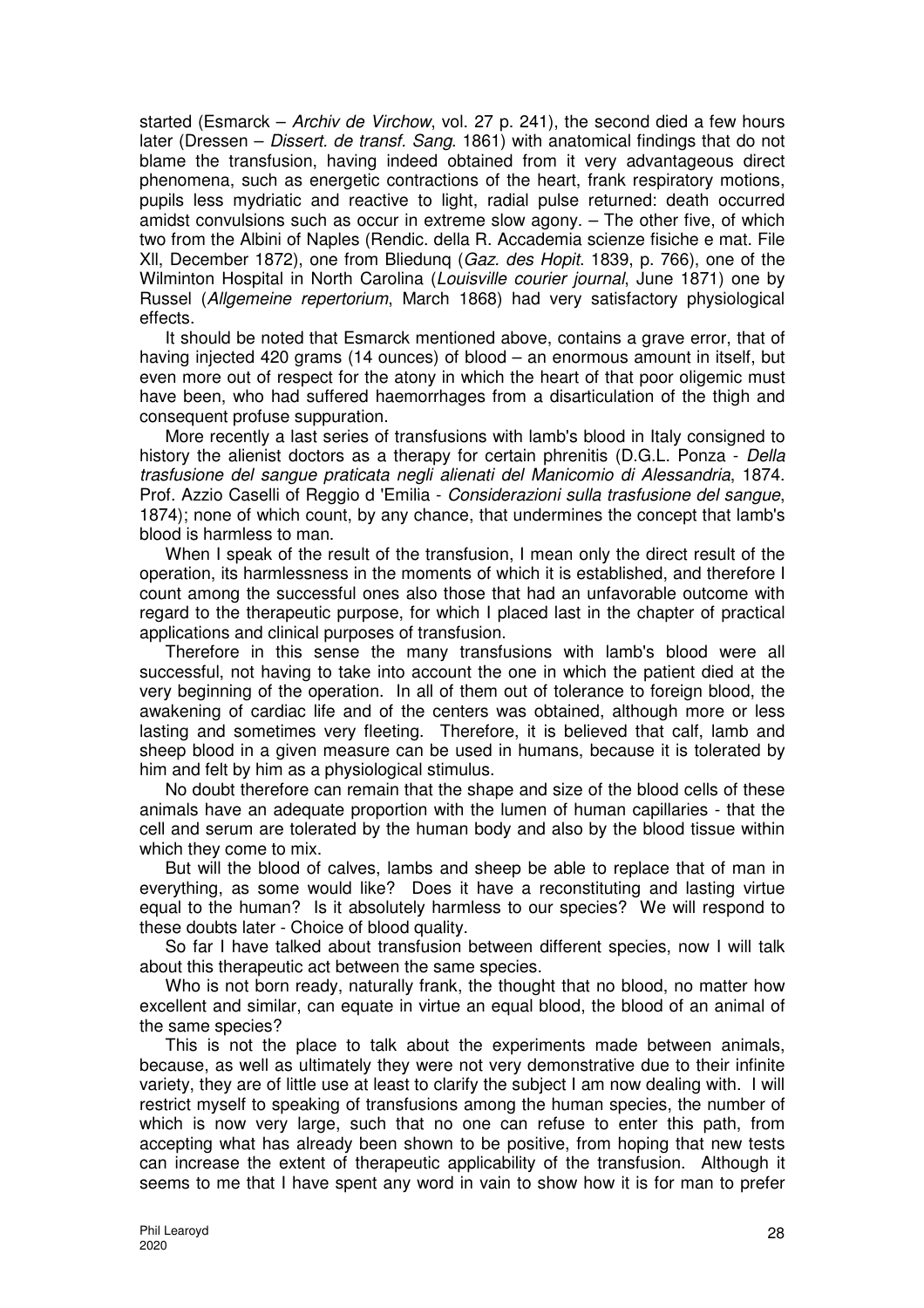started (Esmarck – Archiv de Virchow, vol. 27 p. 241), the second died a few hours later (Dressen – Dissert. de transt. Sang. 1861) with anatomical findings that do not blame the transfusion, having indeed obtained from it very advantageous direct phenomena, such as energetic contractions of the heart, frank respiratory motions, pupils less mydriatic and reactive to light, radial pulse returned: death occurred amidst convulsions such as occur in extreme slow agony. – The other five, of which two from the Albini of Naples (Rendic. della R. Accademia scienze fisiche e mat. File Xll, December 1872), one from Bliedunq (Gaz. des Hopit. 1839, p. 766), one of the Wilminton Hospital in North Carolina (Louisville courier journal, June 1871) one by Russel (Allgemeine repertorium, March 1868) had very satisfactory physiological effects.

It should be noted that Esmarck mentioned above, contains a grave error, that of having injected 420 grams (14 ounces) of blood – an enormous amount in itself, but even more out of respect for the atony in which the heart of that poor oligemic must have been, who had suffered haemorrhages from a disarticulation of the thigh and consequent profuse suppuration.

More recently a last series of transfusions with lamb's blood in Italy consigned to history the alienist doctors as a therapy for certain phrenitis (D.G.L. Ponza - Della trasfusione del sangue praticata negli alienati del Manicomio di Alessandria, 1874. Prof. Azzio Caselli of Reggio d 'Emilia - Considerazioni sulla trasfusione del sangue, 1874); none of which count, by any chance, that undermines the concept that lamb's blood is harmless to man.

When I speak of the result of the transfusion, I mean only the direct result of the operation, its harmlessness in the moments of which it is established, and therefore I count among the successful ones also those that had an unfavorable outcome with regard to the therapeutic purpose, for which I placed last in the chapter of practical applications and clinical purposes of transfusion.

Therefore in this sense the many transfusions with lamb's blood were all successful, not having to take into account the one in which the patient died at the very beginning of the operation. In all of them out of tolerance to foreign blood, the awakening of cardiac life and of the centers was obtained, although more or less lasting and sometimes very fleeting. Therefore, it is believed that calf, lamb and sheep blood in a given measure can be used in humans, because it is tolerated by him and felt by him as a physiological stimulus.

No doubt therefore can remain that the shape and size of the blood cells of these animals have an adequate proportion with the lumen of human capillaries - that the cell and serum are tolerated by the human body and also by the blood tissue within which they come to mix.

But will the blood of calves, lambs and sheep be able to replace that of man in everything, as some would like? Does it have a reconstituting and lasting virtue equal to the human? Is it absolutely harmless to our species? We will respond to these doubts later - Choice of blood quality.

So far I have talked about transfusion between different species, now I will talk about this therapeutic act between the same species.

Who is not born ready, naturally frank, the thought that no blood, no matter how excellent and similar, can equate in virtue an equal blood, the blood of an animal of the same species?

This is not the place to talk about the experiments made between animals, because, as well as ultimately they were not very demonstrative due to their infinite variety, they are of little use at least to clarify the subject I am now dealing with. I will restrict myself to speaking of transfusions among the human species, the number of which is now very large, such that no one can refuse to enter this path, from accepting what has already been shown to be positive, from hoping that new tests can increase the extent of therapeutic applicability of the transfusion. Although it seems to me that I have spent any word in vain to show how it is for man to prefer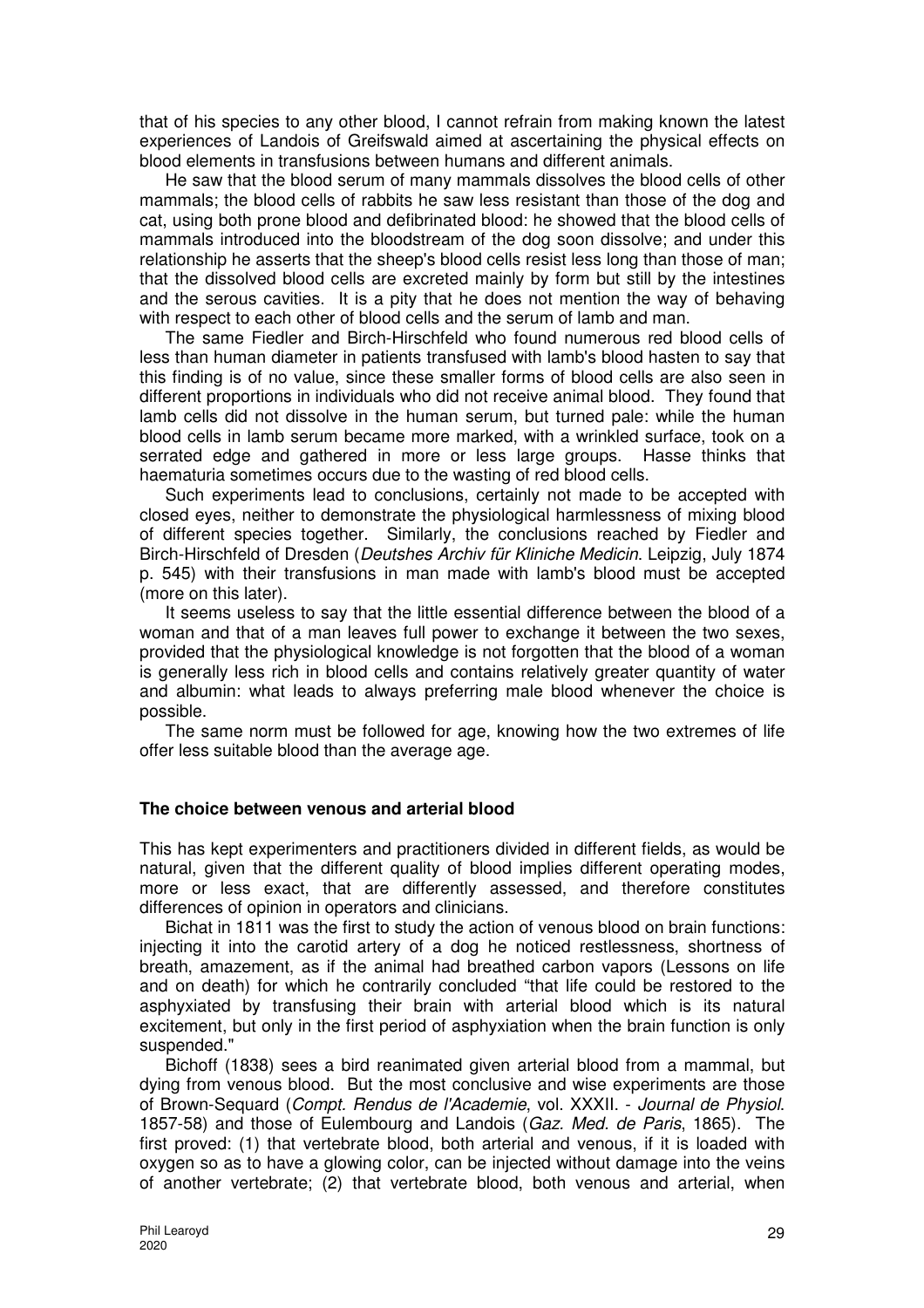that of his species to any other blood, I cannot refrain from making known the latest experiences of Landois of Greifswald aimed at ascertaining the physical effects on blood elements in transfusions between humans and different animals.

He saw that the blood serum of many mammals dissolves the blood cells of other mammals; the blood cells of rabbits he saw less resistant than those of the dog and cat, using both prone blood and defibrinated blood: he showed that the blood cells of mammals introduced into the bloodstream of the dog soon dissolve; and under this relationship he asserts that the sheep's blood cells resist less long than those of man; that the dissolved blood cells are excreted mainly by form but still by the intestines and the serous cavities. It is a pity that he does not mention the way of behaving with respect to each other of blood cells and the serum of lamb and man.

The same Fiedler and Birch-Hirschfeld who found numerous red blood cells of less than human diameter in patients transfused with lamb's blood hasten to say that this finding is of no value, since these smaller forms of blood cells are also seen in different proportions in individuals who did not receive animal blood. They found that lamb cells did not dissolve in the human serum, but turned pale: while the human blood cells in lamb serum became more marked, with a wrinkled surface, took on a serrated edge and gathered in more or less large groups. Hasse thinks that haematuria sometimes occurs due to the wasting of red blood cells.

Such experiments lead to conclusions, certainly not made to be accepted with closed eyes, neither to demonstrate the physiological harmlessness of mixing blood of different species together. Similarly, the conclusions reached by Fiedler and Birch-Hirschfeld of Dresden (Deutshes Archiv für Kliniche Medicin. Leipzig, July 1874 p. 545) with their transfusions in man made with lamb's blood must be accepted (more on this later).

It seems useless to say that the little essential difference between the blood of a woman and that of a man leaves full power to exchange it between the two sexes, provided that the physiological knowledge is not forgotten that the blood of a woman is generally less rich in blood cells and contains relatively greater quantity of water and albumin: what leads to always preferring male blood whenever the choice is possible.

The same norm must be followed for age, knowing how the two extremes of life offer less suitable blood than the average age.

### **The choice between venous and arterial blood**

This has kept experimenters and practitioners divided in different fields, as would be natural, given that the different quality of blood implies different operating modes, more or less exact, that are differently assessed, and therefore constitutes differences of opinion in operators and clinicians.

Bichat in 1811 was the first to study the action of venous blood on brain functions: injecting it into the carotid artery of a dog he noticed restlessness, shortness of breath, amazement, as if the animal had breathed carbon vapors (Lessons on life and on death) for which he contrarily concluded "that life could be restored to the asphyxiated by transfusing their brain with arterial blood which is its natural excitement, but only in the first period of asphyxiation when the brain function is only suspended."

Bichoff (1838) sees a bird reanimated given arterial blood from a mammal, but dying from venous blood. But the most conclusive and wise experiments are those of Brown-Sequard (Compt. Rendus de l'Academie, vol. XXXII. - Journal de Physiol. 1857-58) and those of Eulembourg and Landois (Gaz. Med. de Paris, 1865). The first proved: (1) that vertebrate blood, both arterial and venous, if it is loaded with oxygen so as to have a glowing color, can be injected without damage into the veins of another vertebrate; (2) that vertebrate blood, both venous and arterial, when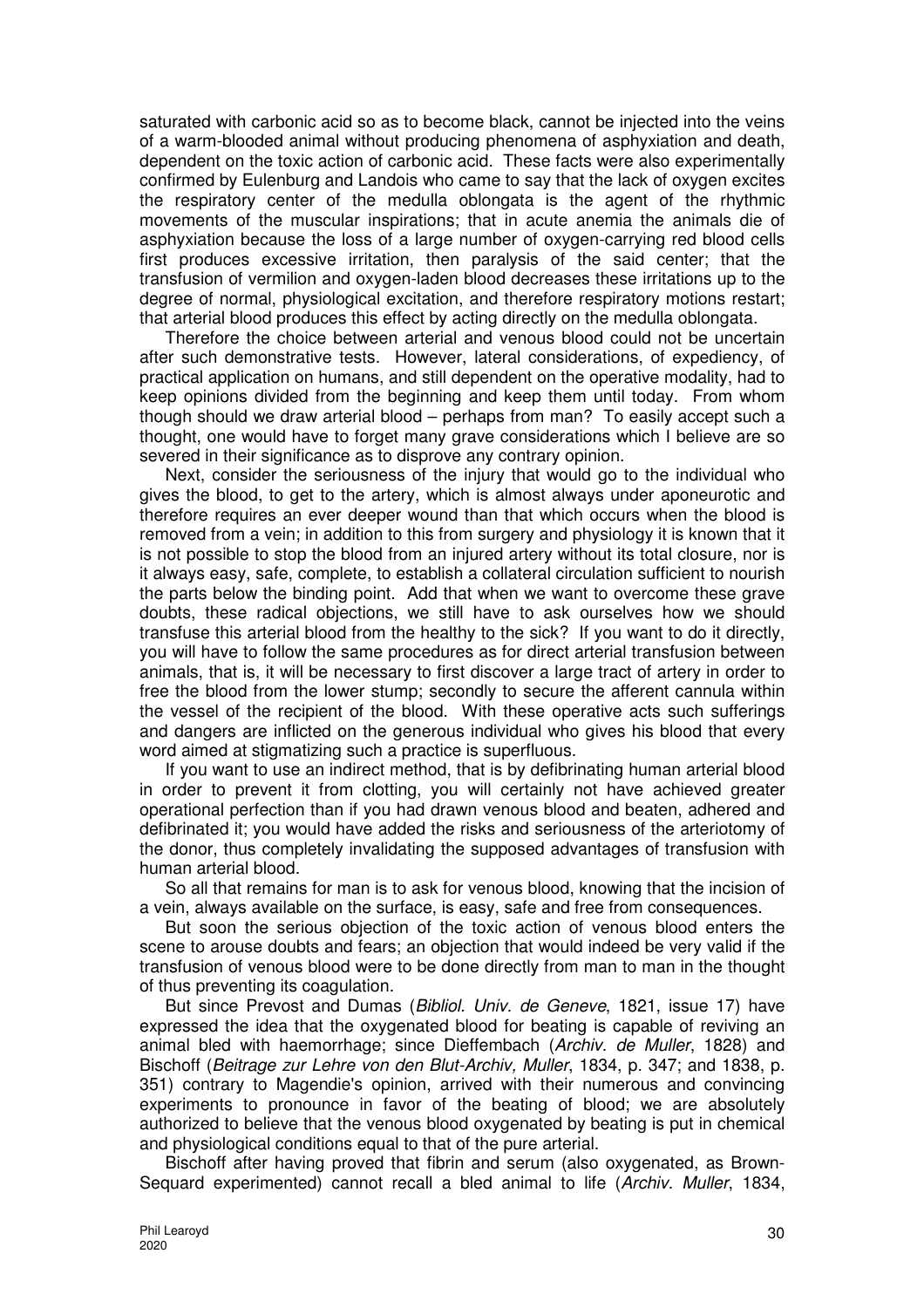saturated with carbonic acid so as to become black, cannot be injected into the veins of a warm-blooded animal without producing phenomena of asphyxiation and death, dependent on the toxic action of carbonic acid. These facts were also experimentally confirmed by Eulenburg and Landois who came to say that the lack of oxygen excites the respiratory center of the medulla oblongata is the agent of the rhythmic movements of the muscular inspirations; that in acute anemia the animals die of asphyxiation because the loss of a large number of oxygen-carrying red blood cells first produces excessive irritation, then paralysis of the said center; that the transfusion of vermilion and oxygen-laden blood decreases these irritations up to the degree of normal, physiological excitation, and therefore respiratory motions restart; that arterial blood produces this effect by acting directly on the medulla oblongata.

Therefore the choice between arterial and venous blood could not be uncertain after such demonstrative tests. However, lateral considerations, of expediency, of practical application on humans, and still dependent on the operative modality, had to keep opinions divided from the beginning and keep them until today. From whom though should we draw arterial blood – perhaps from man? To easily accept such a thought, one would have to forget many grave considerations which I believe are so severed in their significance as to disprove any contrary opinion.

Next, consider the seriousness of the injury that would go to the individual who gives the blood, to get to the artery, which is almost always under aponeurotic and therefore requires an ever deeper wound than that which occurs when the blood is removed from a vein; in addition to this from surgery and physiology it is known that it is not possible to stop the blood from an injured artery without its total closure, nor is it always easy, safe, complete, to establish a collateral circulation sufficient to nourish the parts below the binding point. Add that when we want to overcome these grave doubts, these radical objections, we still have to ask ourselves how we should transfuse this arterial blood from the healthy to the sick? If you want to do it directly, you will have to follow the same procedures as for direct arterial transfusion between animals, that is, it will be necessary to first discover a large tract of artery in order to free the blood from the lower stump; secondly to secure the afferent cannula within the vessel of the recipient of the blood. With these operative acts such sufferings and dangers are inflicted on the generous individual who gives his blood that every word aimed at stigmatizing such a practice is superfluous.

If you want to use an indirect method, that is by defibrinating human arterial blood in order to prevent it from clotting, you will certainly not have achieved greater operational perfection than if you had drawn venous blood and beaten, adhered and defibrinated it; you would have added the risks and seriousness of the arteriotomy of the donor, thus completely invalidating the supposed advantages of transfusion with human arterial blood.

So all that remains for man is to ask for venous blood, knowing that the incision of a vein, always available on the surface, is easy, safe and free from consequences.

But soon the serious objection of the toxic action of venous blood enters the scene to arouse doubts and fears; an objection that would indeed be very valid if the transfusion of venous blood were to be done directly from man to man in the thought of thus preventing its coagulation.

But since Prevost and Dumas (Bibliol. Univ. de Geneve, 1821, issue 17) have expressed the idea that the oxygenated blood for beating is capable of reviving an animal bled with haemorrhage; since Dieffembach (Archiv. de Muller, 1828) and Bischoff (Beitrage zur Lehre von den Blut-Archiv, Muller, 1834, p. 347; and 1838, p. 351) contrary to Magendie's opinion, arrived with their numerous and convincing experiments to pronounce in favor of the beating of blood; we are absolutely authorized to believe that the venous blood oxygenated by beating is put in chemical and physiological conditions equal to that of the pure arterial.

Bischoff after having proved that fibrin and serum (also oxygenated, as Brown-Sequard experimented) cannot recall a bled animal to life (Archiv. Muller, 1834,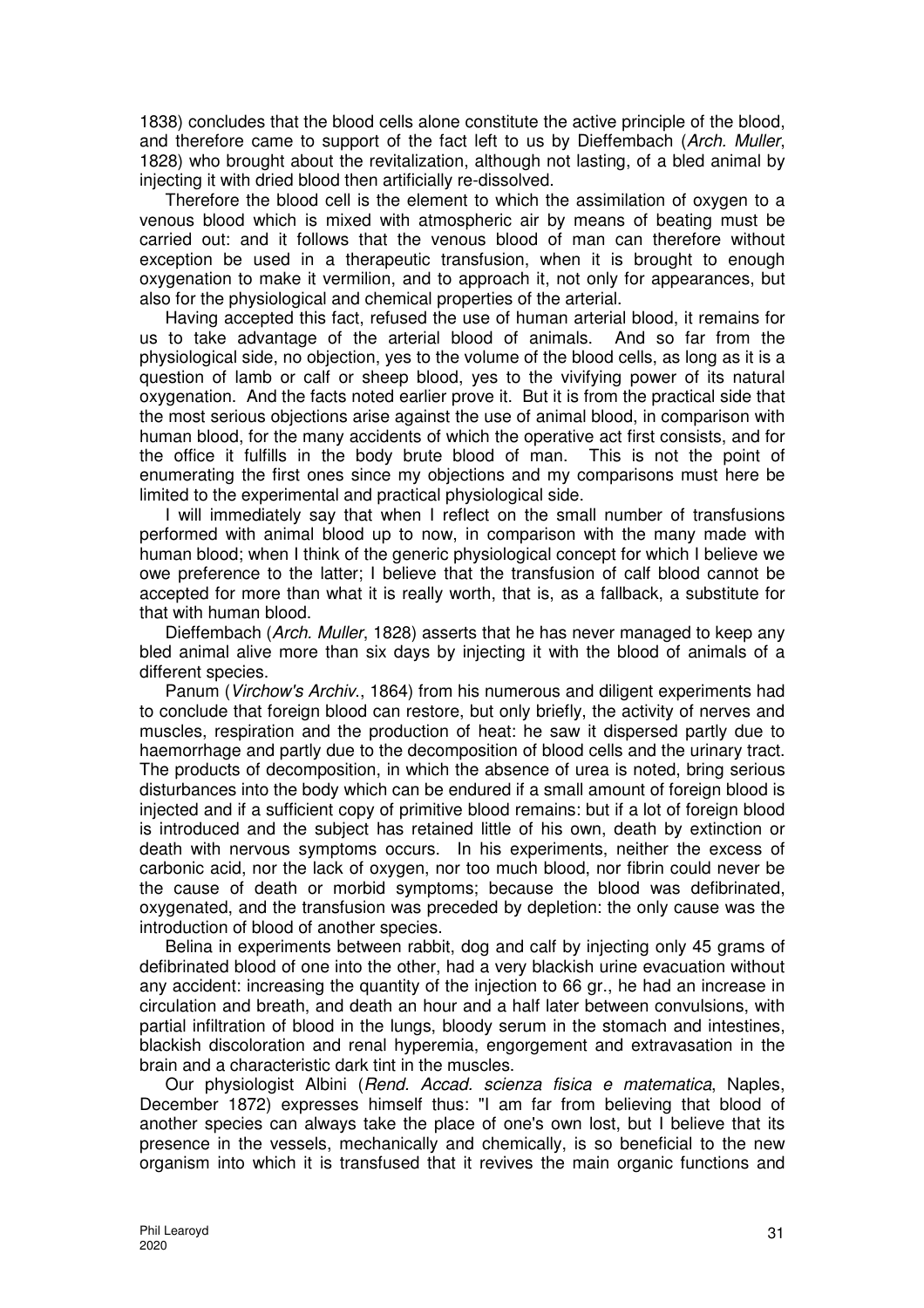1838) concludes that the blood cells alone constitute the active principle of the blood, and therefore came to support of the fact left to us by Dieffembach (Arch. Muller, 1828) who brought about the revitalization, although not lasting, of a bled animal by injecting it with dried blood then artificially re-dissolved.

Therefore the blood cell is the element to which the assimilation of oxygen to a venous blood which is mixed with atmospheric air by means of beating must be carried out: and it follows that the venous blood of man can therefore without exception be used in a therapeutic transfusion, when it is brought to enough oxygenation to make it vermilion, and to approach it, not only for appearances, but also for the physiological and chemical properties of the arterial.

Having accepted this fact, refused the use of human arterial blood, it remains for us to take advantage of the arterial blood of animals. And so far from the physiological side, no objection, yes to the volume of the blood cells, as long as it is a question of lamb or calf or sheep blood, yes to the vivifying power of its natural oxygenation. And the facts noted earlier prove it. But it is from the practical side that the most serious objections arise against the use of animal blood, in comparison with human blood, for the many accidents of which the operative act first consists, and for the office it fulfills in the body brute blood of man. This is not the point of enumerating the first ones since my objections and my comparisons must here be limited to the experimental and practical physiological side.

I will immediately say that when I reflect on the small number of transfusions performed with animal blood up to now, in comparison with the many made with human blood; when I think of the generic physiological concept for which I believe we owe preference to the latter; I believe that the transfusion of calf blood cannot be accepted for more than what it is really worth, that is, as a fallback, a substitute for that with human blood.

Dieffembach (Arch. Muller, 1828) asserts that he has never managed to keep any bled animal alive more than six days by injecting it with the blood of animals of a different species.

Panum (Virchow's Archiv., 1864) from his numerous and diligent experiments had to conclude that foreign blood can restore, but only briefly, the activity of nerves and muscles, respiration and the production of heat: he saw it dispersed partly due to haemorrhage and partly due to the decomposition of blood cells and the urinary tract. The products of decomposition, in which the absence of urea is noted, bring serious disturbances into the body which can be endured if a small amount of foreign blood is injected and if a sufficient copy of primitive blood remains: but if a lot of foreign blood is introduced and the subject has retained little of his own, death by extinction or death with nervous symptoms occurs. In his experiments, neither the excess of carbonic acid, nor the lack of oxygen, nor too much blood, nor fibrin could never be the cause of death or morbid symptoms; because the blood was defibrinated, oxygenated, and the transfusion was preceded by depletion: the only cause was the introduction of blood of another species.

Belina in experiments between rabbit, dog and calf by injecting only 45 grams of defibrinated blood of one into the other, had a very blackish urine evacuation without any accident: increasing the quantity of the injection to 66 gr., he had an increase in circulation and breath, and death an hour and a half later between convulsions, with partial infiltration of blood in the lungs, bloody serum in the stomach and intestines, blackish discoloration and renal hyperemia, engorgement and extravasation in the brain and a characteristic dark tint in the muscles.

Our physiologist Albini (Rend. Accad. scienza fisica e matematica, Naples, December 1872) expresses himself thus: "I am far from believing that blood of another species can always take the place of one's own lost, but I believe that its presence in the vessels, mechanically and chemically, is so beneficial to the new organism into which it is transfused that it revives the main organic functions and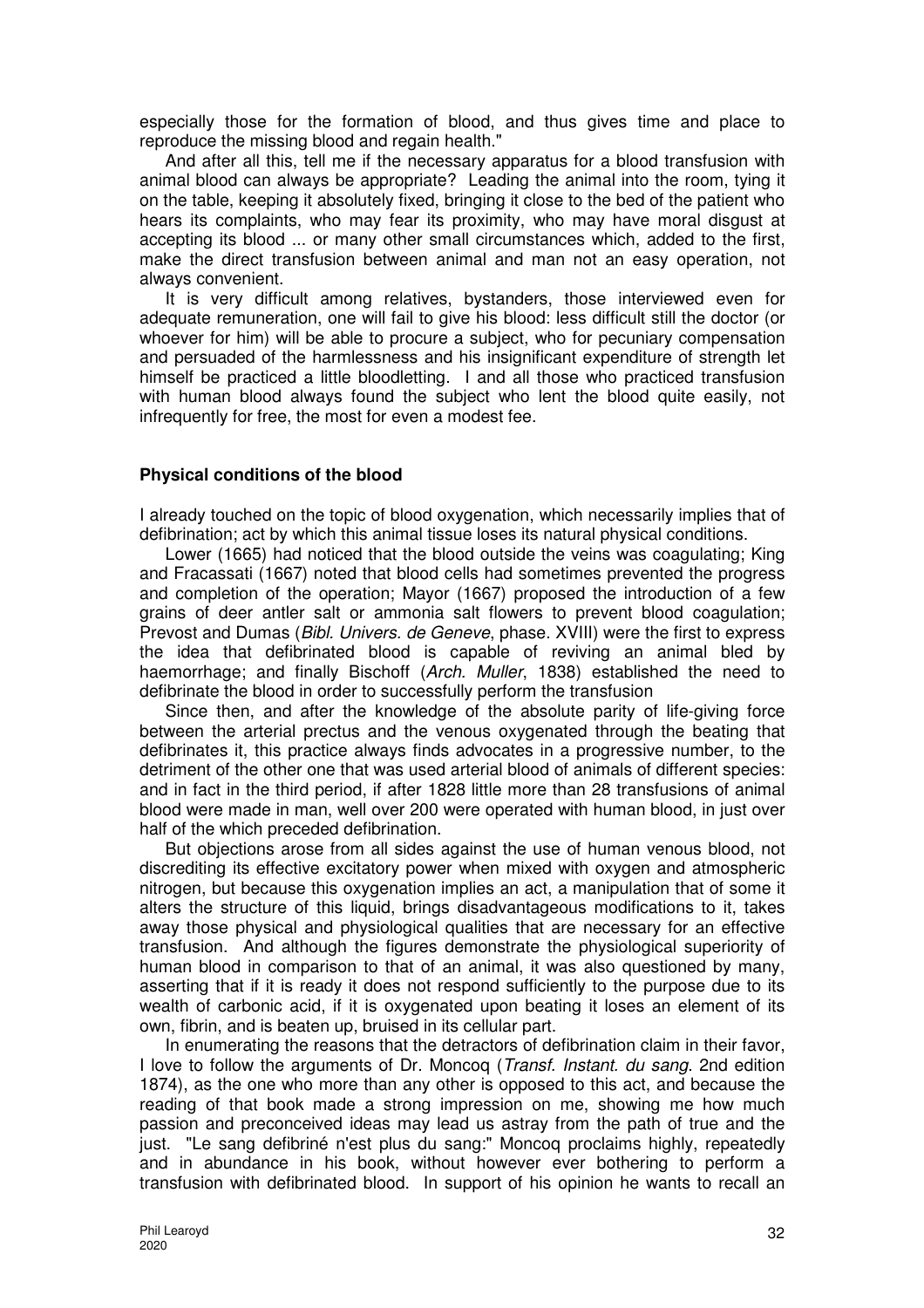especially those for the formation of blood, and thus gives time and place to reproduce the missing blood and regain health."

And after all this, tell me if the necessary apparatus for a blood transfusion with animal blood can always be appropriate? Leading the animal into the room, tying it on the table, keeping it absolutely fixed, bringing it close to the bed of the patient who hears its complaints, who may fear its proximity, who may have moral disgust at accepting its blood ... or many other small circumstances which, added to the first, make the direct transfusion between animal and man not an easy operation, not always convenient.

It is very difficult among relatives, bystanders, those interviewed even for adequate remuneration, one will fail to give his blood: less difficult still the doctor (or whoever for him) will be able to procure a subject, who for pecuniary compensation and persuaded of the harmlessness and his insignificant expenditure of strength let himself be practiced a little bloodletting. I and all those who practiced transfusion with human blood always found the subject who lent the blood quite easily, not infrequently for free, the most for even a modest fee.

#### **Physical conditions of the blood**

I already touched on the topic of blood oxygenation, which necessarily implies that of defibrination; act by which this animal tissue loses its natural physical conditions.

Lower (1665) had noticed that the blood outside the veins was coagulating; King and Fracassati (1667) noted that blood cells had sometimes prevented the progress and completion of the operation; Mayor (1667) proposed the introduction of a few grains of deer antler salt or ammonia salt flowers to prevent blood coagulation; Prevost and Dumas (Bibl. Univers. de Geneve, phase. XVIII) were the first to express the idea that defibrinated blood is capable of reviving an animal bled by haemorrhage; and finally Bischoff (Arch. Muller, 1838) established the need to defibrinate the blood in order to successfully perform the transfusion

Since then, and after the knowledge of the absolute parity of life-giving force between the arterial prectus and the venous oxygenated through the beating that defibrinates it, this practice always finds advocates in a progressive number, to the detriment of the other one that was used arterial blood of animals of different species: and in fact in the third period, if after 1828 little more than 28 transfusions of animal blood were made in man, well over 200 were operated with human blood, in just over half of the which preceded defibrination.

But objections arose from all sides against the use of human venous blood, not discrediting its effective excitatory power when mixed with oxygen and atmospheric nitrogen, but because this oxygenation implies an act, a manipulation that of some it alters the structure of this liquid, brings disadvantageous modifications to it, takes away those physical and physiological qualities that are necessary for an effective transfusion. And although the figures demonstrate the physiological superiority of human blood in comparison to that of an animal, it was also questioned by many, asserting that if it is ready it does not respond sufficiently to the purpose due to its wealth of carbonic acid, if it is oxygenated upon beating it loses an element of its own, fibrin, and is beaten up, bruised in its cellular part.

In enumerating the reasons that the detractors of defibrination claim in their favor, I love to follow the arguments of Dr. Moncoq (Transf. Instant. du sang. 2nd edition 1874), as the one who more than any other is opposed to this act, and because the reading of that book made a strong impression on me, showing me how much passion and preconceived ideas may lead us astray from the path of true and the just. "Le sang defibriné n'est plus du sang:" Moncoq proclaims highly, repeatedly and in abundance in his book, without however ever bothering to perform a transfusion with defibrinated blood. In support of his opinion he wants to recall an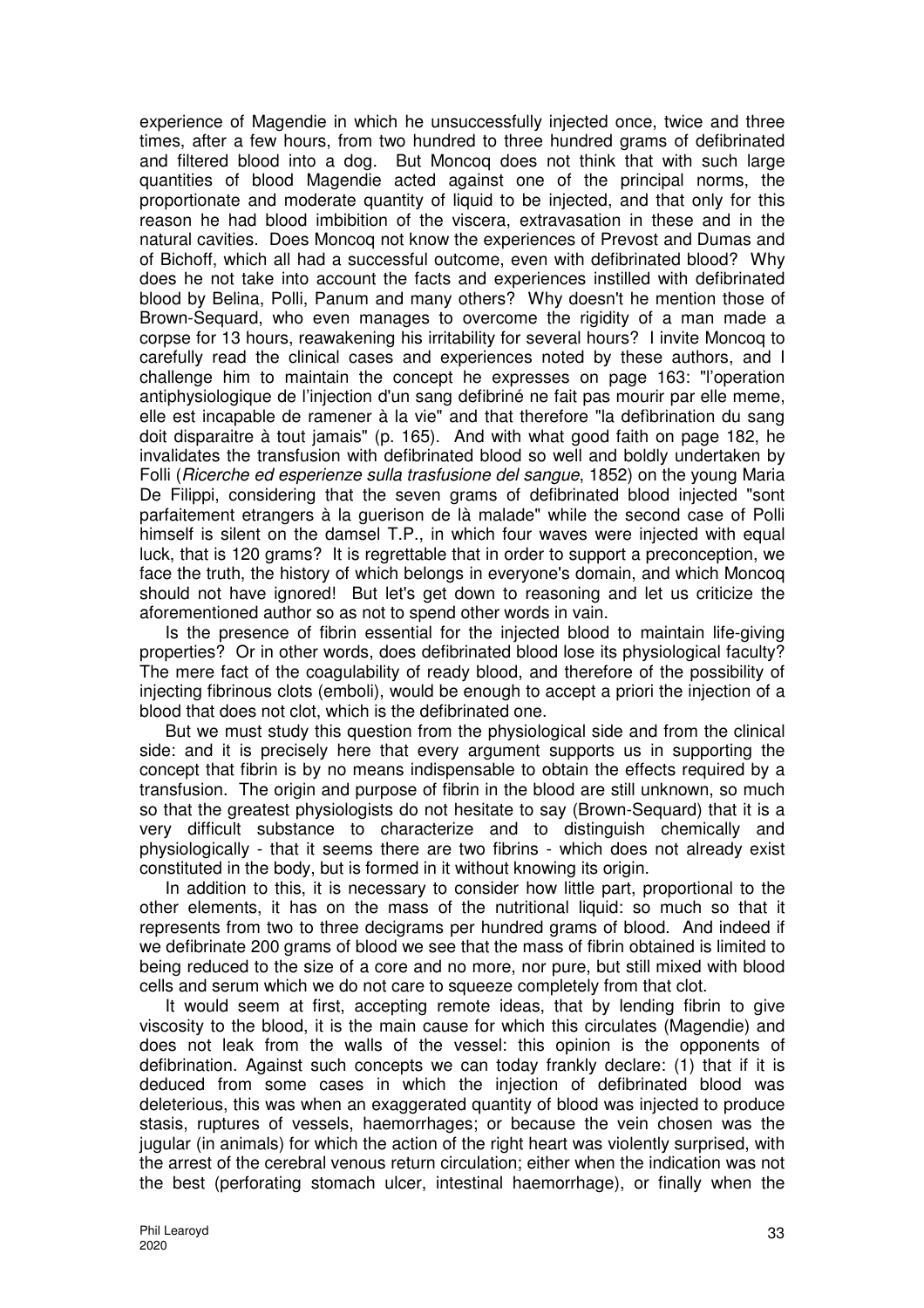experience of Magendie in which he unsuccessfully injected once, twice and three times, after a few hours, from two hundred to three hundred grams of defibrinated and filtered blood into a dog. But Moncoq does not think that with such large quantities of blood Magendie acted against one of the principal norms, the proportionate and moderate quantity of liquid to be injected, and that only for this reason he had blood imbibition of the viscera, extravasation in these and in the natural cavities. Does Moncoq not know the experiences of Prevost and Dumas and of Bichoff, which all had a successful outcome, even with defibrinated blood? Why does he not take into account the facts and experiences instilled with defibrinated blood by Belina, Polli, Panum and many others? Why doesn't he mention those of Brown-Sequard, who even manages to overcome the rigidity of a man made a corpse for 13 hours, reawakening his irritability for several hours? I invite Moncoq to carefully read the clinical cases and experiences noted by these authors, and I challenge him to maintain the concept he expresses on page 163: "l'operation antiphysiologique de l'injection d'un sang defibriné ne fait pas mourir par elle meme, elle est incapable de ramener à la vie" and that therefore "la defìbrination du sang doit disparaitre à tout jamais" (p. 165). And with what good faith on page 182, he invalidates the transfusion with defibrinated blood so well and boldly undertaken by Folli (Ricerche ed esperienze sulla trasfusione del sangue, 1852) on the young Maria De Filippi, considering that the seven grams of defibrinated blood injected "sont parfaitement etrangers à la guerison de là malade" while the second case of Polli himself is silent on the damsel T.P., in which four waves were injected with equal luck, that is 120 grams? It is regrettable that in order to support a preconception, we face the truth, the history of which belongs in everyone's domain, and which Moncoq should not have ignored! But let's get down to reasoning and let us criticize the aforementioned author so as not to spend other words in vain.

Is the presence of fibrin essential for the injected blood to maintain life-giving properties? Or in other words, does defibrinated blood lose its physiological faculty? The mere fact of the coagulability of ready blood, and therefore of the possibility of injecting fibrinous clots (emboli), would be enough to accept a priori the injection of a blood that does not clot, which is the defibrinated one.

But we must study this question from the physiological side and from the clinical side: and it is precisely here that every argument supports us in supporting the concept that fibrin is by no means indispensable to obtain the effects required by a transfusion. The origin and purpose of fibrin in the blood are still unknown, so much so that the greatest physiologists do not hesitate to say (Brown-Sequard) that it is a very difficult substance to characterize and to distinguish chemically and physiologically - that it seems there are two fibrins - which does not already exist constituted in the body, but is formed in it without knowing its origin.

In addition to this, it is necessary to consider how little part, proportional to the other elements, it has on the mass of the nutritional liquid: so much so that it represents from two to three decigrams per hundred grams of blood. And indeed if we defibrinate 200 grams of blood we see that the mass of fibrin obtained is limited to being reduced to the size of a core and no more, nor pure, but still mixed with blood cells and serum which we do not care to squeeze completely from that clot.

It would seem at first, accepting remote ideas, that by lending fibrin to give viscosity to the blood, it is the main cause for which this circulates (Magendie) and does not leak from the walls of the vessel: this opinion is the opponents of defibrination. Against such concepts we can today frankly declare: (1) that if it is deduced from some cases in which the injection of defibrinated blood was deleterious, this was when an exaggerated quantity of blood was injected to produce stasis, ruptures of vessels, haemorrhages; or because the vein chosen was the jugular (in animals) for which the action of the right heart was violently surprised, with the arrest of the cerebral venous return circulation; either when the indication was not the best (perforating stomach ulcer, intestinal haemorrhage), or finally when the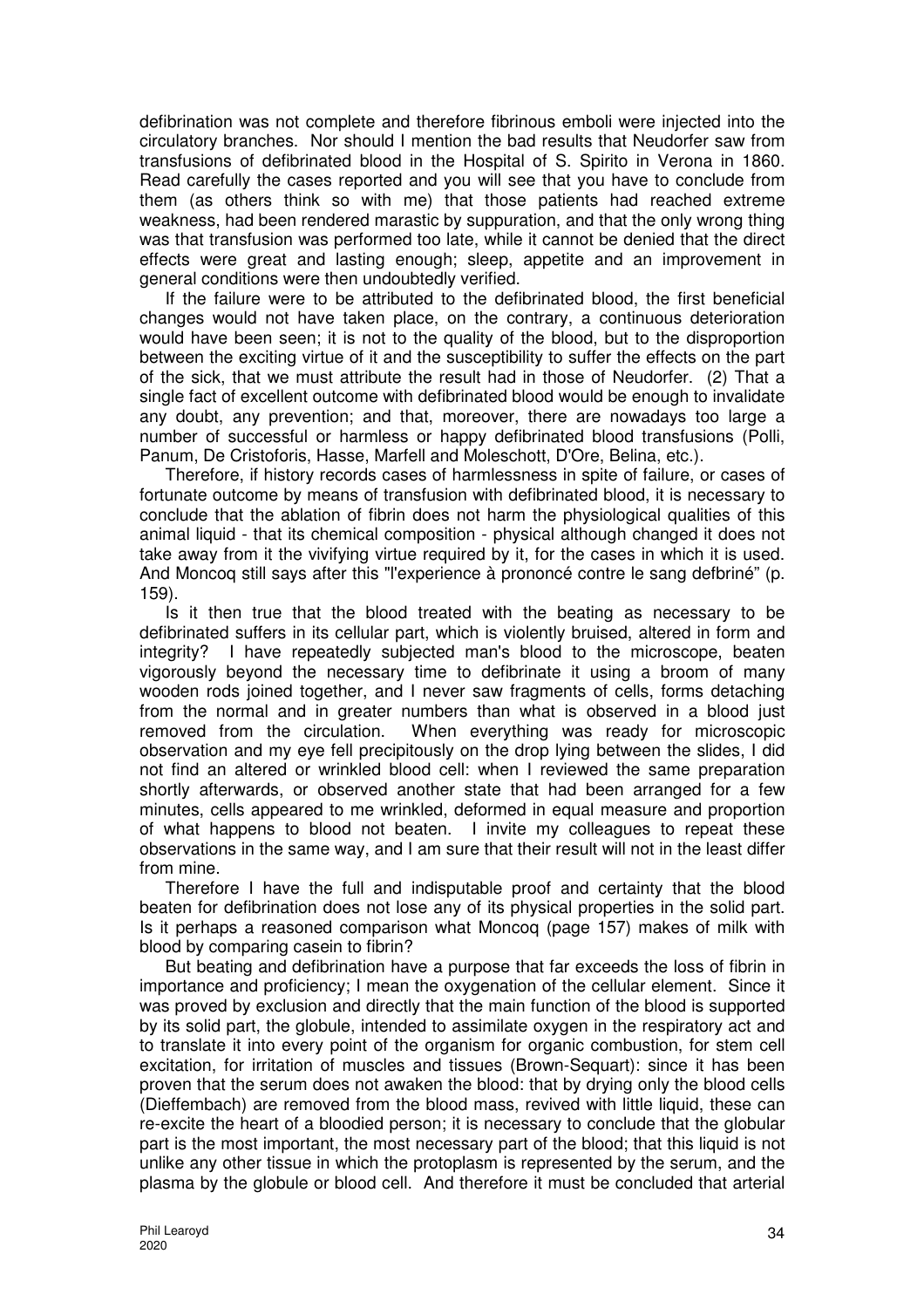defibrination was not complete and therefore fibrinous emboli were injected into the circulatory branches. Nor should I mention the bad results that Neudorfer saw from transfusions of defibrinated blood in the Hospital of S. Spirito in Verona in 1860. Read carefully the cases reported and you will see that you have to conclude from them (as others think so with me) that those patients had reached extreme weakness, had been rendered marastic by suppuration, and that the only wrong thing was that transfusion was performed too late, while it cannot be denied that the direct effects were great and lasting enough; sleep, appetite and an improvement in general conditions were then undoubtedly verified.

If the failure were to be attributed to the defibrinated blood, the first beneficial changes would not have taken place, on the contrary, a continuous deterioration would have been seen; it is not to the quality of the blood, but to the disproportion between the exciting virtue of it and the susceptibility to suffer the effects on the part of the sick, that we must attribute the result had in those of Neudorfer. (2) That a single fact of excellent outcome with defibrinated blood would be enough to invalidate any doubt, any prevention; and that, moreover, there are nowadays too large a number of successful or harmless or happy defibrinated blood transfusions (Polli, Panum, De Cristoforis, Hasse, Marfell and Moleschott, D'Ore, Belina, etc.).

Therefore, if history records cases of harmlessness in spite of failure, or cases of fortunate outcome by means of transfusion with defibrinated blood, it is necessary to conclude that the ablation of fibrin does not harm the physiological qualities of this animal liquid - that its chemical composition - physical although changed it does not take away from it the vivifying virtue required by it, for the cases in which it is used. And Moncoq still says after this "l'experience à prononcé contre le sang defbriné" (p. 159).

Is it then true that the blood treated with the beating as necessary to be defibrinated suffers in its cellular part, which is violently bruised, altered in form and integrity? I have repeatedly subjected man's blood to the microscope, beaten vigorously beyond the necessary time to defibrinate it using a broom of many wooden rods joined together, and I never saw fragments of cells, forms detaching from the normal and in greater numbers than what is observed in a blood just removed from the circulation. When everything was ready for microscopic observation and my eye fell precipitously on the drop lying between the slides, I did not find an altered or wrinkled blood cell: when I reviewed the same preparation shortly afterwards, or observed another state that had been arranged for a few minutes, cells appeared to me wrinkled, deformed in equal measure and proportion of what happens to blood not beaten. I invite my colleagues to repeat these observations in the same way, and I am sure that their result will not in the least differ from mine.

Therefore I have the full and indisputable proof and certainty that the blood beaten for defibrination does not lose any of its physical properties in the solid part. Is it perhaps a reasoned comparison what Moncoq (page 157) makes of milk with blood by comparing casein to fibrin?

But beating and defibrination have a purpose that far exceeds the loss of fibrin in importance and proficiency; I mean the oxygenation of the cellular element. Since it was proved by exclusion and directly that the main function of the blood is supported by its solid part, the globule, intended to assimilate oxygen in the respiratory act and to translate it into every point of the organism for organic combustion, for stem cell excitation, for irritation of muscles and tissues (Brown-Sequart): since it has been proven that the serum does not awaken the blood: that by drying only the blood cells (Dieffembach) are removed from the blood mass, revived with little liquid, these can re-excite the heart of a bloodied person; it is necessary to conclude that the globular part is the most important, the most necessary part of the blood; that this liquid is not unlike any other tissue in which the protoplasm is represented by the serum, and the plasma by the globule or blood cell. And therefore it must be concluded that arterial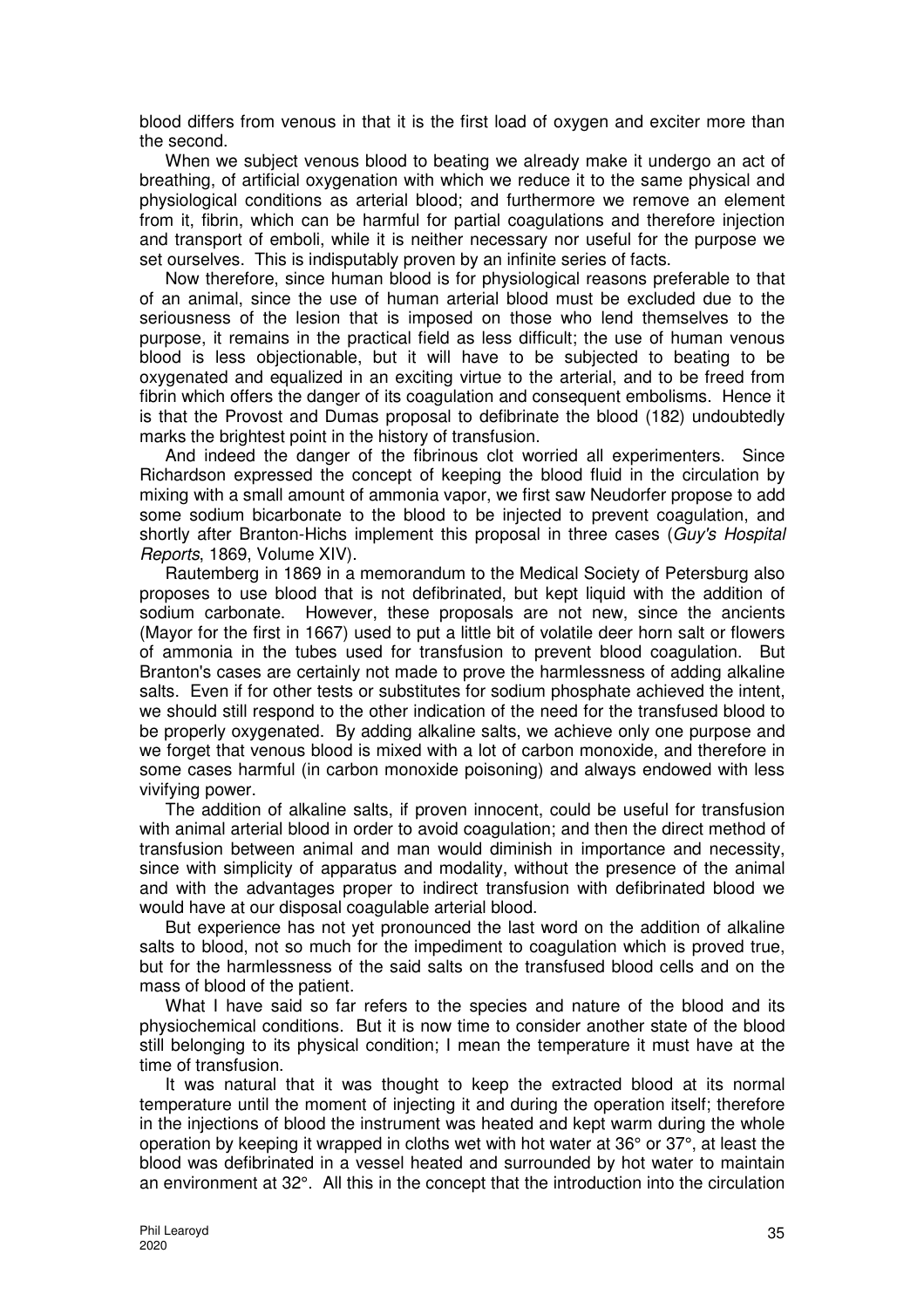blood differs from venous in that it is the first load of oxygen and exciter more than the second.

When we subject venous blood to beating we already make it undergo an act of breathing, of artificial oxygenation with which we reduce it to the same physical and physiological conditions as arterial blood; and furthermore we remove an element from it, fibrin, which can be harmful for partial coagulations and therefore injection and transport of emboli, while it is neither necessary nor useful for the purpose we set ourselves. This is indisputably proven by an infinite series of facts.

Now therefore, since human blood is for physiological reasons preferable to that of an animal, since the use of human arterial blood must be excluded due to the seriousness of the lesion that is imposed on those who lend themselves to the purpose, it remains in the practical field as less difficult; the use of human venous blood is less objectionable, but it will have to be subjected to beating to be oxygenated and equalized in an exciting virtue to the arterial, and to be freed from fibrin which offers the danger of its coagulation and consequent embolisms. Hence it is that the Provost and Dumas proposal to defibrinate the blood (182) undoubtedly marks the brightest point in the history of transfusion.

And indeed the danger of the fibrinous clot worried all experimenters. Since Richardson expressed the concept of keeping the blood fluid in the circulation by mixing with a small amount of ammonia vapor, we first saw Neudorfer propose to add some sodium bicarbonate to the blood to be injected to prevent coagulation, and shortly after Branton-Hichs implement this proposal in three cases (Guy's Hospital Reports, 1869, Volume XIV).

Rautemberg in 1869 in a memorandum to the Medical Society of Petersburg also proposes to use blood that is not defibrinated, but kept liquid with the addition of sodium carbonate. However, these proposals are not new, since the ancients (Mayor for the first in 1667) used to put a little bit of volatile deer horn salt or flowers of ammonia in the tubes used for transfusion to prevent blood coagulation. But Branton's cases are certainly not made to prove the harmlessness of adding alkaline salts. Even if for other tests or substitutes for sodium phosphate achieved the intent, we should still respond to the other indication of the need for the transfused blood to be properly oxygenated. By adding alkaline salts, we achieve only one purpose and we forget that venous blood is mixed with a lot of carbon monoxide, and therefore in some cases harmful (in carbon monoxide poisoning) and always endowed with less vivifying power.

The addition of alkaline salts, if proven innocent, could be useful for transfusion with animal arterial blood in order to avoid coagulation; and then the direct method of transfusion between animal and man would diminish in importance and necessity, since with simplicity of apparatus and modality, without the presence of the animal and with the advantages proper to indirect transfusion with defibrinated blood we would have at our disposal coagulable arterial blood.

But experience has not yet pronounced the last word on the addition of alkaline salts to blood, not so much for the impediment to coagulation which is proved true, but for the harmlessness of the said salts on the transfused blood cells and on the mass of blood of the patient.

What I have said so far refers to the species and nature of the blood and its physiochemical conditions. But it is now time to consider another state of the blood still belonging to its physical condition; I mean the temperature it must have at the time of transfusion.

It was natural that it was thought to keep the extracted blood at its normal temperature until the moment of injecting it and during the operation itself; therefore in the injections of blood the instrument was heated and kept warm during the whole operation by keeping it wrapped in cloths wet with hot water at 36° or 37°, at least the blood was defibrinated in a vessel heated and surrounded by hot water to maintain an environment at 32°. All this in the concept that the introduction into the circulation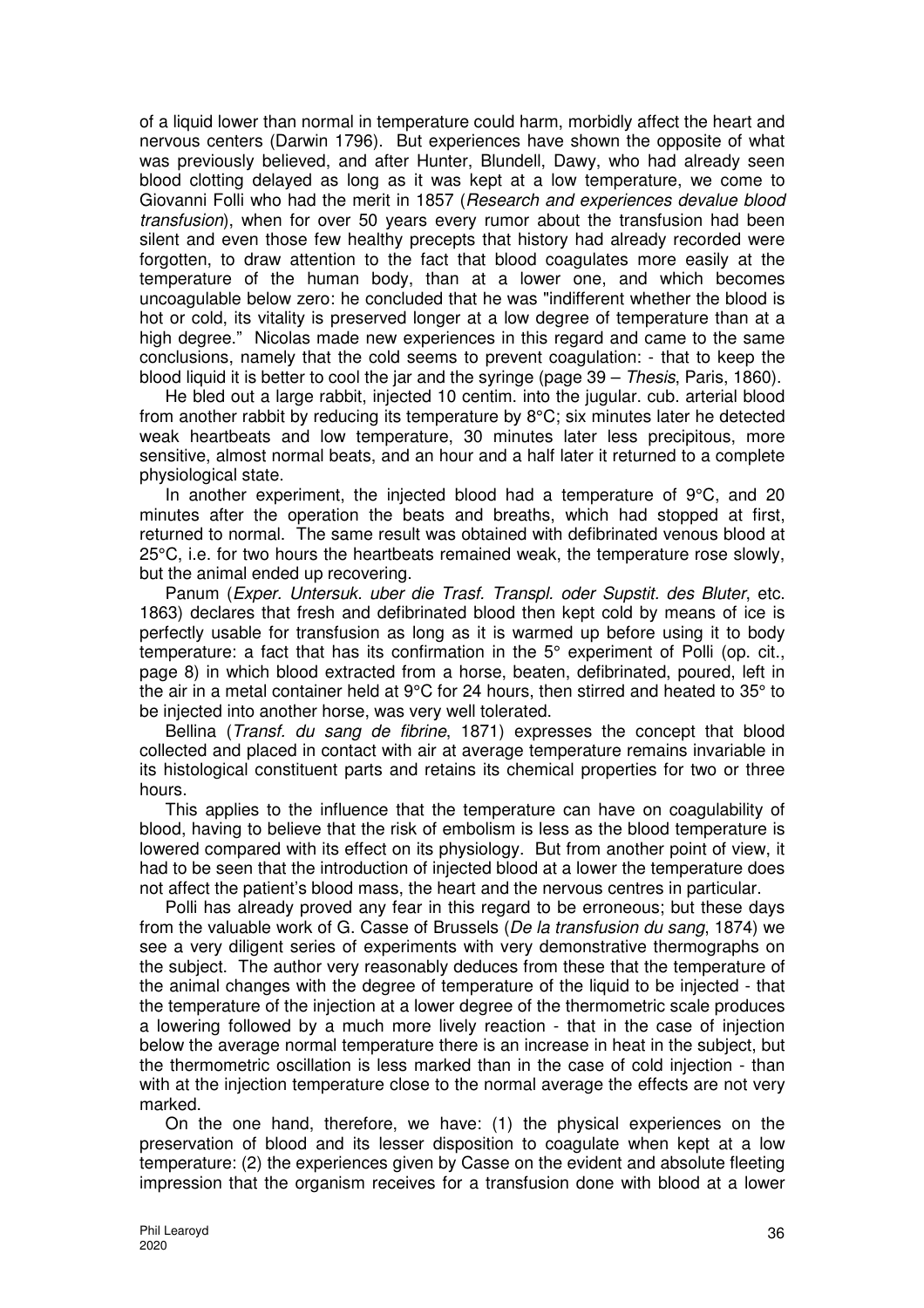of a liquid lower than normal in temperature could harm, morbidly affect the heart and nervous centers (Darwin 1796). But experiences have shown the opposite of what was previously believed, and after Hunter, Blundell, Dawy, who had already seen blood clotting delayed as long as it was kept at a low temperature, we come to Giovanni Folli who had the merit in 1857 (Research and experiences devalue blood transfusion), when for over 50 years every rumor about the transfusion had been silent and even those few healthy precepts that history had already recorded were forgotten, to draw attention to the fact that blood coagulates more easily at the temperature of the human body, than at a lower one, and which becomes uncoagulable below zero: he concluded that he was "indifferent whether the blood is hot or cold, its vitality is preserved longer at a low degree of temperature than at a high degree." Nicolas made new experiences in this regard and came to the same conclusions, namely that the cold seems to prevent coagulation: - that to keep the blood liquid it is better to cool the jar and the syringe (page 39 – Thesis, Paris, 1860).

He bled out a large rabbit, injected 10 centim. into the jugular. cub. arterial blood from another rabbit by reducing its temperature by 8°C; six minutes later he detected weak heartbeats and low temperature, 30 minutes later less precipitous, more sensitive, almost normal beats, and an hour and a half later it returned to a complete physiological state.

In another experiment, the injected blood had a temperature of 9°C, and 20 minutes after the operation the beats and breaths, which had stopped at first, returned to normal. The same result was obtained with defibrinated venous blood at 25°C, i.e. for two hours the heartbeats remained weak, the temperature rose slowly, but the animal ended up recovering.

Panum (Exper. Untersuk. uber die Trasf. Transpl. oder Supstit. des Bluter, etc. 1863) declares that fresh and defibrinated blood then kept cold by means of ice is perfectly usable for transfusion as long as it is warmed up before using it to body temperature: a fact that has its confirmation in the 5° experiment of Polli (op. cit., page 8) in which blood extracted from a horse, beaten, defibrinated, poured, left in the air in a metal container held at 9°C for 24 hours, then stirred and heated to 35° to be injected into another horse, was very well tolerated.

Bellina (Transf. du sang de fibrine, 1871) expresses the concept that blood collected and placed in contact with air at average temperature remains invariable in its histological constituent parts and retains its chemical properties for two or three hours.

This applies to the influence that the temperature can have on coagulability of blood, having to believe that the risk of embolism is less as the blood temperature is lowered compared with its effect on its physiology. But from another point of view, it had to be seen that the introduction of injected blood at a lower the temperature does not affect the patient's blood mass, the heart and the nervous centres in particular.

Polli has already proved any fear in this regard to be erroneous; but these days from the valuable work of G. Casse of Brussels (De la transfusion du sang, 1874) we see a very diligent series of experiments with very demonstrative thermographs on the subject. The author very reasonably deduces from these that the temperature of the animal changes with the degree of temperature of the liquid to be injected - that the temperature of the injection at a lower degree of the thermometric scale produces a lowering followed by a much more lively reaction - that in the case of injection below the average normal temperature there is an increase in heat in the subject, but the thermometric oscillation is less marked than in the case of cold injection - than with at the injection temperature close to the normal average the effects are not very marked.

On the one hand, therefore, we have: (1) the physical experiences on the preservation of blood and its lesser disposition to coagulate when kept at a low temperature: (2) the experiences given by Casse on the evident and absolute fleeting impression that the organism receives for a transfusion done with blood at a lower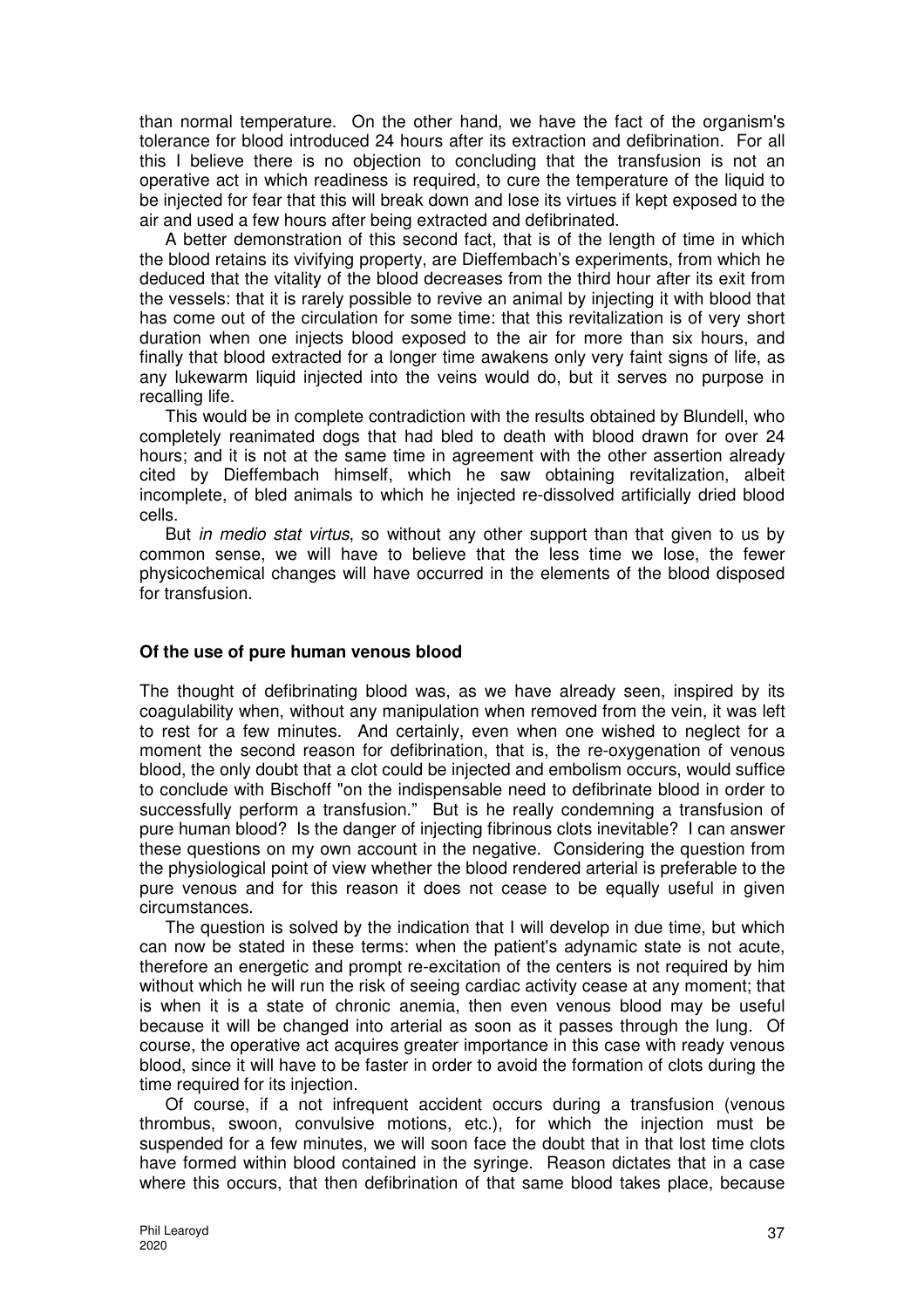than normal temperature. On the other hand, we have the fact of the organism's tolerance for blood introduced 24 hours after its extraction and defibrination. For all this I believe there is no objection to concluding that the transfusion is not an operative act in which readiness is required, to cure the temperature of the liquid to be injected for fear that this will break down and lose its virtues if kept exposed to the air and used a few hours after being extracted and defibrinated.

A better demonstration of this second fact, that is of the length of time in which the blood retains its vivifying property, are Dieffembach's experiments, from which he deduced that the vitality of the blood decreases from the third hour after its exit from the vessels: that it is rarely possible to revive an animal by injecting it with blood that has come out of the circulation for some time: that this revitalization is of very short duration when one injects blood exposed to the air for more than six hours, and finally that blood extracted for a longer time awakens only very faint signs of life, as any lukewarm liquid injected into the veins would do, but it serves no purpose in recalling life.

This would be in complete contradiction with the results obtained by Blundell, who completely reanimated dogs that had bled to death with blood drawn for over 24 hours; and it is not at the same time in agreement with the other assertion already cited by Dieffembach himself, which he saw obtaining revitalization, albeit incomplete, of bled animals to which he injected re-dissolved artificially dried blood cells.

But in medio stat virtus, so without any other support than that given to us by common sense, we will have to believe that the less time we lose, the fewer physicochemical changes will have occurred in the elements of the blood disposed for transfusion.

### **Of the use of pure human venous blood**

The thought of defibrinating blood was, as we have already seen, inspired by its coagulability when, without any manipulation when removed from the vein, it was left to rest for a few minutes. And certainly, even when one wished to neglect for a moment the second reason for defibrination, that is, the re-oxygenation of venous blood, the only doubt that a clot could be injected and embolism occurs, would suffice to conclude with Bischoff "on the indispensable need to defibrinate blood in order to successfully perform a transfusion." But is he really condemning a transfusion of pure human blood? Is the danger of injecting fibrinous clots inevitable? I can answer these questions on my own account in the negative. Considering the question from the physiological point of view whether the blood rendered arterial is preferable to the pure venous and for this reason it does not cease to be equally useful in given circumstances.

The question is solved by the indication that I will develop in due time, but which can now be stated in these terms: when the patient's adynamic state is not acute, therefore an energetic and prompt re-excitation of the centers is not required by him without which he will run the risk of seeing cardiac activity cease at any moment; that is when it is a state of chronic anemia, then even venous blood may be useful because it will be changed into arterial as soon as it passes through the lung. Of course, the operative act acquires greater importance in this case with ready venous blood, since it will have to be faster in order to avoid the formation of clots during the time required for its injection.

Of course, if a not infrequent accident occurs during a transfusion (venous thrombus, swoon, convulsive motions, etc.), for which the injection must be suspended for a few minutes, we will soon face the doubt that in that lost time clots have formed within blood contained in the syringe. Reason dictates that in a case where this occurs, that then defibrination of that same blood takes place, because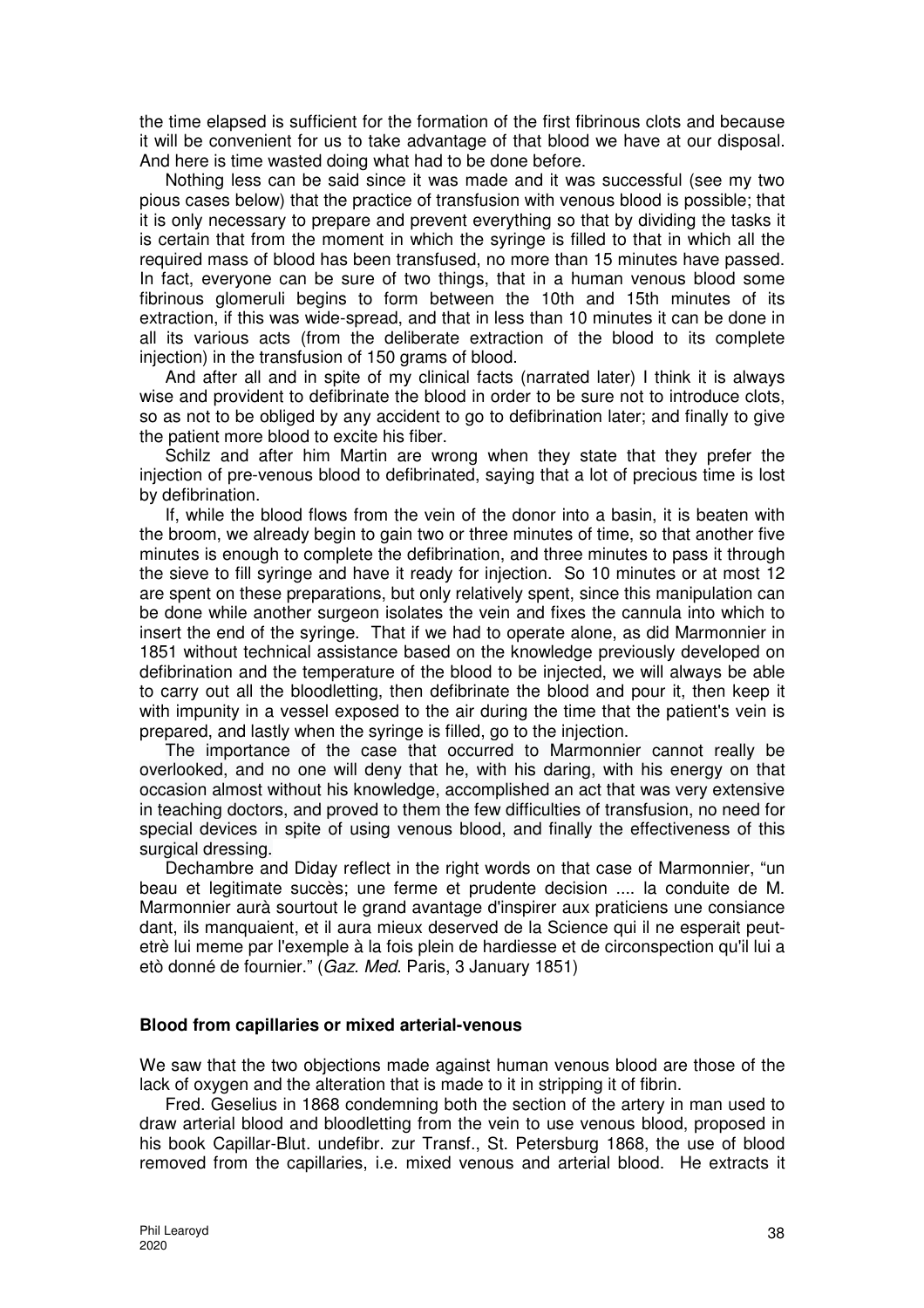the time elapsed is sufficient for the formation of the first fibrinous clots and because it will be convenient for us to take advantage of that blood we have at our disposal. And here is time wasted doing what had to be done before.

Nothing less can be said since it was made and it was successful (see my two pious cases below) that the practice of transfusion with venous blood is possible; that it is only necessary to prepare and prevent everything so that by dividing the tasks it is certain that from the moment in which the syringe is filled to that in which all the required mass of blood has been transfused, no more than 15 minutes have passed. In fact, everyone can be sure of two things, that in a human venous blood some fibrinous glomeruli begins to form between the 10th and 15th minutes of its extraction, if this was wide-spread, and that in less than 10 minutes it can be done in all its various acts (from the deliberate extraction of the blood to its complete injection) in the transfusion of 150 grams of blood.

And after all and in spite of my clinical facts (narrated later) I think it is always wise and provident to defibrinate the blood in order to be sure not to introduce clots, so as not to be obliged by any accident to go to defibrination later; and finally to give the patient more blood to excite his fiber.

Schilz and after him Martin are wrong when they state that they prefer the injection of pre-venous blood to defibrinated, saying that a lot of precious time is lost by defibrination.

If, while the blood flows from the vein of the donor into a basin, it is beaten with the broom, we already begin to gain two or three minutes of time, so that another five minutes is enough to complete the defibrination, and three minutes to pass it through the sieve to fill syringe and have it ready for injection. So 10 minutes or at most 12 are spent on these preparations, but only relatively spent, since this manipulation can be done while another surgeon isolates the vein and fixes the cannula into which to insert the end of the syringe. That if we had to operate alone, as did Marmonnier in 1851 without technical assistance based on the knowledge previously developed on defibrination and the temperature of the blood to be injected, we will always be able to carry out all the bloodletting, then defibrinate the blood and pour it, then keep it with impunity in a vessel exposed to the air during the time that the patient's vein is prepared, and lastly when the syringe is filled, go to the injection.

The importance of the case that occurred to Marmonnier cannot really be overlooked, and no one will deny that he, with his daring, with his energy on that occasion almost without his knowledge, accomplished an act that was very extensive in teaching doctors, and proved to them the few difficulties of transfusion, no need for special devices in spite of using venous blood, and finally the effectiveness of this surgical dressing.

Dechambre and Diday reflect in the right words on that case of Marmonnier, "un beau et legitimate succès; une ferme et prudente decision .... la conduite de M. Marmonnier aurà sourtout le grand avantage d'inspirer aux praticiens une consiance dant, ils manquaient, et il aura mieux deserved de la Science qui il ne esperait peutetrè lui meme par l'exemple à la fois plein de hardiesse et de circonspection qu'il lui a etò donné de fournier." (Gaz. Med. Paris, 3 January 1851)

### **Blood from capillaries or mixed arterial-venous**

We saw that the two objections made against human venous blood are those of the lack of oxygen and the alteration that is made to it in stripping it of fibrin.

Fred. Geselius in 1868 condemning both the section of the artery in man used to draw arterial blood and bloodletting from the vein to use venous blood, proposed in his book Capillar-Blut. undefibr. zur Transf., St. Petersburg 1868, the use of blood removed from the capillaries, i.e. mixed venous and arterial blood. He extracts it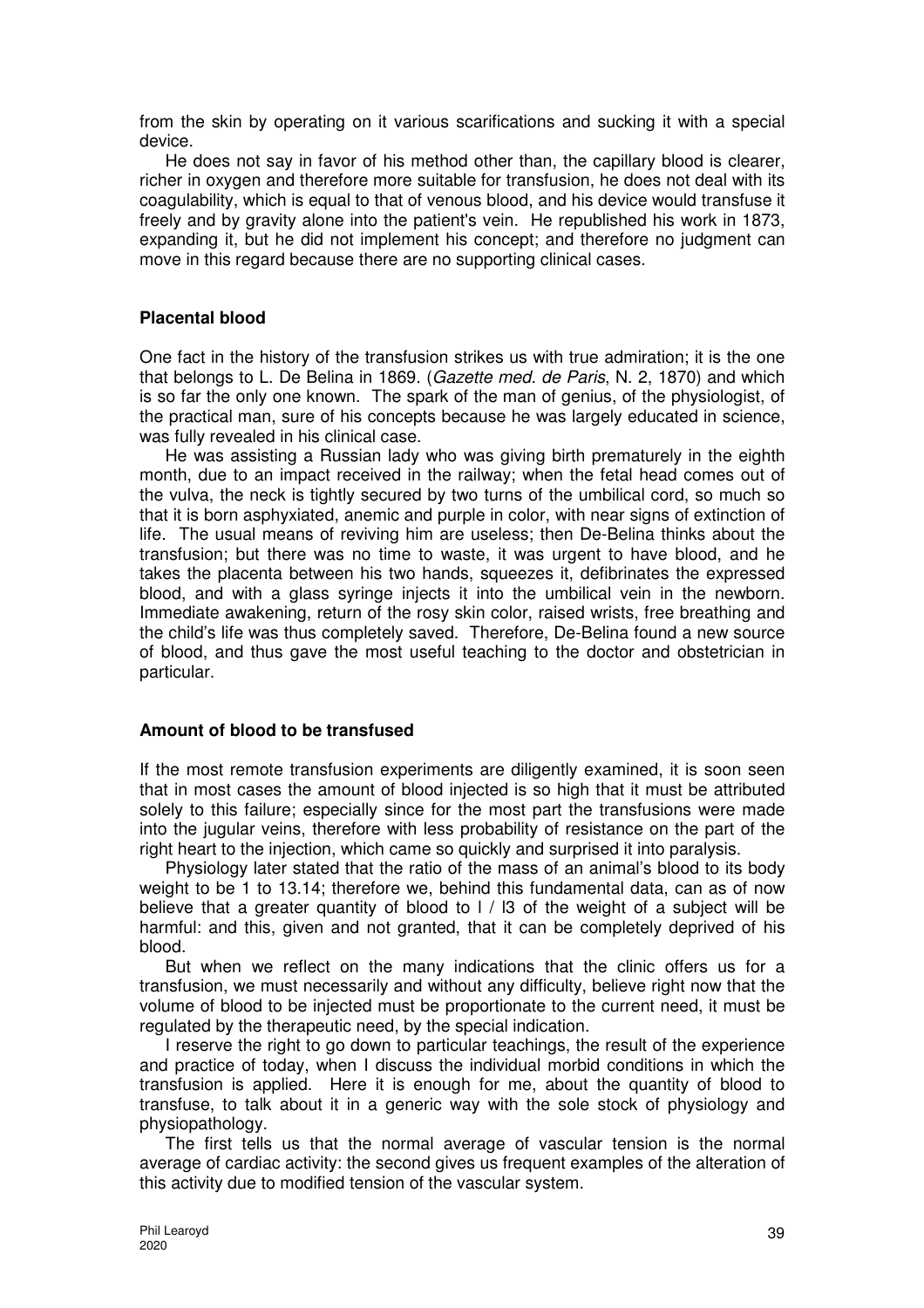from the skin by operating on it various scarifications and sucking it with a special device.

He does not say in favor of his method other than, the capillary blood is clearer, richer in oxygen and therefore more suitable for transfusion, he does not deal with its coagulability, which is equal to that of venous blood, and his device would transfuse it freely and by gravity alone into the patient's vein. He republished his work in 1873, expanding it, but he did not implement his concept; and therefore no judgment can move in this regard because there are no supporting clinical cases.

### **Placental blood**

One fact in the history of the transfusion strikes us with true admiration; it is the one that belongs to L. De Belina in 1869. (Gazette med. de Paris, N. 2, 1870) and which is so far the only one known. The spark of the man of genius, of the physiologist, of the practical man, sure of his concepts because he was largely educated in science, was fully revealed in his clinical case.

He was assisting a Russian lady who was giving birth prematurely in the eighth month, due to an impact received in the railway; when the fetal head comes out of the vulva, the neck is tightly secured by two turns of the umbilical cord, so much so that it is born asphyxiated, anemic and purple in color, with near signs of extinction of life. The usual means of reviving him are useless; then De-Belina thinks about the transfusion; but there was no time to waste, it was urgent to have blood, and he takes the placenta between his two hands, squeezes it, defibrinates the expressed blood, and with a glass syringe injects it into the umbilical vein in the newborn. Immediate awakening, return of the rosy skin color, raised wrists, free breathing and the child's life was thus completely saved. Therefore, De-Belina found a new source of blood, and thus gave the most useful teaching to the doctor and obstetrician in particular.

### **Amount of blood to be transfused**

If the most remote transfusion experiments are diligently examined, it is soon seen that in most cases the amount of blood injected is so high that it must be attributed solely to this failure; especially since for the most part the transfusions were made into the jugular veins, therefore with less probability of resistance on the part of the right heart to the injection, which came so quickly and surprised it into paralysis.

Physiology later stated that the ratio of the mass of an animal's blood to its body weight to be 1 to 13.14; therefore we, behind this fundamental data, can as of now believe that a greater quantity of blood to I / I3 of the weight of a subject will be harmful: and this, given and not granted, that it can be completely deprived of his blood.

But when we reflect on the many indications that the clinic offers us for a transfusion, we must necessarily and without any difficulty, believe right now that the volume of blood to be injected must be proportionate to the current need, it must be regulated by the therapeutic need, by the special indication.

I reserve the right to go down to particular teachings, the result of the experience and practice of today, when I discuss the individual morbid conditions in which the transfusion is applied. Here it is enough for me, about the quantity of blood to transfuse, to talk about it in a generic way with the sole stock of physiology and physiopathology.

The first tells us that the normal average of vascular tension is the normal average of cardiac activity: the second gives us frequent examples of the alteration of this activity due to modified tension of the vascular system.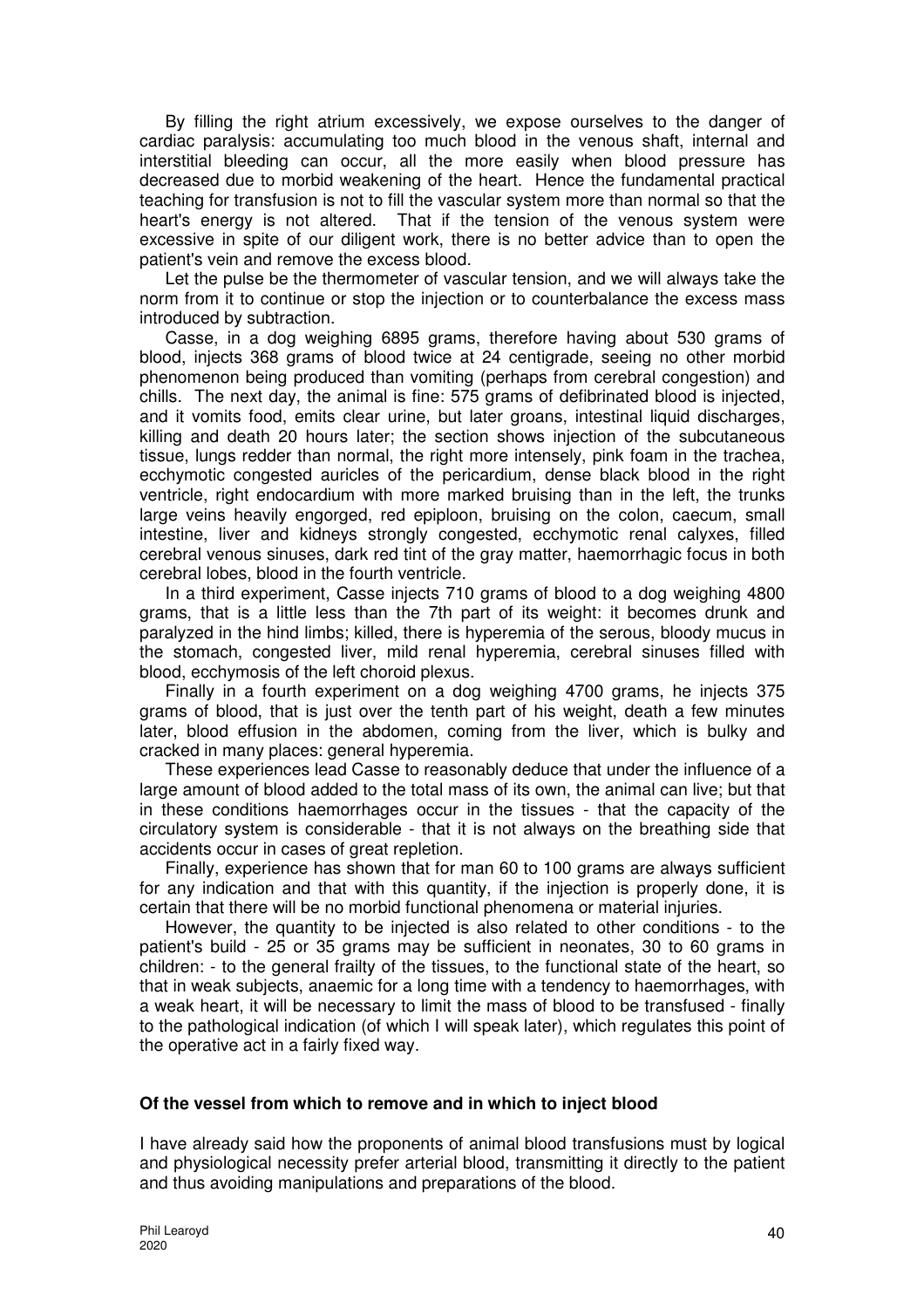By filling the right atrium excessively, we expose ourselves to the danger of cardiac paralysis: accumulating too much blood in the venous shaft, internal and interstitial bleeding can occur, all the more easily when blood pressure has decreased due to morbid weakening of the heart. Hence the fundamental practical teaching for transfusion is not to fill the vascular system more than normal so that the heart's energy is not altered. That if the tension of the venous system were excessive in spite of our diligent work, there is no better advice than to open the patient's vein and remove the excess blood.

Let the pulse be the thermometer of vascular tension, and we will always take the norm from it to continue or stop the injection or to counterbalance the excess mass introduced by subtraction.

Casse, in a dog weighing 6895 grams, therefore having about 530 grams of blood, injects 368 grams of blood twice at 24 centigrade, seeing no other morbid phenomenon being produced than vomiting (perhaps from cerebral congestion) and chills. The next day, the animal is fine: 575 grams of defibrinated blood is injected, and it vomits food, emits clear urine, but later groans, intestinal liquid discharges, killing and death 20 hours later; the section shows injection of the subcutaneous tissue, lungs redder than normal, the right more intensely, pink foam in the trachea, ecchymotic congested auricles of the pericardium, dense black blood in the right ventricle, right endocardium with more marked bruising than in the left, the trunks large veins heavily engorged, red epiploon, bruising on the colon, caecum, small intestine, liver and kidneys strongly congested, ecchymotic renal calyxes, filled cerebral venous sinuses, dark red tint of the gray matter, haemorrhagic focus in both cerebral lobes, blood in the fourth ventricle.

In a third experiment, Casse injects 710 grams of blood to a dog weighing 4800 grams, that is a little less than the 7th part of its weight: it becomes drunk and paralyzed in the hind limbs; killed, there is hyperemia of the serous, bloody mucus in the stomach, congested liver, mild renal hyperemia, cerebral sinuses filled with blood, ecchymosis of the left choroid plexus.

Finally in a fourth experiment on a dog weighing 4700 grams, he injects 375 grams of blood, that is just over the tenth part of his weight, death a few minutes later, blood effusion in the abdomen, coming from the liver, which is bulky and cracked in many places: general hyperemia.

These experiences lead Casse to reasonably deduce that under the influence of a large amount of blood added to the total mass of its own, the animal can live; but that in these conditions haemorrhages occur in the tissues - that the capacity of the circulatory system is considerable - that it is not always on the breathing side that accidents occur in cases of great repletion.

Finally, experience has shown that for man 60 to 100 grams are always sufficient for any indication and that with this quantity, if the injection is properly done, it is certain that there will be no morbid functional phenomena or material injuries.

However, the quantity to be injected is also related to other conditions - to the patient's build - 25 or 35 grams may be sufficient in neonates, 30 to 60 grams in children: - to the general frailty of the tissues, to the functional state of the heart, so that in weak subjects, anaemic for a long time with a tendency to haemorrhages, with a weak heart, it will be necessary to limit the mass of blood to be transfused - finally to the pathological indication (of which I will speak later), which regulates this point of the operative act in a fairly fixed way.

### **Of the vessel from which to remove and in which to inject blood**

I have already said how the proponents of animal blood transfusions must by logical and physiological necessity prefer arterial blood, transmitting it directly to the patient and thus avoiding manipulations and preparations of the blood.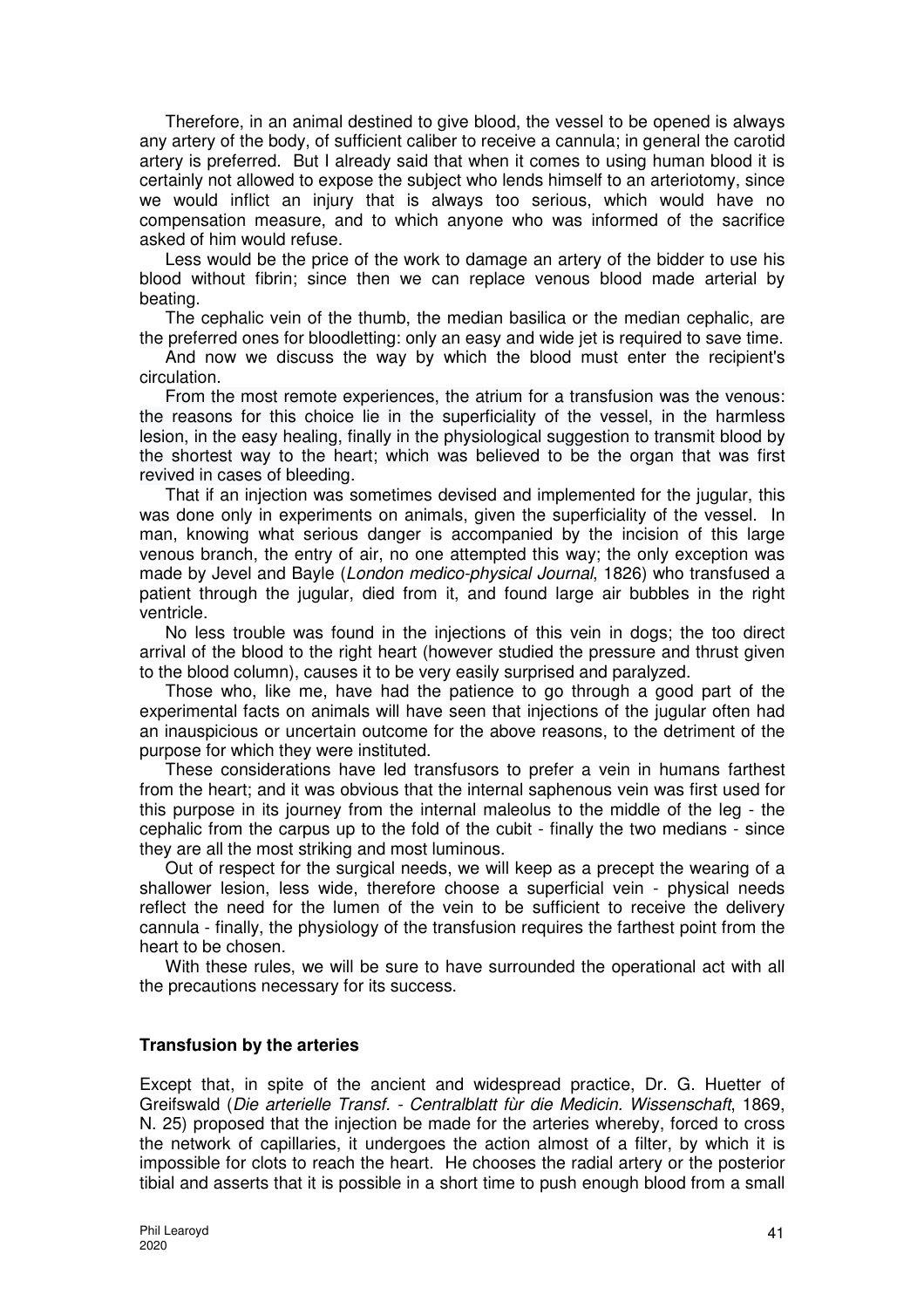Therefore, in an animal destined to give blood, the vessel to be opened is always any artery of the body, of sufficient caliber to receive a cannula; in general the carotid artery is preferred. But I already said that when it comes to using human blood it is certainly not allowed to expose the subject who lends himself to an arteriotomy, since we would inflict an injury that is always too serious, which would have no compensation measure, and to which anyone who was informed of the sacrifice asked of him would refuse.

Less would be the price of the work to damage an artery of the bidder to use his blood without fibrin; since then we can replace venous blood made arterial by beating.

The cephalic vein of the thumb, the median basilica or the median cephalic, are the preferred ones for bloodletting: only an easy and wide jet is required to save time.

And now we discuss the way by which the blood must enter the recipient's circulation.

From the most remote experiences, the atrium for a transfusion was the venous: the reasons for this choice lie in the superficiality of the vessel, in the harmless lesion, in the easy healing, finally in the physiological suggestion to transmit blood by the shortest way to the heart; which was believed to be the organ that was first revived in cases of bleeding.

That if an injection was sometimes devised and implemented for the jugular, this was done only in experiments on animals, given the superficiality of the vessel. In man, knowing what serious danger is accompanied by the incision of this large venous branch, the entry of air, no one attempted this way; the only exception was made by Jevel and Bayle (London medico-physical Journal, 1826) who transfused a patient through the jugular, died from it, and found large air bubbles in the right ventricle.

No less trouble was found in the injections of this vein in dogs; the too direct arrival of the blood to the right heart (however studied the pressure and thrust given to the blood column), causes it to be very easily surprised and paralyzed.

Those who, like me, have had the patience to go through a good part of the experimental facts on animals will have seen that injections of the jugular often had an inauspicious or uncertain outcome for the above reasons, to the detriment of the purpose for which they were instituted.

These considerations have led transfusors to prefer a vein in humans farthest from the heart; and it was obvious that the internal saphenous vein was first used for this purpose in its journey from the internal maleolus to the middle of the leg - the cephalic from the carpus up to the fold of the cubit - finally the two medians - since they are all the most striking and most luminous.

Out of respect for the surgical needs, we will keep as a precept the wearing of a shallower lesion, less wide, therefore choose a superficial vein - physical needs reflect the need for the lumen of the vein to be sufficient to receive the delivery cannula - finally, the physiology of the transfusion requires the farthest point from the heart to be chosen.

With these rules, we will be sure to have surrounded the operational act with all the precautions necessary for its success.

### **Transfusion by the arteries**

Except that, in spite of the ancient and widespread practice, Dr. G. Huetter of Greifswald (Die arterielle Transf. - Centralblatt fùr die Medicin. Wissenschaft, 1869, N. 25) proposed that the injection be made for the arteries whereby, forced to cross the network of capillaries, it undergoes the action almost of a filter, by which it is impossible for clots to reach the heart. He chooses the radial artery or the posterior tibial and asserts that it is possible in a short time to push enough blood from a small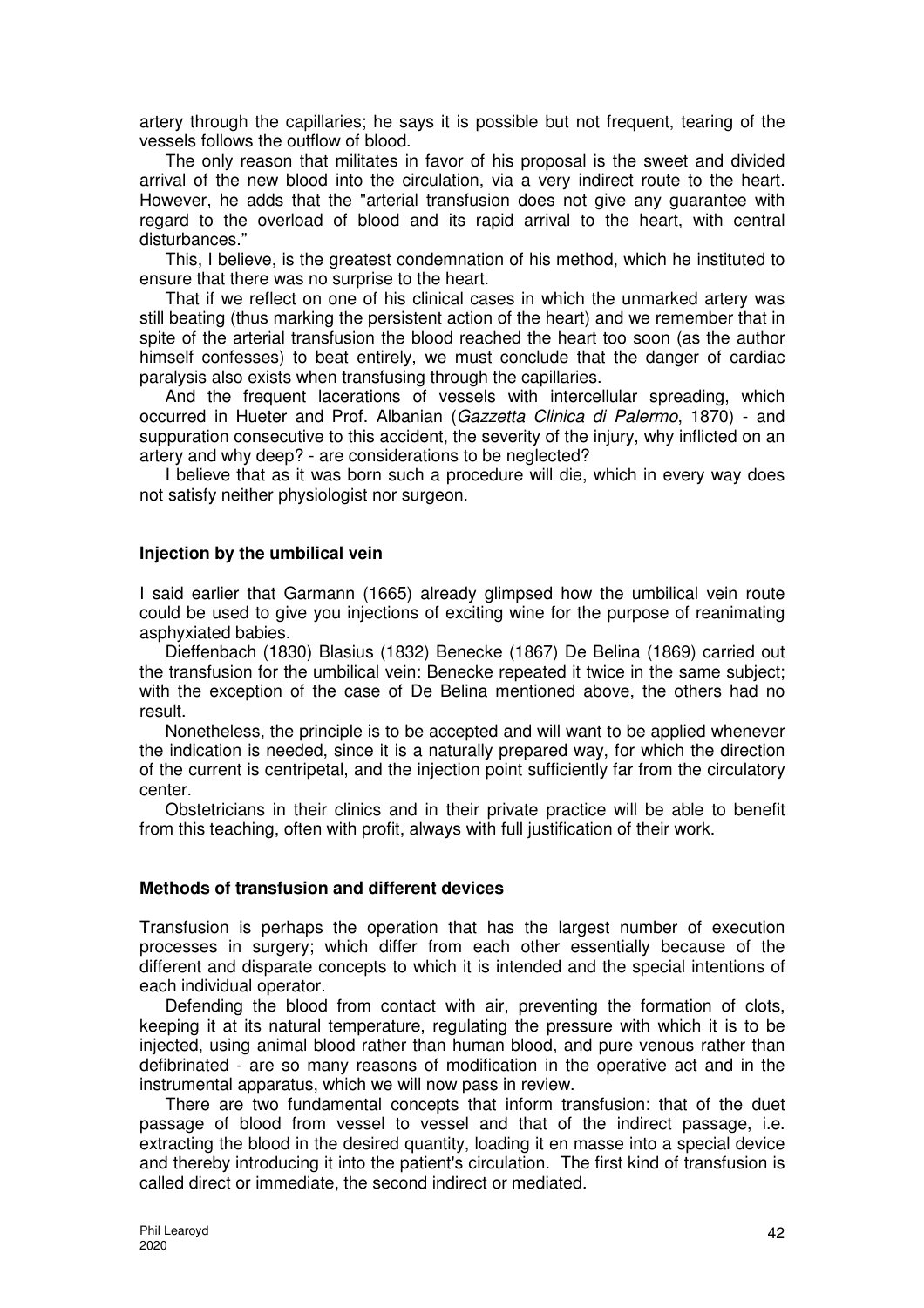artery through the capillaries; he says it is possible but not frequent, tearing of the vessels follows the outflow of blood.

The only reason that militates in favor of his proposal is the sweet and divided arrival of the new blood into the circulation, via a very indirect route to the heart. However, he adds that the "arterial transfusion does not give any guarantee with regard to the overload of blood and its rapid arrival to the heart, with central disturbances."

This, I believe, is the greatest condemnation of his method, which he instituted to ensure that there was no surprise to the heart.

That if we reflect on one of his clinical cases in which the unmarked artery was still beating (thus marking the persistent action of the heart) and we remember that in spite of the arterial transfusion the blood reached the heart too soon (as the author himself confesses) to beat entirely, we must conclude that the danger of cardiac paralysis also exists when transfusing through the capillaries.

And the frequent lacerations of vessels with intercellular spreading, which occurred in Hueter and Prof. Albanian (Gazzetta Clinica di Palermo, 1870) - and suppuration consecutive to this accident, the severity of the injury, why inflicted on an artery and why deep? - are considerations to be neglected?

I believe that as it was born such a procedure will die, which in every way does not satisfy neither physiologist nor surgeon.

#### **Injection by the umbilical vein**

I said earlier that Garmann (1665) already glimpsed how the umbilical vein route could be used to give you injections of exciting wine for the purpose of reanimating asphyxiated babies.

Dieffenbach (1830) Blasius (1832) Benecke (1867) De Belina (1869) carried out the transfusion for the umbilical vein: Benecke repeated it twice in the same subject; with the exception of the case of De Belina mentioned above, the others had no result.

Nonetheless, the principle is to be accepted and will want to be applied whenever the indication is needed, since it is a naturally prepared way, for which the direction of the current is centripetal, and the injection point sufficiently far from the circulatory center.

Obstetricians in their clinics and in their private practice will be able to benefit from this teaching, often with profit, always with full justification of their work.

#### **Methods of transfusion and different devices**

Transfusion is perhaps the operation that has the largest number of execution processes in surgery; which differ from each other essentially because of the different and disparate concepts to which it is intended and the special intentions of each individual operator.

Defending the blood from contact with air, preventing the formation of clots, keeping it at its natural temperature, regulating the pressure with which it is to be injected, using animal blood rather than human blood, and pure venous rather than defibrinated - are so many reasons of modification in the operative act and in the instrumental apparatus, which we will now pass in review.

There are two fundamental concepts that inform transfusion: that of the duet passage of blood from vessel to vessel and that of the indirect passage, i.e. extracting the blood in the desired quantity, loading it en masse into a special device and thereby introducing it into the patient's circulation. The first kind of transfusion is called direct or immediate, the second indirect or mediated.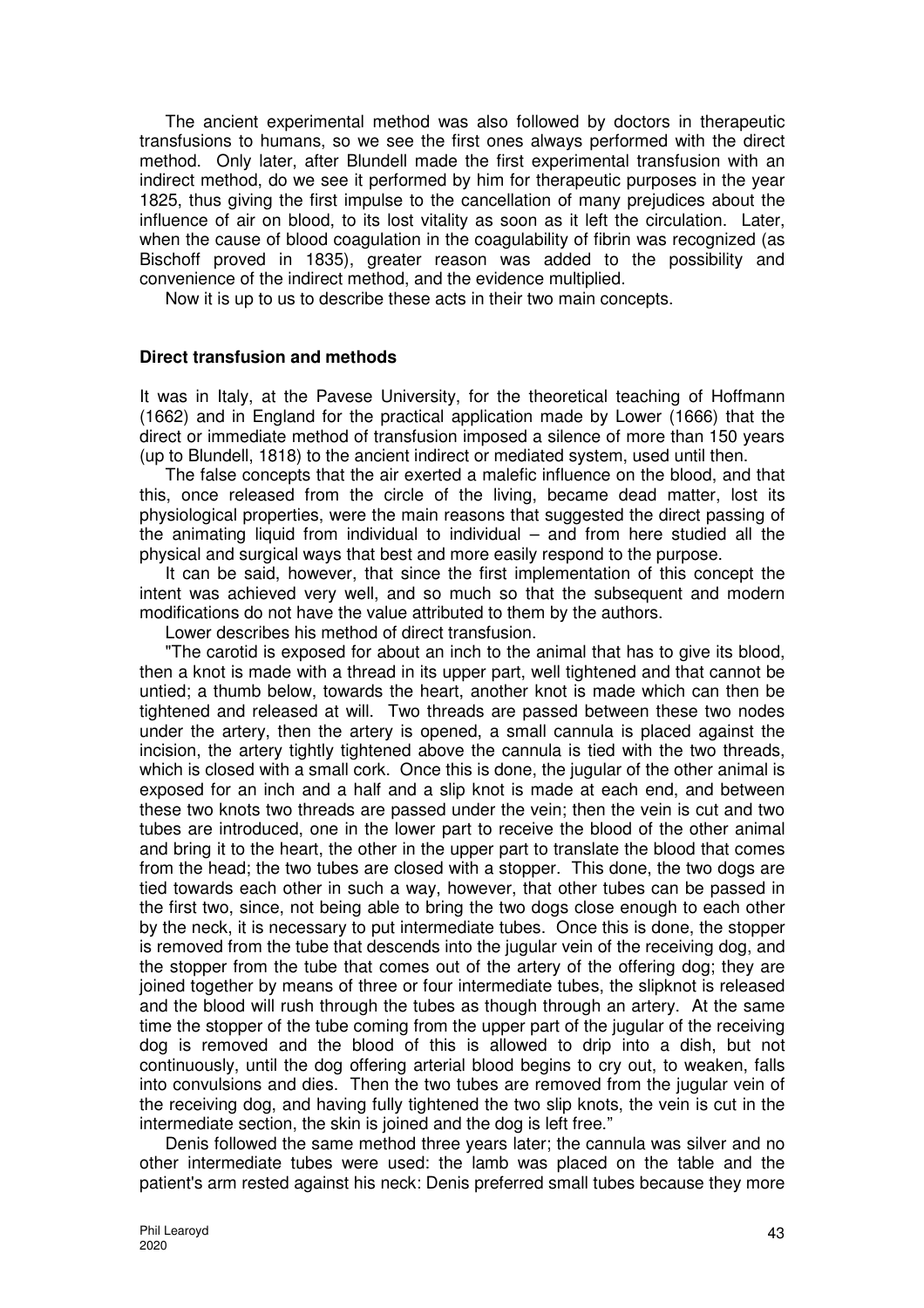The ancient experimental method was also followed by doctors in therapeutic transfusions to humans, so we see the first ones always performed with the direct method. Only later, after Blundell made the first experimental transfusion with an indirect method, do we see it performed by him for therapeutic purposes in the year 1825, thus giving the first impulse to the cancellation of many prejudices about the influence of air on blood, to its lost vitality as soon as it left the circulation. Later, when the cause of blood coagulation in the coagulability of fibrin was recognized (as Bischoff proved in 1835), greater reason was added to the possibility and convenience of the indirect method, and the evidence multiplied.

Now it is up to us to describe these acts in their two main concepts.

#### **Direct transfusion and methods**

It was in Italy, at the Pavese University, for the theoretical teaching of Hoffmann (1662) and in England for the practical application made by Lower (1666) that the direct or immediate method of transfusion imposed a silence of more than 150 years (up to Blundell, 1818) to the ancient indirect or mediated system, used until then.

The false concepts that the air exerted a malefic influence on the blood, and that this, once released from the circle of the living, became dead matter, lost its physiological properties, were the main reasons that suggested the direct passing of the animating liquid from individual to individual – and from here studied all the physical and surgical ways that best and more easily respond to the purpose.

It can be said, however, that since the first implementation of this concept the intent was achieved very well, and so much so that the subsequent and modern modifications do not have the value attributed to them by the authors.

Lower describes his method of direct transfusion.

"The carotid is exposed for about an inch to the animal that has to give its blood, then a knot is made with a thread in its upper part, well tightened and that cannot be untied; a thumb below, towards the heart, another knot is made which can then be tightened and released at will. Two threads are passed between these two nodes under the artery, then the artery is opened, a small cannula is placed against the incision, the artery tightly tightened above the cannula is tied with the two threads, which is closed with a small cork. Once this is done, the jugular of the other animal is exposed for an inch and a half and a slip knot is made at each end, and between these two knots two threads are passed under the vein; then the vein is cut and two tubes are introduced, one in the lower part to receive the blood of the other animal and bring it to the heart, the other in the upper part to translate the blood that comes from the head; the two tubes are closed with a stopper. This done, the two dogs are tied towards each other in such a way, however, that other tubes can be passed in the first two, since, not being able to bring the two dogs close enough to each other by the neck, it is necessary to put intermediate tubes. Once this is done, the stopper is removed from the tube that descends into the jugular vein of the receiving dog, and the stopper from the tube that comes out of the artery of the offering dog; they are joined together by means of three or four intermediate tubes, the slipknot is released and the blood will rush through the tubes as though through an artery. At the same time the stopper of the tube coming from the upper part of the jugular of the receiving dog is removed and the blood of this is allowed to drip into a dish, but not continuously, until the dog offering arterial blood begins to cry out, to weaken, falls into convulsions and dies. Then the two tubes are removed from the jugular vein of the receiving dog, and having fully tightened the two slip knots, the vein is cut in the intermediate section, the skin is joined and the dog is left free."

Denis followed the same method three years later; the cannula was silver and no other intermediate tubes were used: the lamb was placed on the table and the patient's arm rested against his neck: Denis preferred small tubes because they more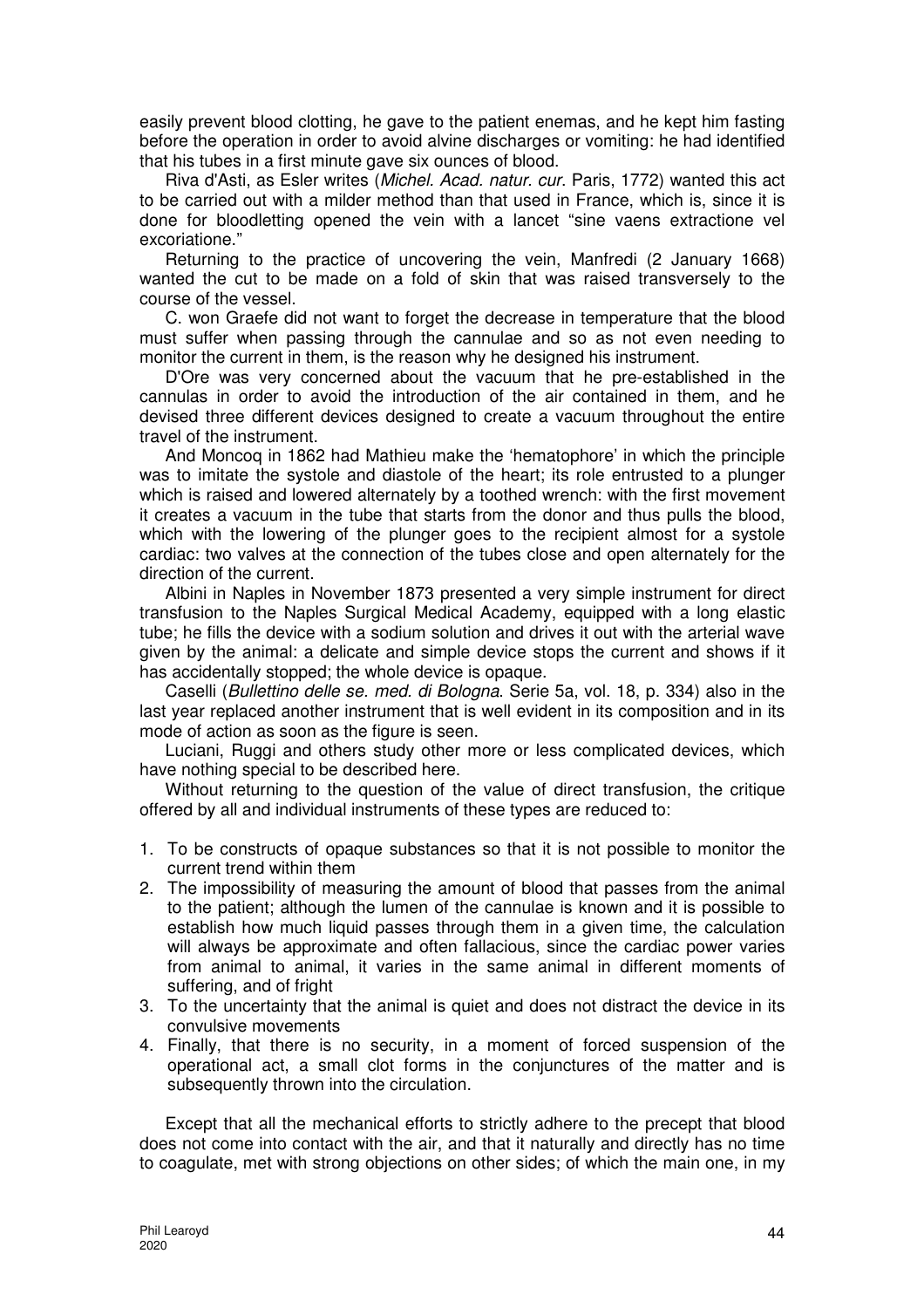easily prevent blood clotting, he gave to the patient enemas, and he kept him fasting before the operation in order to avoid alvine discharges or vomiting: he had identified that his tubes in a first minute gave six ounces of blood.

Riva d'Asti, as Esler writes (Michel. Acad. natur. cur. Paris, 1772) wanted this act to be carried out with a milder method than that used in France, which is, since it is done for bloodletting opened the vein with a lancet "sine vaens extractione vel excoriatione."

Returning to the practice of uncovering the vein, Manfredi (2 January 1668) wanted the cut to be made on a fold of skin that was raised transversely to the course of the vessel.

C. won Graefe did not want to forget the decrease in temperature that the blood must suffer when passing through the cannulae and so as not even needing to monitor the current in them, is the reason why he designed his instrument.

D'Ore was very concerned about the vacuum that he pre-established in the cannulas in order to avoid the introduction of the air contained in them, and he devised three different devices designed to create a vacuum throughout the entire travel of the instrument.

And Moncoq in 1862 had Mathieu make the 'hematophore' in which the principle was to imitate the systole and diastole of the heart; its role entrusted to a plunger which is raised and lowered alternately by a toothed wrench: with the first movement it creates a vacuum in the tube that starts from the donor and thus pulls the blood, which with the lowering of the plunger goes to the recipient almost for a systole cardiac: two valves at the connection of the tubes close and open alternately for the direction of the current.

Albini in Naples in November 1873 presented a very simple instrument for direct transfusion to the Naples Surgical Medical Academy, equipped with a long elastic tube; he fills the device with a sodium solution and drives it out with the arterial wave given by the animal: a delicate and simple device stops the current and shows if it has accidentally stopped; the whole device is opaque.

Caselli (Bullettino delle se. med. di Bologna. Serie 5a, vol. 18, p. 334) also in the last year replaced another instrument that is well evident in its composition and in its mode of action as soon as the figure is seen.

Luciani, Ruggi and others study other more or less complicated devices, which have nothing special to be described here.

Without returning to the question of the value of direct transfusion, the critique offered by all and individual instruments of these types are reduced to:

- 1. To be constructs of opaque substances so that it is not possible to monitor the current trend within them
- 2. The impossibility of measuring the amount of blood that passes from the animal to the patient; although the lumen of the cannulae is known and it is possible to establish how much liquid passes through them in a given time, the calculation will always be approximate and often fallacious, since the cardiac power varies from animal to animal, it varies in the same animal in different moments of suffering, and of fright
- 3. To the uncertainty that the animal is quiet and does not distract the device in its convulsive movements
- 4. Finally, that there is no security, in a moment of forced suspension of the operational act, a small clot forms in the conjunctures of the matter and is subsequently thrown into the circulation.

Except that all the mechanical efforts to strictly adhere to the precept that blood does not come into contact with the air, and that it naturally and directly has no time to coagulate, met with strong objections on other sides; of which the main one, in my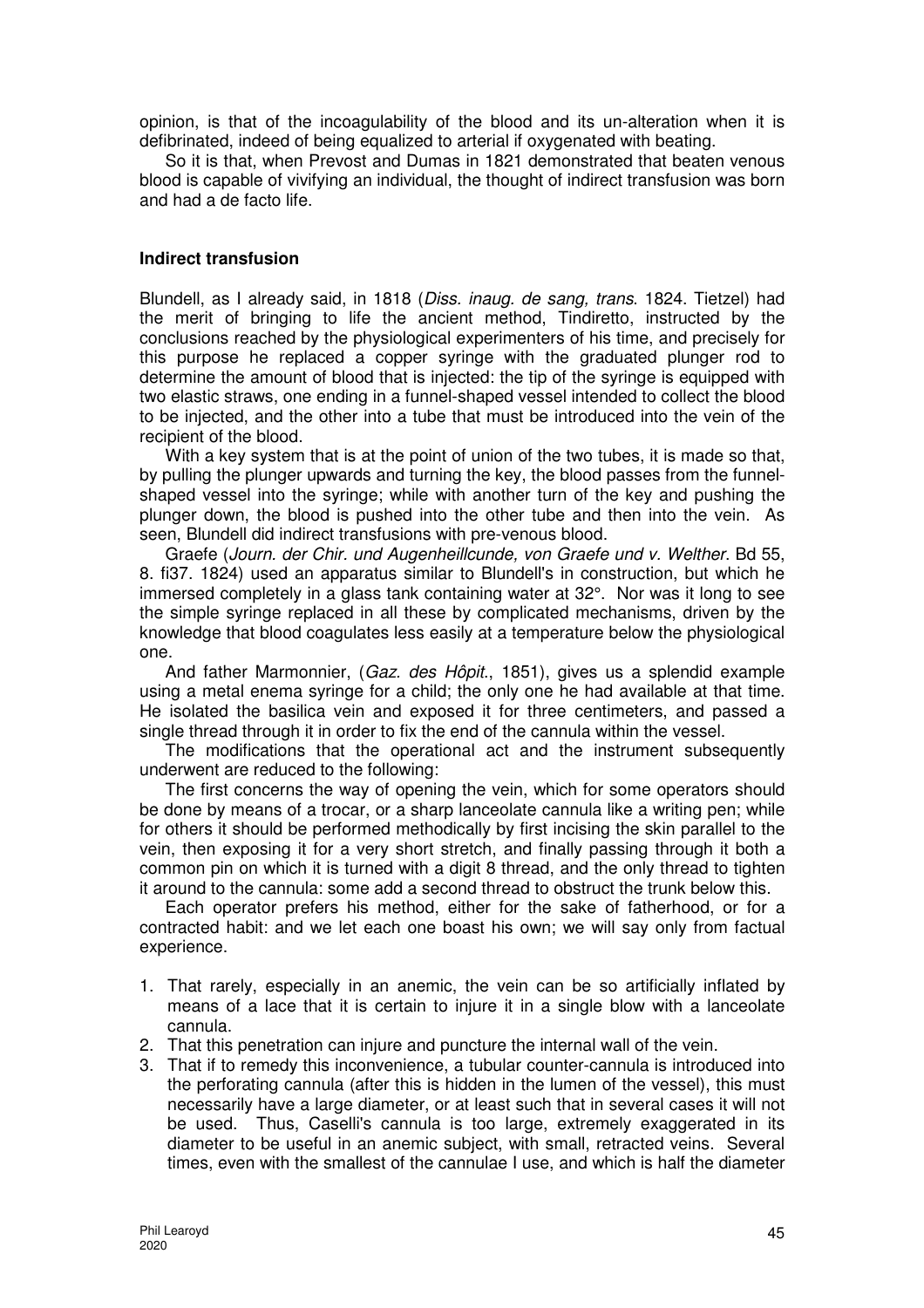opinion, is that of the incoagulability of the blood and its un-alteration when it is defibrinated, indeed of being equalized to arterial if oxygenated with beating.

So it is that, when Prevost and Dumas in 1821 demonstrated that beaten venous blood is capable of vivifying an individual, the thought of indirect transfusion was born and had a de facto life.

### **Indirect transfusion**

Blundell, as I already said, in 1818 (Diss. inaug. de sang, trans. 1824. Tietzel) had the merit of bringing to life the ancient method, Tindiretto, instructed by the conclusions reached by the physiological experimenters of his time, and precisely for this purpose he replaced a copper syringe with the graduated plunger rod to determine the amount of blood that is injected: the tip of the syringe is equipped with two elastic straws, one ending in a funnel-shaped vessel intended to collect the blood to be injected, and the other into a tube that must be introduced into the vein of the recipient of the blood.

With a key system that is at the point of union of the two tubes, it is made so that, by pulling the plunger upwards and turning the key, the blood passes from the funnelshaped vessel into the syringe; while with another turn of the key and pushing the plunger down, the blood is pushed into the other tube and then into the vein. As seen, Blundell did indirect transfusions with pre-venous blood.

Graefe (Journ. der Chir. und Augenheillcunde, von Graefe und v. Welther. Bd 55, 8. fi37. 1824) used an apparatus similar to Blundell's in construction, but which he immersed completely in a glass tank containing water at 32°. Nor was it long to see the simple syringe replaced in all these by complicated mechanisms, driven by the knowledge that blood coagulates less easily at a temperature below the physiological one.

And father Marmonnier, (Gaz. des Hôpit., 1851), gives us a splendid example using a metal enema syringe for a child; the only one he had available at that time. He isolated the basilica vein and exposed it for three centimeters, and passed a single thread through it in order to fix the end of the cannula within the vessel.

The modifications that the operational act and the instrument subsequently underwent are reduced to the following:

The first concerns the way of opening the vein, which for some operators should be done by means of a trocar, or a sharp lanceolate cannula like a writing pen; while for others it should be performed methodically by first incising the skin parallel to the vein, then exposing it for a very short stretch, and finally passing through it both a common pin on which it is turned with a digit 8 thread, and the only thread to tighten it around to the cannula: some add a second thread to obstruct the trunk below this.

Each operator prefers his method, either for the sake of fatherhood, or for a contracted habit: and we let each one boast his own; we will say only from factual experience.

- 1. That rarely, especially in an anemic, the vein can be so artificially inflated by means of a lace that it is certain to injure it in a single blow with a lanceolate cannula.
- 2. That this penetration can injure and puncture the internal wall of the vein.
- 3. That if to remedy this inconvenience, a tubular counter-cannula is introduced into the perforating cannula (after this is hidden in the lumen of the vessel), this must necessarily have a large diameter, or at least such that in several cases it will not be used. Thus, Caselli's cannula is too large, extremely exaggerated in its diameter to be useful in an anemic subject, with small, retracted veins. Several times, even with the smallest of the cannulae I use, and which is half the diameter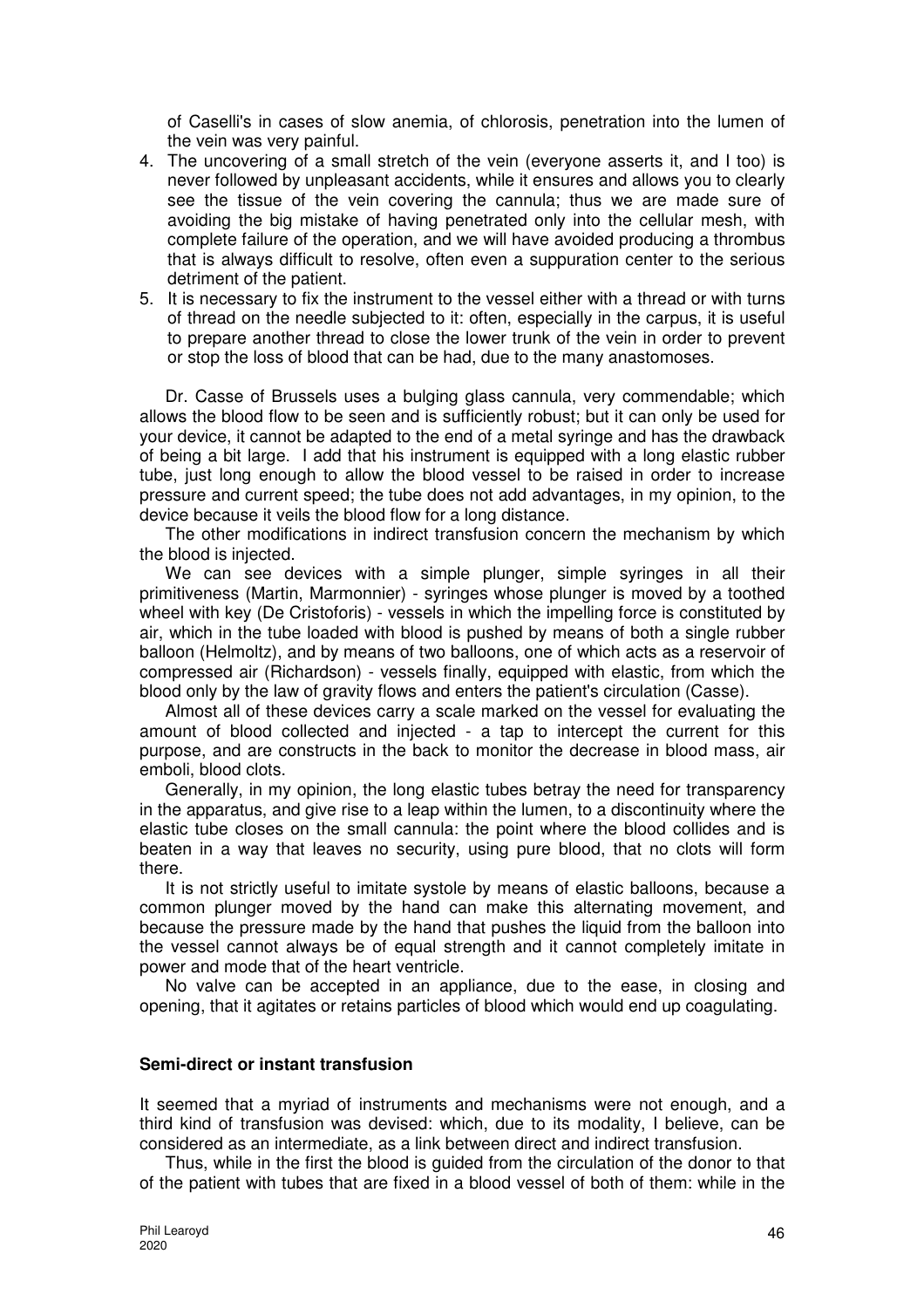of Caselli's in cases of slow anemia, of chlorosis, penetration into the lumen of the vein was very painful.

- 4. The uncovering of a small stretch of the vein (everyone asserts it, and I too) is never followed by unpleasant accidents, while it ensures and allows you to clearly see the tissue of the vein covering the cannula; thus we are made sure of avoiding the big mistake of having penetrated only into the cellular mesh, with complete failure of the operation, and we will have avoided producing a thrombus that is always difficult to resolve, often even a suppuration center to the serious detriment of the patient.
- 5. It is necessary to fix the instrument to the vessel either with a thread or with turns of thread on the needle subjected to it: often, especially in the carpus, it is useful to prepare another thread to close the lower trunk of the vein in order to prevent or stop the loss of blood that can be had, due to the many anastomoses.

Dr. Casse of Brussels uses a bulging glass cannula, very commendable; which allows the blood flow to be seen and is sufficiently robust; but it can only be used for your device, it cannot be adapted to the end of a metal syringe and has the drawback of being a bit large. I add that his instrument is equipped with a long elastic rubber tube, just long enough to allow the blood vessel to be raised in order to increase pressure and current speed; the tube does not add advantages, in my opinion, to the device because it veils the blood flow for a long distance.

The other modifications in indirect transfusion concern the mechanism by which the blood is injected.

We can see devices with a simple plunger, simple syringes in all their primitiveness (Martin, Marmonnier) - syringes whose plunger is moved by a toothed wheel with key (De Cristoforis) - vessels in which the impelling force is constituted by air, which in the tube loaded with blood is pushed by means of both a single rubber balloon (Helmoltz), and by means of two balloons, one of which acts as a reservoir of compressed air (Richardson) - vessels finally, equipped with elastic, from which the blood only by the law of gravity flows and enters the patient's circulation (Casse).

Almost all of these devices carry a scale marked on the vessel for evaluating the amount of blood collected and injected - a tap to intercept the current for this purpose, and are constructs in the back to monitor the decrease in blood mass, air emboli, blood clots.

Generally, in my opinion, the long elastic tubes betray the need for transparency in the apparatus, and give rise to a leap within the lumen, to a discontinuity where the elastic tube closes on the small cannula: the point where the blood collides and is beaten in a way that leaves no security, using pure blood, that no clots will form there.

It is not strictly useful to imitate systole by means of elastic balloons, because a common plunger moved by the hand can make this alternating movement, and because the pressure made by the hand that pushes the liquid from the balloon into the vessel cannot always be of equal strength and it cannot completely imitate in power and mode that of the heart ventricle.

No valve can be accepted in an appliance, due to the ease, in closing and opening, that it agitates or retains particles of blood which would end up coagulating.

### **Semi-direct or instant transfusion**

It seemed that a myriad of instruments and mechanisms were not enough, and a third kind of transfusion was devised: which, due to its modality, I believe, can be considered as an intermediate, as a link between direct and indirect transfusion.

Thus, while in the first the blood is guided from the circulation of the donor to that of the patient with tubes that are fixed in a blood vessel of both of them: while in the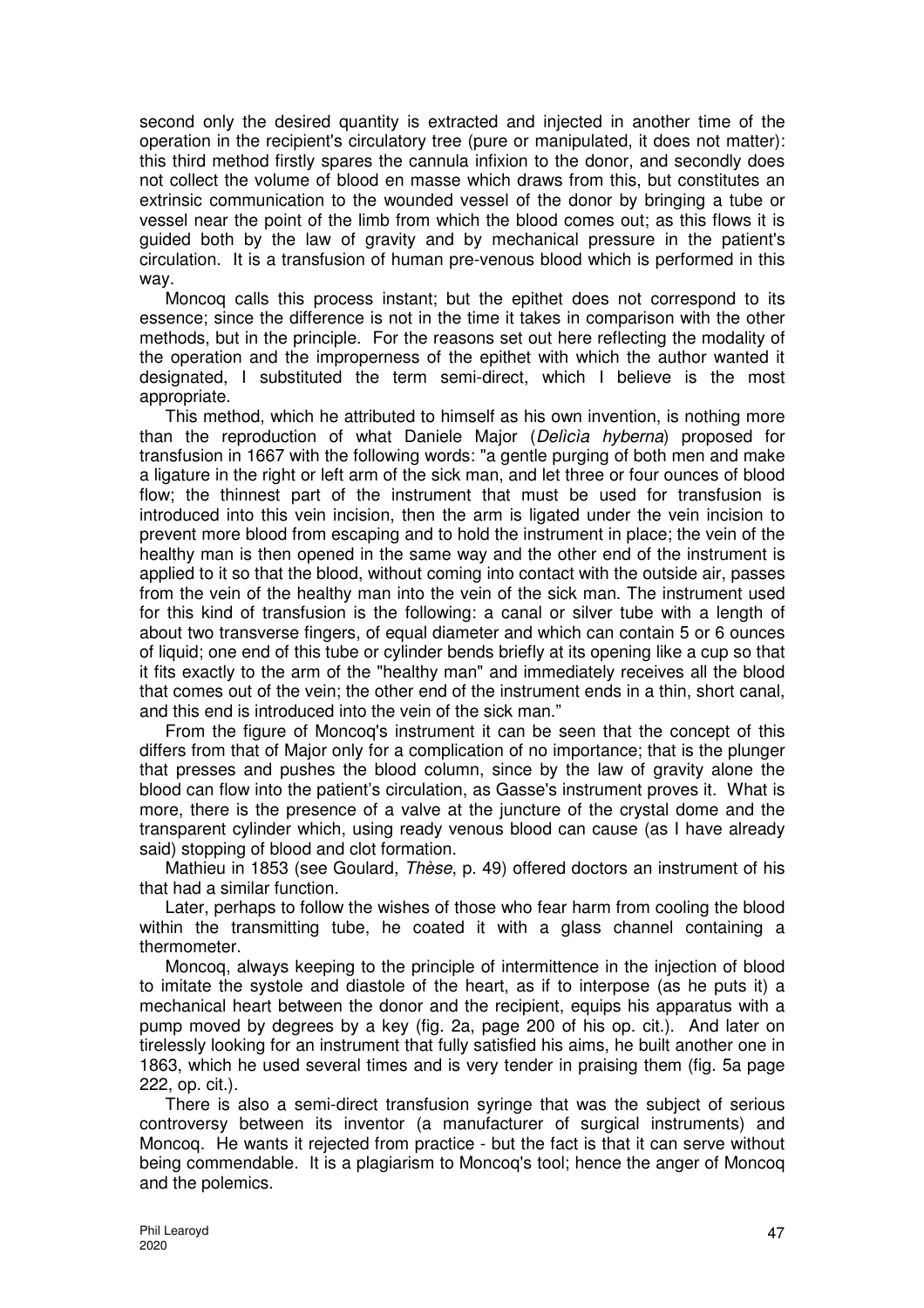second only the desired quantity is extracted and injected in another time of the operation in the recipient's circulatory tree (pure or manipulated, it does not matter): this third method firstly spares the cannula infixion to the donor, and secondly does not collect the volume of blood en masse which draws from this, but constitutes an extrinsic communication to the wounded vessel of the donor by bringing a tube or vessel near the point of the limb from which the blood comes out; as this flows it is guided both by the law of gravity and by mechanical pressure in the patient's circulation. It is a transfusion of human pre-venous blood which is performed in this way.

Moncoq calls this process instant; but the epithet does not correspond to its essence; since the difference is not in the time it takes in comparison with the other methods, but in the principle. For the reasons set out here reflecting the modality of the operation and the improperness of the epithet with which the author wanted it designated, I substituted the term semi-direct, which I believe is the most appropriate.

This method, which he attributed to himself as his own invention, is nothing more than the reproduction of what Daniele Major (Delìcìa hyberna) proposed for transfusion in 1667 with the following words: "a gentle purging of both men and make a ligature in the right or left arm of the sick man, and let three or four ounces of blood flow; the thinnest part of the instrument that must be used for transfusion is introduced into this vein incision, then the arm is ligated under the vein incision to prevent more blood from escaping and to hold the instrument in place; the vein of the healthy man is then opened in the same way and the other end of the instrument is applied to it so that the blood, without coming into contact with the outside air, passes from the vein of the healthy man into the vein of the sick man. The instrument used for this kind of transfusion is the following: a canal or silver tube with a length of about two transverse fingers, of equal diameter and which can contain 5 or 6 ounces of liquid; one end of this tube or cylinder bends briefly at its opening like a cup so that it fits exactly to the arm of the "healthy man" and immediately receives all the blood that comes out of the vein; the other end of the instrument ends in a thin, short canal, and this end is introduced into the vein of the sick man."

From the figure of Moncoq's instrument it can be seen that the concept of this differs from that of Major only for a complication of no importance; that is the plunger that presses and pushes the blood column, since by the law of gravity alone the blood can flow into the patient's circulation, as Gasse's instrument proves it. What is more, there is the presence of a valve at the juncture of the crystal dome and the transparent cylinder which, using ready venous blood can cause (as I have already said) stopping of blood and clot formation.

Mathieu in 1853 (see Goulard, Thèse, p. 49) offered doctors an instrument of his that had a similar function.

Later, perhaps to follow the wishes of those who fear harm from cooling the blood within the transmitting tube, he coated it with a glass channel containing a thermometer.

Moncoq, always keeping to the principle of intermittence in the injection of blood to imitate the systole and diastole of the heart, as if to interpose (as he puts it) a mechanical heart between the donor and the recipient, equips his apparatus with a pump moved by degrees by a key (fig. 2a, page 200 of his op. cit.). And later on tirelessly looking for an instrument that fully satisfied his aims, he built another one in 1863, which he used several times and is very tender in praising them (fig. 5a page 222, op. cit.).

There is also a semi-direct transfusion syringe that was the subject of serious controversy between its inventor (a manufacturer of surgical instruments) and Moncoq. He wants it rejected from practice - but the fact is that it can serve without being commendable. It is a plagiarism to Moncoq's tool; hence the anger of Moncoq and the polemics.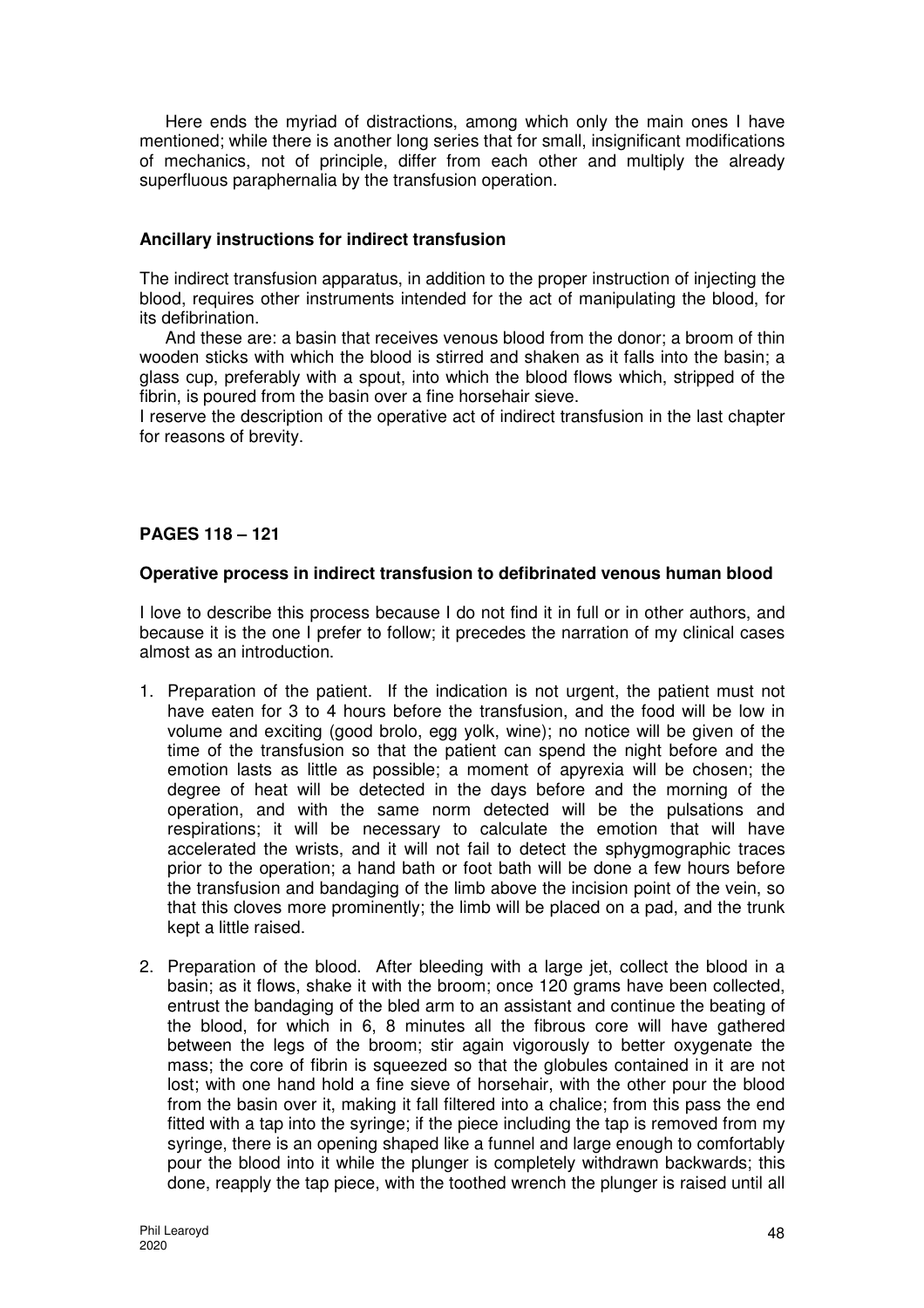Here ends the myriad of distractions, among which only the main ones I have mentioned; while there is another long series that for small, insignificant modifications of mechanics, not of principle, differ from each other and multiply the already superfluous paraphernalia by the transfusion operation.

### **Ancillary instructions for indirect transfusion**

The indirect transfusion apparatus, in addition to the proper instruction of injecting the blood, requires other instruments intended for the act of manipulating the blood, for its defibrination.

And these are: a basin that receives venous blood from the donor; a broom of thin wooden sticks with which the blood is stirred and shaken as it falls into the basin; a glass cup, preferably with a spout, into which the blood flows which, stripped of the fibrin, is poured from the basin over a fine horsehair sieve.

I reserve the description of the operative act of indirect transfusion in the last chapter for reasons of brevity.

## **PAGES 118 – 121**

## **Operative process in indirect transfusion to defibrinated venous human blood**

I love to describe this process because I do not find it in full or in other authors, and because it is the one I prefer to follow; it precedes the narration of my clinical cases almost as an introduction.

- 1. Preparation of the patient. If the indication is not urgent, the patient must not have eaten for 3 to 4 hours before the transfusion, and the food will be low in volume and exciting (good brolo, egg yolk, wine); no notice will be given of the time of the transfusion so that the patient can spend the night before and the emotion lasts as little as possible; a moment of apyrexia will be chosen; the degree of heat will be detected in the days before and the morning of the operation, and with the same norm detected will be the pulsations and respirations; it will be necessary to calculate the emotion that will have accelerated the wrists, and it will not fail to detect the sphygmographic traces prior to the operation; a hand bath or foot bath will be done a few hours before the transfusion and bandaging of the limb above the incision point of the vein, so that this cloves more prominently; the limb will be placed on a pad, and the trunk kept a little raised.
- 2. Preparation of the blood. After bleeding with a large jet, collect the blood in a basin; as it flows, shake it with the broom; once 120 grams have been collected, entrust the bandaging of the bled arm to an assistant and continue the beating of the blood, for which in 6, 8 minutes all the fibrous core will have gathered between the legs of the broom; stir again vigorously to better oxygenate the mass; the core of fibrin is squeezed so that the globules contained in it are not lost; with one hand hold a fine sieve of horsehair, with the other pour the blood from the basin over it, making it fall filtered into a chalice; from this pass the end fitted with a tap into the syringe; if the piece including the tap is removed from my syringe, there is an opening shaped like a funnel and large enough to comfortably pour the blood into it while the plunger is completely withdrawn backwards; this done, reapply the tap piece, with the toothed wrench the plunger is raised until all